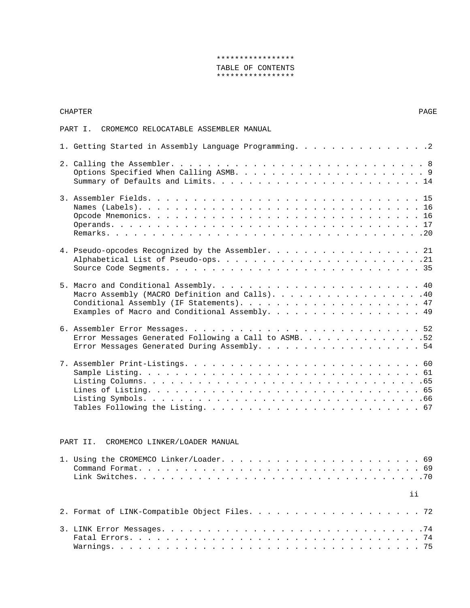# \*\*\*\*\*\*\*\*\*\*\*\*\*\*\*\*\* TABLE OF CONTENTS \*\*\*\*\*\*\*\*\*\*\*\*\*\*\*\*\*

# CHAPTER PAGE

# PART I. CROMEMCO RELOCATABLE ASSEMBLER MANUAL

| 1. Getting Started in Assembly Language Programming. 2                                                |
|-------------------------------------------------------------------------------------------------------|
|                                                                                                       |
|                                                                                                       |
| 4. Pseudo-opcodes Recognized by the Assembler. 21                                                     |
| Macro Assembly (MACRO Definition and Calls). 40<br>Examples of Macro and Conditional Assembly. 49     |
| Error Messages Generated Following a Call to ASMB. 52<br>Error Messages Generated During Assembly. 54 |
|                                                                                                       |

# PART II. CROMEMCO LINKER/LOADER MANUAL

| $\mathbf{ii}$ |  |
|---------------|--|
|               |  |
|               |  |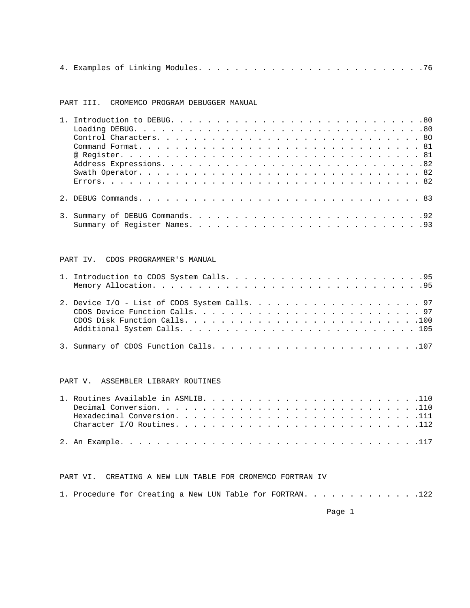|--|--|--|--|--|--|--|--|--|--|--|--|--|--|--|--|--|--|--|--|--|--|--|--|--|--|--|--|--|--|

PART III. CROMEMCO PROGRAM DEBUGGER MANUAL

# PART IV. CDOS PROGRAMMER'S MANUAL

# PART V. ASSEMBLER LIBRARY ROUTINES

# PART VI. CREATING A NEW LUN TABLE FOR CROMEMCO FORTRAN IV

|  | 1. Procedure for Creating a New LUN Table for FORTRAN. 122 |  |  |  |  |  |  |  |  |  |  |  |  |  |  |  |  |  |  |  |  |  |
|--|------------------------------------------------------------|--|--|--|--|--|--|--|--|--|--|--|--|--|--|--|--|--|--|--|--|--|
|--|------------------------------------------------------------|--|--|--|--|--|--|--|--|--|--|--|--|--|--|--|--|--|--|--|--|--|

en de la provincia de la provincia de la provincia de la provincia de la provincia de la provincia de la provi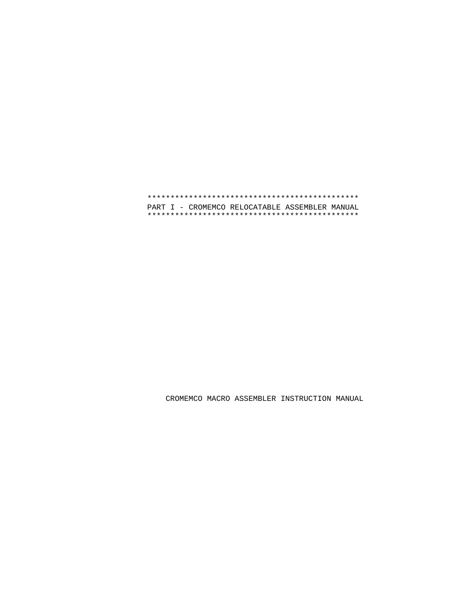\*\*\*\*\*\*\*\*\*\*\*\*\*\*\*\*\*\*\*\*\*\*\*\*\*\*\*\*\*\*\*\*\*\*\*\*\*\*\*\*\*\*\*\*\*\* PART I - CROMEMCO RELOCATABLE ASSEMBLER MANUAL \*\*\*\*\*\*\*\*\*\*\*\*\*\*\*\*\*\*\*\*\*\*\*\*\*\*\*\*\*\*\*\*\*\*\*\*\*\*\*\*\*\*\*\*\*\*

CROMEMCO MACRO ASSEMBLER INSTRUCTION MANUAL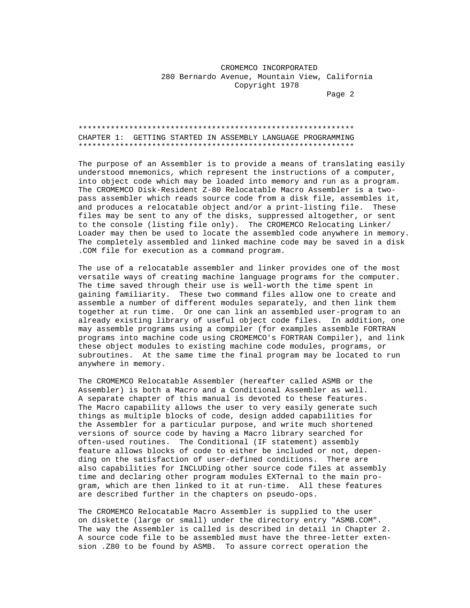# CROMEMCO INCORPORATED 280 Bernardo Avenue, Mountain View, California Copyright 1978

Page 2 and the contract of the contract of the contract of the contract of the contract of the contract of the contract of the contract of the contract of the contract of the contract of the contract of the contract of the

## \*\*\*\*\*\*\*\*\*\*\*\*\*\*\*\*\*\*\*\*\*\*\*\*\*\*\*\*\*\*\*\*\*\*\*\*\*\*\*\*\*\*\*\*\*\*\*\*\*\*\*\*\*\*\*\*\*\*\*\* CHAPTER 1: GETTING STARTED IN ASSEMBLY LANGUAGE PROGRAMMING \*\*\*\*\*\*\*\*\*\*\*\*\*\*\*\*\*\*\*\*\*\*\*\*\*\*\*\*\*\*\*\*\*\*\*\*\*\*\*\*\*\*\*\*\*\*\*\*\*\*\*\*\*\*\*\*\*\*\*\*

 The purpose of an Assembler is to provide a means of translating easily understood mnemonics, which represent the instructions of a computer, into object code which may be loaded into memory and run as a program. The CROMEMCO Disk-Resident Z-80 Relocatable Macro Assembler is a two pass assembler which reads source code from a disk file, assembles it, and produces a relocatable object and/or a print-listing file. These files may be sent to any of the disks, suppressed altogether, or sent to the console (listing file only). The CROMEMCO Relocating Linker/ Loader may then be used to locate the assembled code anywhere in memory. The completely assembled and linked machine code may be saved in a disk .COM file for execution as a command program.

 The use of a relocatable assembler and linker provides one of the most versatile ways of creating machine language programs for the computer. The time saved through their use is well-worth the time spent in gaining familiarity. These two command files allow one to create and assemble a number of different modules separately, and then link them together at run time. Or one can link an assembled user-program to an already existing library of useful object code files. In addition, one may assemble programs using a compiler (for examples assemble FORTRAN programs into machine code using CROMEMCO's FORTRAN Compiler), and link these object modules to existing machine code modules, programs, or subroutines. At the same time the final program may be located to run anywhere in memory.

 The CROMEMCO Relocatable Assembler (hereafter called ASMB or the Assembler) is both a Macro and a Conditional Assembler as well. A separate chapter of this manual is devoted to these features. The Macro capability allows the user to very easily generate such things as multiple blocks of code, design added capabilities for the Assembler for a particular purpose, and write much shortened versions of source code by having a Macro library searched for often-used routines. The Conditional (IF statement) assembly feature allows blocks of code to either be included or not, depen ding on the satisfaction of user-defined conditions. There are also capabilities for INCLUDing other source code files at assembly time and declaring other program modules EXTernal to the main pro gram, which are then linked to it at run-time. All these features are described further in the chapters on pseudo-ops.

 The CROMEMCO Relocatable Macro Assembler is supplied to the user on diskette (large or small) under the directory entry "ASMB.COM". The way the Assembler is called is described in detail in Chapter 2. A source code file to be assembled must have the three-letter exten sion .Z80 to be found by ASMB. To assure correct operation the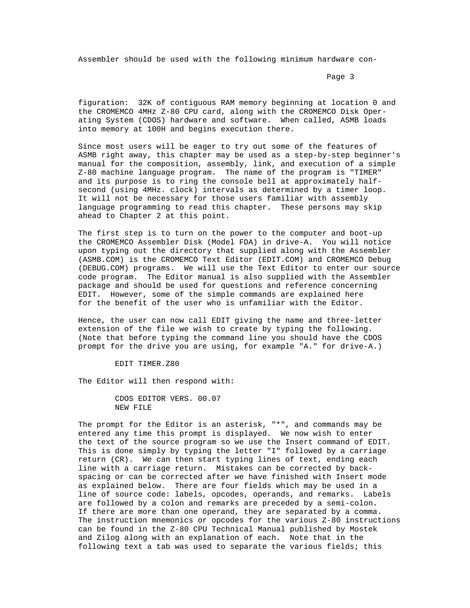Assembler should be used with the following minimum hardware con-

Page 3 and the set of the set of the set of the set of the set of the set of the set of the set of the set of the set of the set of the set of the set of the set of the set of the set of the set of the set of the set of th

 figuration: 32K of contiguous RAM memory beginning at location 0 and the CROMEMCO 4MHz Z-80 CPU card, along with the CROMEMCO Disk Oper ating System (CDOS) hardware and software. When called, ASMB loads into memory at 100H and begins execution there.

 Since most users will be eager to try out some of the features of ASMB right away, this chapter may be used as a step-by-step beginner's manual for the composition, assembly, link, and execution of a simple Z-80 machine language program. The name of the program is "TIMER" and its purpose is to ring the console bell at approximately half second (using 4MHz. clock) intervals as determined by a timer loop. It will not be necessary for those users familiar with assembly language programming to read this chapter. These persons may skip ahead to Chapter 2 at this point.

 The first step is to turn on the power to the computer and boot-up the CROMEMCO Assembler Disk (Model FDA) in drive-A. You will notice upon typing out the directory that supplied along with the Assembler (ASMB.COM) is the CROMEMCO Text Editor (EDIT.COM) and CROMEMCO Debug (DEBUG.COM) programs. We will use the Text Editor to enter our source code program. The Editor manual is also supplied with the Assembler package and should be used for questions and reference concerning EDIT. However, some of the simple commands are explained here for the benefit of the user who is unfamiliar with the Editor.

 Hence, the user can now call EDIT giving the name and three-letter extension of the file we wish to create by typing the following. (Note that before typing the command line you should have the CDOS prompt for the drive you are using, for example "A." for drive-A.)

EDIT TIMER.Z80

The Editor will then respond with:

 CDOS EDITOR VERS. 00.07 NEW FILE

 The prompt for the Editor is an asterisk, "\*", and commands may be entered any time this prompt is displayed. We now wish to enter the text of the source program so we use the Insert command of EDIT. This is done simply by typing the letter "I" followed by a carriage return (CR). We can then start typing lines of text, ending each line with a carriage return. Mistakes can be corrected by back spacing or can be corrected after we have finished with Insert mode as explained below. There are four fields which may be used in a line of source code: labels, opcodes, operands, and remarks. Labels are followed by a colon and remarks are preceded by a semi-colon. If there are more than one operand, they are separated by a comma. The instruction mnemonics or opcodes for the various Z-80 instructions can be found in the Z-80 CPU Technical Manual published by Mostek and Zilog along with an explanation of each. Note that in the following text a tab was used to separate the various fields; this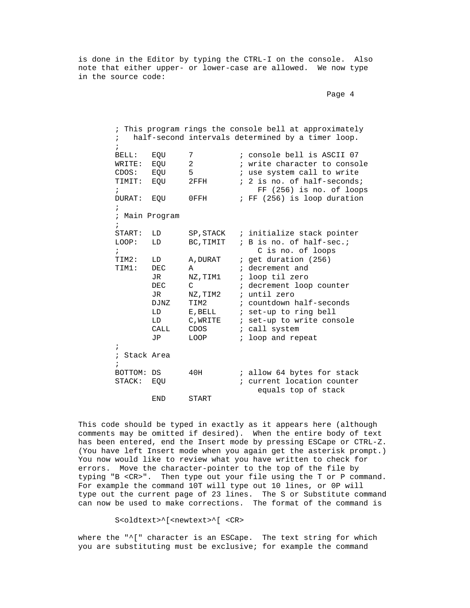is done in the Editor by typing the CTRL-I on the console. Also note that either upper- or lower-case are allowed. We now type in the source code:

```
en de la provincia de la provincia de la provincia de la provincia de la provincia de la provincia de la provi
```
 ; This program rings the console bell at approximately half-second intervals determined by a timer loop.  $\mathcal{L}^{\text{max}}$ BELL: EQU 7 ; console bell is ASCII 07<br>
WRITE: EQU 2 ; write character to conso  $W$ RITE: EQU 2 ; write character to console<br>  $C$ DOS: EOU 5 ; use system call to write CDOS: EQU 5 ; use system call to write<br>TIMIT: EQU 2FFH ; 2 is no. of half-seconds ; 2 is no. of half-seconds; ;<br>
FF (256) is no. of loops<br>
DURAT: EQU 0FFH ; FF (256) is loop duration : FF (256) is loop duration  $\mathcal{L}^{\text{max}}$  ; Main Program  $\mathcal{L}^{\text{max}}$ START: LD SP, STACK ; initialize stack pointer<br>LOOP: LD BC, TIMIT ; B is no. of half-sec.; ; B is no. of half-sec.; % C is no. of loops<br>TIM2: LD A, DURAT : get duration (256) TIM2: LD A, DURAT ; get duration (256)<br>TIM1: DEC A ; decrement and DEC A ; decrement and<br>JR NZ.TIM1 ; loop til zero JR NZ,TIM1 ; loop til zero<br>DEC C ; decrement loo DEC C ; decrement loop counter<br>JR NZ.TIM2 ; until zero JR NZ,TIM2 ; until zero<br>DJNZ TIM2 ; countdown 1 DJNZ TIM2 ; countdown half-seconds<br>
LD E,BELL ; set-up to ring bell LD E, BELL ; set-up to ring bell<br>
LD C, WRITE ; set-up to write con LD C, WRITE ; set-up to write console<br>CALL CDOS ; call system CALL CDOS ; call system<br>  $JP$  LOOP ; loop and rep ; loop and repeat  $\mathcal{L}^{\text{max}}$  ; Stack Area  $\mathcal{L}^{\text{max}}$ BOTTOM: DS 40H : allow 64 bytes for stack<br>
STACK: EOU : current location counter ; current location counter equals top of stack END START

 This code should be typed in exactly as it appears here (although comments may be omitted if desired). When the entire body of text has been entered, end the Insert mode by pressing ESCape or CTRL-Z. (You have left Insert mode when you again get the asterisk prompt.) You now would like to review what you have written to check for errors. Move the character-pointer to the top of the file by typing "B <CR>". Then type out your file using the T or P command. For example the command 10T will type out 10 lines, or 0P will type out the current page of 23 lines. The S or Substitute command can now be used to make corrections. The format of the command is

S<oldtext>^[<newtext>^[ <CR>

 where the "^[" character is an ESCape. The text string for which you are substituting must be exclusive; for example the command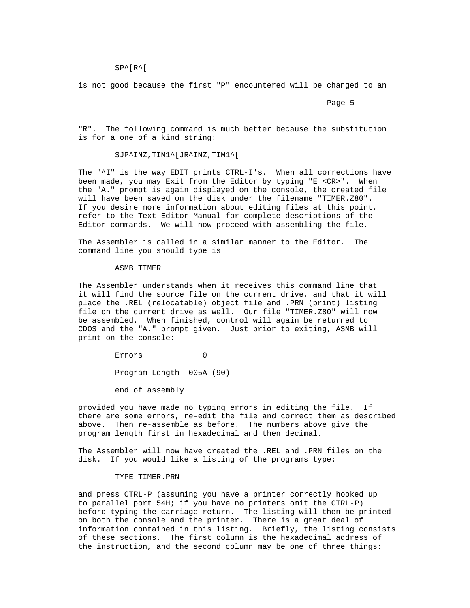SP^[R^[

is not good because the first "P" encountered will be changed to an

Page 5 and the set of the set of the set of the set of the set of the set of the set of the set of the set of the set of the set of the set of the set of the set of the set of the set of the set of the set of the set of th

 "R". The following command is much better because the substitution is for a one of a kind string:

SJP^INZ,TIM1^[JR^INZ,TIM1^[

The "^I" is the way EDIT prints CTRL-I's. When all corrections have been made, you may Exit from the Editor by typing "E <CR>". When the "A." prompt is again displayed on the console, the created file will have been saved on the disk under the filename "TIMER.Z80". If you desire more information about editing files at this point, refer to the Text Editor Manual for complete descriptions of the Editor commands. We will now proceed with assembling the file.

 The Assembler is called in a similar manner to the Editor. The command line you should type is

#### ASMB TIMER

 The Assembler understands when it receives this command line that it will find the source file on the current drive, and that it will place the .REL (relocatable) object file and .PRN (print) listing file on the current drive as well. Our file "TIMER.Z80" will now be assembled. When finished, control will again be returned to CDOS and the "A." prompt given. Just prior to exiting, ASMB will print on the console:

> Errors 0 Program Length 005A (90)

end of assembly

 provided you have made no typing errors in editing the file. If there are some errors, re-edit the file and correct them as described above. Then re-assemble as before. The numbers above give the program length first in hexadecimal and then decimal.

 The Assembler will now have created the .REL and .PRN files on the disk. If you would like a listing of the programs type:

# TYPE TIMER.PRN

 and press CTRL-P (assuming you have a printer correctly hooked up to parallel port 54H; if you have no printers omit the CTRL-P) before typing the carriage return. The listing will then be printed on both the console and the printer. There is a great deal of information contained in this listing. Briefly, the listing consists of these sections. The first column is the hexadecimal address of the instruction, and the second column may be one of three things: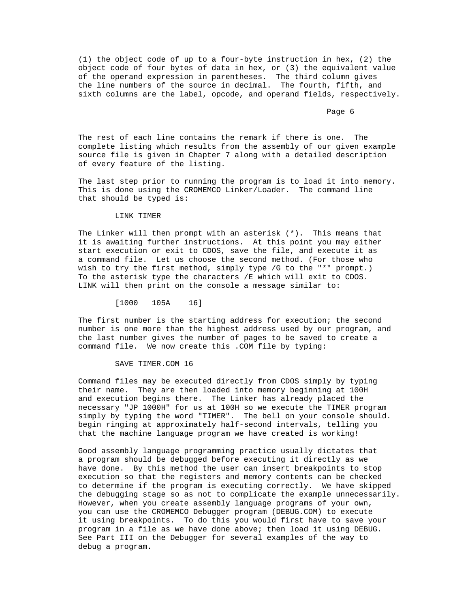(1) the object code of up to a four-byte instruction in hex, (2) the object code of four bytes of data in hex, or (3) the equivalent value of the operand expression in parentheses. The third column gives the line numbers of the source in decimal. The fourth, fifth, and sixth columns are the label, opcode, and operand fields, respectively.

Page 6 and the state of the state of the state of the state of the state of the state of the state of the state of the state of the state of the state of the state of the state of the state of the state of the state of the

 The rest of each line contains the remark if there is one. The complete listing which results from the assembly of our given example source file is given in Chapter 7 along with a detailed description of every feature of the listing.

 The last step prior to running the program is to load it into memory. This is done using the CROMEMCO Linker/Loader. The command line that should be typed is:

#### LINK TIMER

 The Linker will then prompt with an asterisk (\*). This means that it is awaiting further instructions. At this point you may either start execution or exit to CDOS, save the file, and execute it as a command file. Let us choose the second method. (For those who wish to try the first method, simply type /G to the "\*" prompt.) To the asterisk type the characters /E which will exit to CDOS. LINK will then print on the console a message similar to:

[1000 105A 16]

 The first number is the starting address for execution; the second number is one more than the highest address used by our program, and the last number gives the number of pages to be saved to create a command file. We now create this .COM file by typing:

SAVE TIMER.COM 16

 Command files may be executed directly from CDOS simply by typing their name. They are then loaded into memory beginning at 100H and execution begins there. The Linker has already placed the necessary "JP 1000H" for us at 100H so we execute the TIMER program simply by typing the word "TIMER". The bell on your console should. begin ringing at approximately half-second intervals, telling you that the machine language program we have created is working!

 Good assembly language programming practice usually dictates that a program should be debugged before executing it directly as we have done. By this method the user can insert breakpoints to stop execution so that the registers and memory contents can be checked to determine if the program is executing correctly. We have skipped the debugging stage so as not to complicate the example unnecessarily. However, when you create assembly language programs of your own, you can use the CROMEMCO Debugger program (DEBUG.COM) to execute it using breakpoints. To do this you would first have to save your program in a file as we have done above; then load it using DEBUG. See Part III on the Debugger for several examples of the way to debug a program.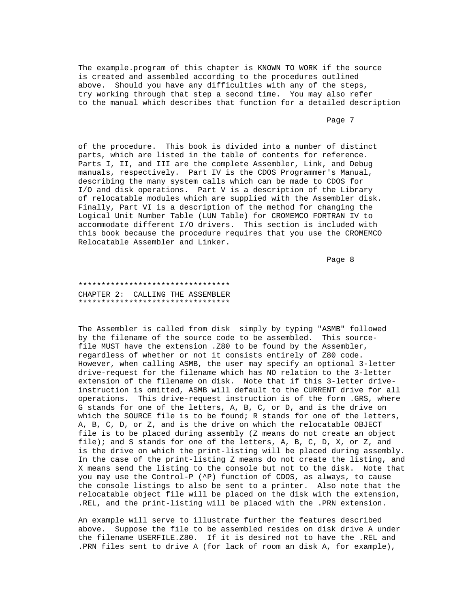The example.program of this chapter is KNOWN TO WORK if the source is created and assembled according to the procedures outlined above. Should you have any difficulties with any of the steps, try working through that step a second time. You may also refer to the manual which describes that function for a detailed description

Page 7 and 2012 and 2012 and 2012 and 2012 and 2012 and 2012 and 2012 and 2012 and 2012 and 2012 and 2012 and

 of the procedure. This book is divided into a number of distinct parts, which are listed in the table of contents for reference. Parts I, II, and III are the complete Assembler, Link, and Debug manuals, respectively. Part IV is the CDOS Programmer's Manual, describing the many system calls which can be made to CDOS for I/O and disk operations. Part V is a description of the Library of relocatable modules which are supplied with the Assembler disk. Finally, Part VI is a description of the method for changing the Logical Unit Number Table (LUN Table) for CROMEMCO FORTRAN IV to accommodate different I/O drivers. This section is included with this book because the procedure requires that you use the CROMEMCO Relocatable Assembler and Linker.

Page 8 and 2012 and 2012 and 2012 and 2012 and 2012 and 2012 and 2012 and 2012 and 2012 and 2012 and 2012 and

 \*\*\*\*\*\*\*\*\*\*\*\*\*\*\*\*\*\*\*\*\*\*\*\*\*\*\*\*\*\*\*\*\* CHAPTER 2: CALLING THE ASSEMBLER \*\*\*\*\*\*\*\*\*\*\*\*\*\*\*\*\*\*\*\*\*\*\*\*\*\*\*\*\*\*\*\*\*

 The Assembler is called from disk simply by typing "ASMB" followed by the filename of the source code to be assembled. This source file MUST have the extension .Z80 to be found by the Assembler, regardless of whether or not it consists entirely of Z80 code. However, when calling ASMB, the user may specify an optional 3-letter drive-request for the filename which has NO relation to the 3-letter extension of the filename on disk. Note that if this 3-letter drive instruction is omitted, ASMB will default to the CURRENT drive for all operations. This drive-request instruction is of the form .GRS, where G stands for one of the letters, A, B, C, or D, and is the drive on which the SOURCE file is to be found; R stands for one of the letters, A, B, C, D, or Z, and is the drive on which the relocatable OBJECT file is to be placed during assembly (Z means do not create an object file); and S stands for one of the letters, A, B, C, D, X, or Z, and is the drive on which the print-listing will be placed during assembly. In the case of the print-listing Z means do not create the listing, and X means send the listing to the console but not to the disk. Note that you may use the Control-P (^P) function of CDOS, as always, to cause the console listings to also be sent to a printer. Also note that the relocatable object file will be placed on the disk with the extension, .REL, and the print-listing will be placed with the .PRN extension.

 An example will serve to illustrate further the features described above. Suppose the file to be assembled resides on disk drive A under the filename USERFILE.Z80. If it is desired not to have the .REL and .PRN files sent to drive A (for lack of room an disk A, for example),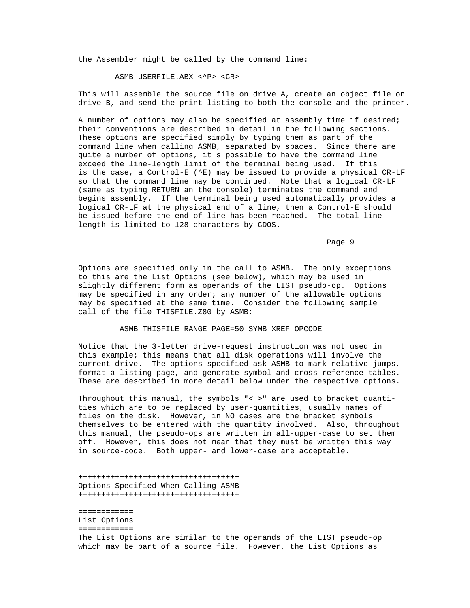the Assembler might be called by the command line:

ASMB USERFILE.ABX <^P> <CR>

 This will assemble the source file on drive A, create an object file on drive B, and send the print-listing to both the console and the printer.

 A number of options may also be specified at assembly time if desired; their conventions are described in detail in the following sections. These options are specified simply by typing them as part of the command line when calling ASMB, separated by spaces. Since there are quite a number of options, it's possible to have the command line exceed the line-length limit of the terminal being used. If this is the case, a Control-E (^E) may be issued to provide a physical CR-LF so that the command line may be continued. Note that a logical CR-LF (same as typing RETURN an the console) terminates the command and begins assembly. If the terminal being used automatically provides a logical CR-LF at the physical end of a line, then a Control-E should be issued before the end-of-line has been reached. The total line length is limited to 128 characters by CDOS.

en de la provincia de la provincia de la provincia de la provincia de la provincia de la provincia de la provi

 Options are specified only in the call to ASMB. The only exceptions to this are the List Options (see below), which may be used in slightly different form as operands of the LIST pseudo-op. Options may be specified in any order; any number of the allowable options may be specified at the same time. Consider the following sample call of the file THISFILE.Z80 by ASMB:

# ASMB THISFILE RANGE PAGE=50 SYMB XREF OPCODE

 Notice that the 3-letter drive-request instruction was not used in this example; this means that all disk operations will involve the current drive. The options specified ask ASMB to mark relative jumps, format a listing page, and generate symbol and cross reference tables. These are described in more detail below under the respective options.

 Throughout this manual, the symbols "< >" are used to bracket quanti ties which are to be replaced by user-quantities, usually names of files on the disk. However, in NO cases are the bracket symbols themselves to be entered with the quantity involved. Also, throughout this manual, the pseudo-ops are written in all-upper-case to set them off. However, this does not mean that they must be written this way in source-code. Both upper- and lower-case are acceptable.

 +++++++++++++++++++++++++++++++++++ Options Specified When Calling ASMB +++++++++++++++++++++++++++++++++++

 ============ List Options ============ The List Options are similar to the operands of the LIST pseudo-op which may be part of a source file. However, the List Options as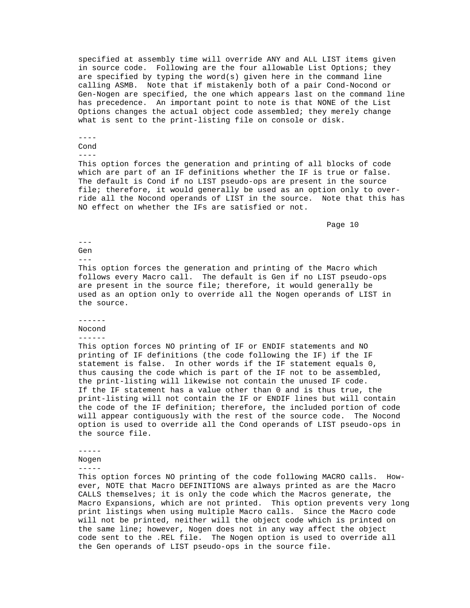specified at assembly time will override ANY and ALL LIST items given in source code. Following are the four allowable List Options; they are specified by typing the word(s) given here in the command line calling ASMB. Note that if mistakenly both of a pair Cond-Nocond or Gen-Nogen are specified, the one which appears last on the command line has precedence. An important point to note is that NONE of the List Options changes the actual object code assembled; they merely change what is sent to the print-listing file on console or disk.

# ----

Cond

----

 This option forces the generation and printing of all blocks of code which are part of an IF definitions whether the IF is true or false. The default is Cond if no LIST pseudo-ops are present in the source file; therefore, it would generally be used as an option only to over ride all the Nocond operands of LIST in the source. Note that this has NO effect on whether the IFs are satisfied or not.

en die staat van die 10de eeu n.C. In 1980 van die 10de eeu n.C. In 1980 van die 10de eeu n.C. 10de eeu n.C. 1

#### --- Gen

---

 This option forces the generation and printing of the Macro which follows every Macro call. The default is Gen if no LIST pseudo-ops are present in the source file; therefore, it would generally be used as an option only to override all the Nogen operands of LIST in the source.

#### ------

Nocond

### ------

 This option forces NO printing of IF or ENDIF statements and NO printing of IF definitions (the code following the IF) if the IF statement is false. In other words if the IF statement equals 0, thus causing the code which is part of the IF not to be assembled, the print-listing will likewise not contain the unused IF code. If the IF statement has a value other than 0 and is thus true, the print-listing will not contain the IF or ENDIF lines but will contain the code of the IF definition; therefore, the included portion of code will appear contiguously with the rest of the source code. The Nocond option is used to override all the Cond operands of LIST pseudo-ops in the source file.

-----

Nogen

-----

 This option forces NO printing of the code following MACRO calls. How ever, NOTE that Macro DEFINITIONS are always printed as are the Macro CALLS themselves; it is only the code which the Macros generate, the Macro Expansions, which are not printed. This option prevents very long print listings when using multiple Macro calls. Since the Macro code will not be printed, neither will the object code which is printed on the same line; however, Nogen does not in any way affect the object code sent to the .REL file. The Nogen option is used to override all the Gen operands of LIST pseudo-ops in the source file.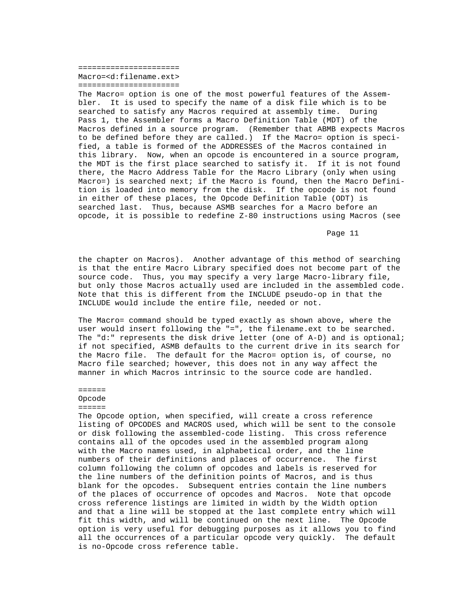====================== Macro=<d:filename.ext> ======================

 The Macro= option is one of the most powerful features of the Assem bler. It is used to specify the name of a disk file which is to be searched to satisfy any Macros required at assembly time. During Pass 1, the Assembler forms a Macro Definition Table (MDT) of the Macros defined in a source program. (Remember that ABMB expects Macros to be defined before they are called.) If the Macro= option is speci fied, a table is formed of the ADDRESSES of the Macros contained in this library. Now, when an opcode is encountered in a source program, the MDT is the first place searched to satisfy it. If it is not found there, the Macro Address Table for the Macro Library (only when using Macro=) is searched next; if the Macro is found, then the Macro Defini tion is loaded into memory from the disk. If the opcode is not found in either of these places, the Opcode Definition Table (ODT) is searched last. Thus, because ASMB searches for a Macro before an opcode, it is possible to redefine Z-80 instructions using Macros (see

en die staat van die 11de eeu n.C. Soos in 1950 van die 11de eeu n.C. Soos in 1960 van die 11de eeu n.C. Soos

 the chapter on Macros). Another advantage of this method of searching is that the entire Macro Library specified does not become part of the source code. Thus, you may specify a very large Macro-library file, but only those Macros actually used are included in the assembled code. Note that this is different from the INCLUDE pseudo-op in that the INCLUDE would include the entire file, needed or not.

 The Macro= command should be typed exactly as shown above, where the user would insert following the "=", the filename.ext to be searched. The "d:" represents the disk drive letter (one of A-D) and is optional; if not specified, ASMB defaults to the current drive in its search for the Macro file. The default for the Macro= option is, of course, no Macro file searched; however, this does not in any way affect the manner in which Macros intrinsic to the source code are handled.

#### ======

#### Opcode

#### ======

 The Opcode option, when specified, will create a cross reference listing of OPCODES and MACROS used, which will be sent to the console or disk following the assembled-code listing. This cross reference contains all of the opcodes used in the assembled program along with the Macro names used, in alphabetical order, and the line numbers of their definitions and places of occurrence. The first column following the column of opcodes and labels is reserved for the line numbers of the definition points of Macros, and is thus blank for the opcodes. Subsequent entries contain the line numbers of the places of occurrence of opcodes and Macros. Note that opcode cross reference listings are limited in width by the Width option and that a line will be stopped at the last complete entry which will fit this width, and will be continued on the next line. The Opcode option is very useful for debugging purposes as it allows you to find all the occurrences of a particular opcode very quickly. The default is no-Opcode cross reference table.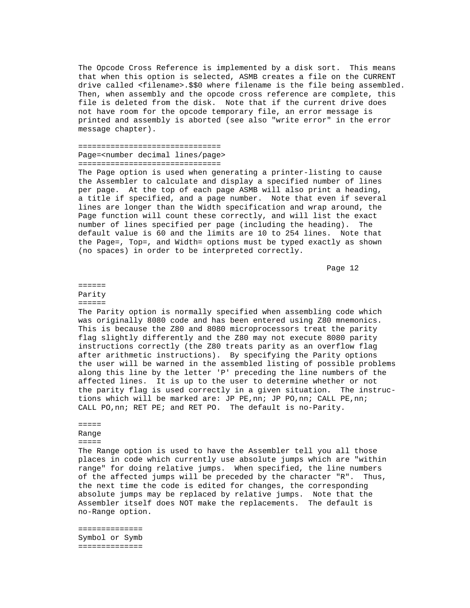The Opcode Cross Reference is implemented by a disk sort. This means that when this option is selected, ASMB creates a file on the CURRENT drive called <filename>.\$\$0 where filename is the file being assembled. Then, when assembly and the opcode cross reference are complete, this file is deleted from the disk. Note that if the current drive does not have room for the opcode temporary file, an error message is printed and assembly is aborted (see also "write error" in the error message chapter).

### =============================== Page=<number decimal lines/page>

===============================

 The Page option is used when generating a printer-listing to cause the Assembler to calculate and display a specified number of lines per page. At the top of each page ASMB will also print a heading, a title if specified, and a page number. Note that even if several lines are longer than the Width specification and wrap around, the Page function will count these correctly, and will list the exact number of lines specified per page (including the heading). The default value is 60 and the limits are 10 to 254 lines. Note that the Page=, Top=, and Width= options must be typed exactly as shown (no spaces) in order to be interpreted correctly.

Page 12 and the state of the state of the state of the state of the state of the state of the state of the state of the state of the state of the state of the state of the state of the state of the state of the state of th

 ====== Parity

 $=$   $=$   $=$   $=$   $=$ 

 The Parity option is normally specified when assembling code which was originally 8080 code and has been entered using Z80 mnemonics. This is because the Z80 and 8080 microprocessors treat the parity flag slightly differently and the Z80 may not execute 8080 parity instructions correctly (the Z80 treats parity as an overflow flag after arithmetic instructions). By specifying the Parity options the user will be warned in the assembled listing of possible problems along this line by the letter 'P' preceding the line numbers of the affected lines. It is up to the user to determine whether or not the parity flag is used correctly in a given situation. The instruc tions which will be marked are: JP PE, nn; JP PO, nn; CALL PE, nn; CALL PO,nn; RET PE; and RET PO. The default is no-Parity.

 ===== Range

#### =====

 The Range option is used to have the Assembler tell you all those places in code which currently use absolute jumps which are "within range" for doing relative jumps. When specified, the line numbers of the affected jumps will be preceded by the character "R". Thus, the next time the code is edited for changes, the corresponding absolute jumps may be replaced by relative jumps. Note that the Assembler itself does NOT make the replacements. The default is no-Range option.

 ============== Symbol or Symb ==============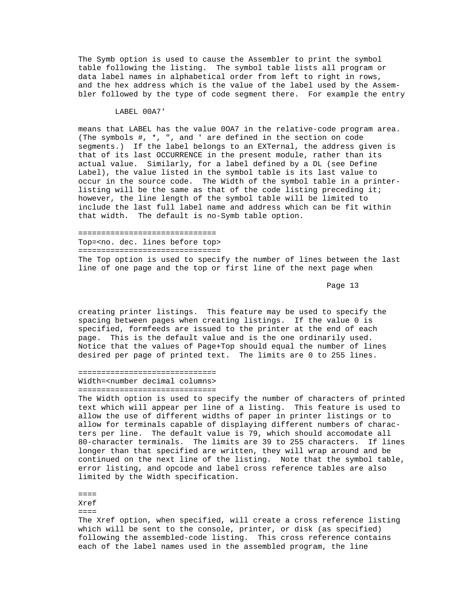The Symb option is used to cause the Assembler to print the symbol table following the listing. The symbol table lists all program or data label names in alphabetical order from left to right in rows, and the hex address which is the value of the label used by the Assem bler followed by the type of code segment there. For example the entry

#### LABEL 00A7'

 means that LABEL has the value 0OA7 in the relative-code program area. (The symbols #, \*, ", and ' are defined in the section on code segments.) If the label belongs to an EXTernal, the address given is that of its last OCCURRENCE in the present module, rather than its actual value. Similarly, for a label defined by a DL (see Define Label), the value listed in the symbol table is its last value to occur in the source code. The Width of the symbol table in a printer listing will be the same as that of the code listing preceding it; however, the line length of the symbol table will be limited to include the last full label name and address which can be fit within that width. The default is no-Symb table option.

 ============================== Top=<no. dec. lines before top> =============================== The Top option is used to specify the number of lines between the last line of one page and the top or first line of the next page when

Page 13 and the set of the set of the set of the set of the set of the set of the set of the set of the set of the set of the set of the set of the set of the set of the set of the set of the set of the set of the set of t

 creating printer listings. This feature may be used to specify the spacing between pages when creating listings. If the value 0 is specified, formfeeds are issued to the printer at the end of each page. This is the default value and is the one ordinarily used. Notice that the values of Page+Top should equal the number of lines desired per page of printed text. The limits are 0 to 255 lines.

#### ============================== Width=<number decimal columns> ==============================

 The Width option is used to specify the number of characters of printed text which will appear per line of a listing. This feature is used to allow the use of different widths of paper in printer listings or to allow for terminals capable of displaying different numbers of charac ters per line. The default value is 79, which should accomodate all 80-character terminals. The limits are 39 to 255 characters. If lines longer than that specified are written, they will wrap around and be continued on the next line of the listing. Note that the symbol table, error listing, and opcode and label cross reference tables are also limited by the Width specification.

 ==== Xref

 $=$  $=$  $=$  $=$ 

 The Xref option, when specified, will create a cross reference listing which will be sent to the console, printer, or disk (as specified) following the assembled-code listing. This cross reference contains each of the label names used in the assembled program, the line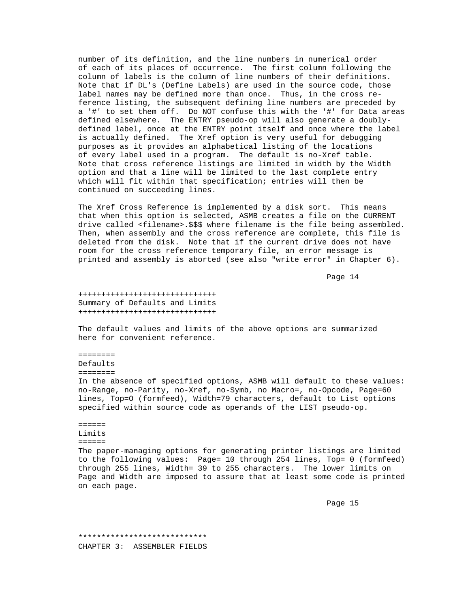number of its definition, and the line numbers in numerical order of each of its places of occurrence. The first column following the column of labels is the column of line numbers of their definitions. Note that if DL's (Define Labels) are used in the source code, those label names may be defined more than once. Thus, in the cross re ference listing, the subsequent defining line numbers are preceded by a '#' to set them off. Do NOT confuse this with the '#' for Data areas defined elsewhere. The ENTRY pseudo-op will also generate a doubly defined label, once at the ENTRY point itself and once where the label is actually defined. The Xref option is very useful for debugging purposes as it provides an alphabetical listing of the locations of every label used in a program. The default is no-Xref table. Note that cross reference listings are limited in width by the Width option and that a line will be limited to the last complete entry which will fit within that specification; entries will then be continued on succeeding lines.

 The Xref Cross Reference is implemented by a disk sort. This means that when this option is selected, ASMB creates a file on the CURRENT drive called <filename>.\$\$\$ where filename is the file being assembled. Then, when assembly and the cross reference are complete, this file is deleted from the disk. Note that if the current drive does not have room for the cross reference temporary file, an error message is printed and assembly is aborted (see also "write error" in Chapter 6).

en die 14de jaar van die 14de eeu n.C. In 19de eeu n.C. 14de eeu n.C. 14de eeu n.C. 14de eeu n.C. 14de eeu n.C

 ++++++++++++++++++++++++++++++ Summary of Defaults and Limits ++++++++++++++++++++++++++++++

 The default values and limits of the above options are summarized here for convenient reference.

 ======== Defaults

========

 In the absence of specified options, ASMB will default to these values: no-Range, no-Parity, no-Xref, no-Symb, no Macro=, no-Opcode, Page=60 lines, Top=O (formfeed), Width=79 characters, default to List options specified within source code as operands of the LIST pseudo-op.

======

 Limits  $=$   $=$   $=$   $=$   $=$   $=$ 

 The paper-managing options for generating printer listings are limited to the following values: Page= 10 through 254 lines, Top= 0 (formfeed) through 255 lines, Width= 39 to 255 characters. The lower limits on Page and Width are imposed to assure that at least some code is printed on each page.

Page 15

 \*\*\*\*\*\*\*\*\*\*\*\*\*\*\*\*\*\*\*\*\*\*\*\*\*\*\*\* CHAPTER 3: ASSEMBLER FIELDS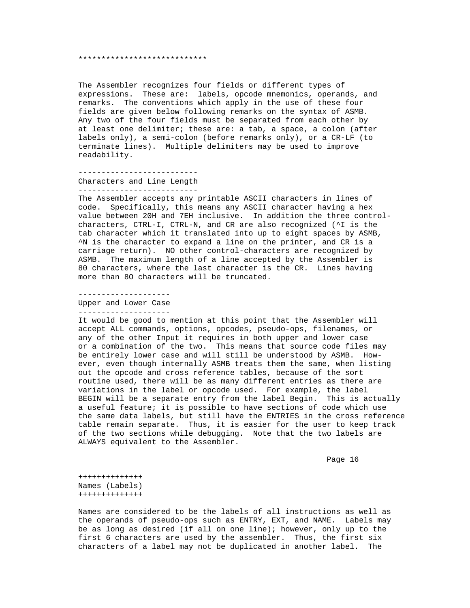#### \*\*\*\*\*\*\*\*\*\*\*\*\*\*\*\*\*\*\*\*\*\*\*\*\*\*\*\*

 The Assembler recognizes four fields or different types of expressions. These are: labels, opcode mnemonics, operands, and remarks. The conventions which apply in the use of these four fields are given below following remarks on the syntax of ASMB. Any two of the four fields must be separated from each other by at least one delimiter; these are: a tab, a space, a colon (after labels only), a semi-colon (before remarks only), or a CR-LF (to terminate lines). Multiple delimiters may be used to improve readability.

--------------------------

 Characters and Line Length --------------------------

 The Assembler accepts any printable ASCII characters in lines of code. Specifically, this means any ASCII character having a hex value between 20H and 7EH inclusive. In addition the three control characters, CTRL-I, CTRL-N, and CR are also recognized (^I is the tab character which it translated into up to eight spaces by ASMB, ^N is the character to expand a line on the printer, and CR is a carriage return). NO other control-characters are recognized by ASMB. The maximum length of a line accepted by the Assembler is 80 characters, where the last character is the CR. Lines having more than 8O characters will be truncated.

 -------------------- Upper and Lower Case --------------------

 It would be good to mention at this point that the Assembler will accept ALL commands, options, opcodes, pseudo-ops, filenames, or any of the other Input it requires in both upper and lower case or a combination of the two. This means that source code files may be entirely lower case and will still be understood by ASMB. How ever, even though internally ASMB treats them the same, when listing out the opcode and cross reference tables, because of the sort routine used, there will be as many different entries as there are variations in the label or opcode used. For example, the label BEGIN will be a separate entry from the label Begin. This is actually a useful feature; it is possible to have sections of code which use the same data labels, but still have the ENTRIES in the cross reference table remain separate. Thus, it is easier for the user to keep track of the two sections while debugging. Note that the two labels are ALWAYS equivalent to the Assembler.

en die 16de jaar van die 16de eeu n.C. Soos van die 16de eeu n.C. Soos van die 16de eeu n.C. Soos en die 16de e

 ++++++++++++++ Names (Labels) ++++++++++++++

 Names are considered to be the labels of all instructions as well as the operands of pseudo-ops such as ENTRY, EXT, and NAME. Labels may be as long as desired (if all on one line); however, only up to the first 6 characters are used by the assembler. Thus, the first six characters of a label may not be duplicated in another label. The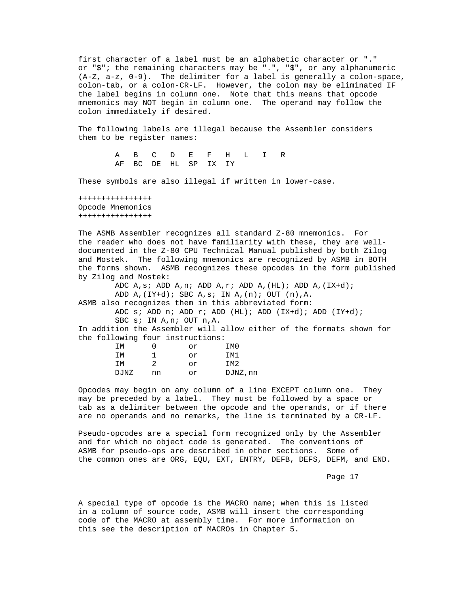first character of a label must be an alphabetic character or "." or "\$"; the remaining characters may be ".", "\$", or any alphanumeric (A-Z, a-z, 0-9). The delimiter for a label is generally a colon-space, colon-tab, or a colon-CR-LF. However, the colon may be eliminated IF the label begins in column one. Note that this means that opcode mnemonics may NOT begin in column one. The operand may follow the colon immediately if desired.

 The following labels are illegal because the Assembler considers them to be register names:

> A B C D E F H L I R AF BC DE HL SP IX IY

These symbols are also illegal if written in lower-case.

 ++++++++++++++++ Opcode Mnemonics ++++++++++++++++

 The ASMB Assembler recognizes all standard Z-80 mnemonics. For the reader who does not have familiarity with these, they are well documented in the Z-80 CPU Technical Manual published by both Zilog and Mostek. The following mnemonics are recognized by ASMB in BOTH the forms shown. ASMB recognizes these opcodes in the form published by Zilog and Mostek:

 ADC A,s; ADD A,n; ADD A,r; ADD A,(HL); ADD A,(IX+d); ADD  $A$ ,  $(IY+d)$ ; SBC  $A$ ,  $s$ ; IN  $A$ ,  $(n)$ ; OUT  $(n)$ ,  $A$ . ASMB also recognizes them in this abbreviated form: ADC s; ADD n; ADD  $r$ ; ADD (HL); ADD (IX+d); ADD (IY+d); SBC s; IN A,n; OUT n,A.

 In addition the Assembler will allow either of the formats shown for the following four instructions:

| IΜ   |    | or | IM0      |
|------|----|----|----------|
| TМ   |    | or | IM1      |
| ТM   | ာ  | or | IM2      |
| DJNZ | nn | or | DJNZ, nn |
|      |    |    |          |

 Opcodes may begin on any column of a line EXCEPT column one. They may be preceded by a label. They must be followed by a space or tab as a delimiter between the opcode and the operands, or if there are no operands and no remarks, the line is terminated by a CR-LF.

 Pseudo-opcodes are a special form recognized only by the Assembler and for which no object code is generated. The conventions of ASMB for pseudo-ops are described in other sections. Some of the common ones are ORG, EQU, EXT, ENTRY, DEFB, DEFS, DEFM, and END.

Page 17

 A special type of opcode is the MACRO name; when this is listed in a column of source code, ASMB will insert the corresponding code of the MACRO at assembly time. For more information on this see the description of MACROs in Chapter 5.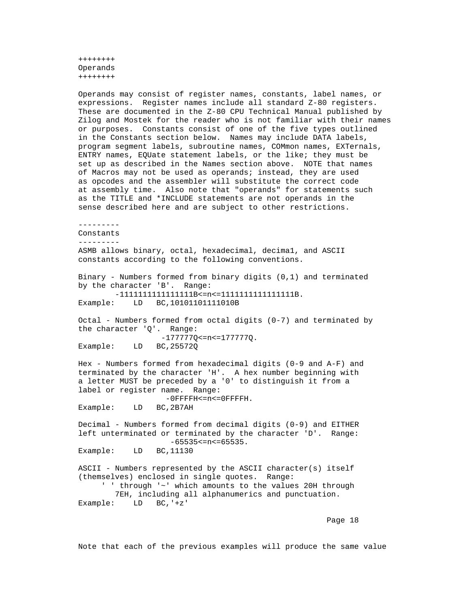++++++++ Operands ++++++++

 Operands may consist of register names, constants, label names, or expressions. Register names include all standard Z-80 registers. These are documented in the Z-80 CPU Technical Manual published by Zilog and Mostek for the reader who is not familiar with their names or purposes. Constants consist of one of the five types outlined in the Constants section below. Names may include DATA labels, program segment labels, subroutine names, COMmon names, EXTernals, ENTRY names, EQUate statement labels, or the like; they must be set up as described in the Names section above. NOTE that names of Macros may not be used as operands; instead, they are used as opcodes and the assembler will substitute the correct code at assembly time. Also note that "operands" for statements such as the TITLE and \*INCLUDE statements are not operands in the sense described here and are subject to other restrictions.

 --------- Constants --------- ASMB allows binary, octal, hexadecimal, decima1, and ASCII constants according to the following conventions. Binary - Numbers formed from binary digits (0,1) and terminated by the character 'B'. Range: -1111111111111111B<=n<=1111111111111111B. BC,10101101111010B Octal - Numbers formed from octal digits (0-7) and terminated by the character 'Q'. Range: -177777Q <= n <= 1777770 == Example: LD BC, 25572Q BC, 25572Q Hex - Numbers formed from hexadecimal digits (0-9 and A-F) and terminated by the character 'H'. A hex number beginning with a letter MUST be preceded by a '0' to distinguish it from a

label or register name. Range:

-0FFFFH<=n<=0FFFFH.<br>Example: LD BC,2B7AH BC, 2B7AH

 Decimal - Numbers formed from decimal digits (0-9) and EITHER left unterminated or terminated by the character 'D'. Range: -65535<=n<=65535.<br>Example: LD BC,11130 BC,11130

 ASCII - Numbers represented by the ASCII character(s) itself (themselves) enclosed in single quotes. Range: ' ' through '~' which amounts to the values 20H through 7EH, including all alphanumerics and punctuation. Example: LD BC,'+z'

en die 18de jaar van die 19de eeu n.C. Soos van die 18de eeu n.C. Soos van die 18de eeu n.C. In 19de eeu n.C. <br>18de eeu n.C. Soos van die 19de eeu n.C. Soos van die 19de eeu n.C. Soos van die 19de eeu n.C. In 19de eeu n.C

Note that each of the previous examples will produce the same value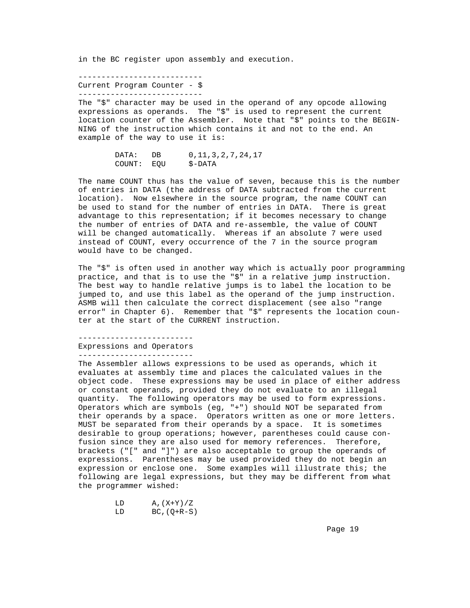in the BC register upon assembly and execution.

 --------------------------- Current Program Counter - \$ ---------------------------

 The "\$" character may be used in the operand of any opcode allowing expressions as operands. The "\$" is used to represent the current location counter of the Assembler. Note that "\$" points to the BEGIN- NING of the instruction which contains it and not to the end. An example of the way to use it is:

> DATA: DB 0,11,3,2,7,24,17<br>COUNT: EQU \$-DATA COUNT: EQU

 The name COUNT thus has the value of seven, because this is the number of entries in DATA (the address of DATA subtracted from the current location). Now elsewhere in the source program, the name COUNT can be used to stand for the number of entries in DATA. There is great advantage to this representation; if it becomes necessary to change the number of entries of DATA and re-assemble, the value of COUNT will be changed automatically. Whereas if an absolute 7 were used instead of COUNT, every occurrence of the 7 in the source program would have to be changed.

 The "\$" is often used in another way which is actually poor programming practice, and that is to use the "\$" in a relative jump instruction. The best way to handle relative jumps is to label the location to be jumped to, and use this label as the operand of the jump instruction. ASMB will then calculate the correct displacement (see also "range error" in Chapter 6). Remember that "\$" represents the location coun ter at the start of the CURRENT instruction.

-------------------------

Expressions and Operators

-------------------------

 The Assembler allows expressions to be used as operands, which it evaluates at assembly time and places the calculated values in the object code. These expressions may be used in place of either address or constant operands, provided they do not evaluate to an illegal quantity. The following operators may be used to form expressions. Operators which are symbols (eg, "+") should NOT be separated from their operands by a space. Operators written as one or more letters. MUST be separated from their operands by a space. It is sometimes desirable to group operations; however, parentheses could cause con fusion since they are also used for memory references. Therefore, brackets ("[" and "]") are also acceptable to group the operands of expressions. Parentheses may be used provided they do not begin an expression or enclose one. Some examples will illustrate this; the following are legal expressions, but they may be different from what the programmer wished:

> LD  $A,(X+Y)/Z$ <br>LD  $BC,(Q+R-S)$  $BC$ , ( $Q+R-S$ )

Page 19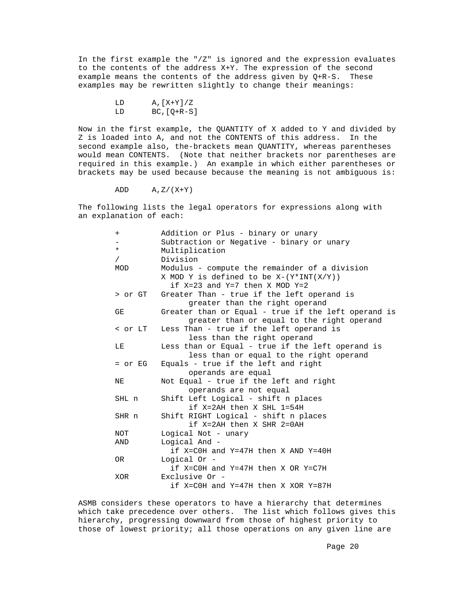In the first example the "/Z" is ignored and the expression evaluates to the contents of the address X+Y. The expression of the second example means the contents of the address given by  $Q+R-S$ . These examples may be rewritten slightly to change their meanings:

 Now in the first example, the QUANTITY of X added to Y and divided by Z is loaded into A, and not the CONTENTS of this address. In the second example also, the-brackets mean QUANTITY, whereas parentheses would mean CONTENTS. (Note that neither brackets nor parentheses are required in this example.) An example in which either parentheses or brackets may be used because because the meaning is not ambiguous is:

ADD  $A, Z/(X+Y)$ 

 The following lists the legal operators for expressions along with an explanation of each:

| $^{+}$     | Addition or Plus - binary or unary                  |
|------------|-----------------------------------------------------|
|            | Subtraction or Negative - binary or unary           |
| $\star$    | Multiplication                                      |
| $\sqrt{2}$ | Division                                            |
| MOD        | Modulus - compute the remainder of a division       |
|            | X MOD Y is defined to be $X-(Y*INT(X/Y))$           |
|            | if $X=23$ and $Y=7$ then X MOD $Y=2$                |
|            | > or GT Greater Than - true if the left operand is  |
|            | greater than the right operand                      |
| GE         | Greater than or Equal - true if the left operand is |
|            | greater than or equal to the right operand          |
| < or LT    | Less Than - true if the left operand is             |
|            | less than the right operand                         |
| LE.        | Less than or Equal - true if the left operand is    |
|            | less than or equal to the right operand             |
| = or EG    | Equals - true if the left and right                 |
|            | operands are equal                                  |
| ΝE         | Not Equal - true if the left and right              |
|            | operands are not equal                              |
| SHL n      | Shift Left Logical - shift n places                 |
|            | if X=2AH then X SHL 1=54H                           |
| SHR n      | Shift RIGHT Logical - shift n places                |
|            | if X=2AH then X SHR 2=0AH                           |
| NOT        | Logical Not - unary                                 |
| AND        | Logical And -                                       |
|            | if $X=COH$ and $Y=47H$ then X AND $Y=40H$           |
| OR.        | Logical Or -                                        |
|            | if X=COH and Y=47H then X OR Y=C7H                  |
| XOR        | Exclusive Or -                                      |
|            | if X=COH and Y=47H then X XOR Y=87H                 |
|            |                                                     |

 ASMB considers these operators to have a hierarchy that determines which take precedence over others. The list which follows gives this hierarchy, progressing downward from those of highest priority to those of lowest priority; all those operations on any given line are

 $LD$   $A, [X+Y]/Z$ <br> $LD$   $BC, [O+R-S]$  $BC, [Q+R-S]$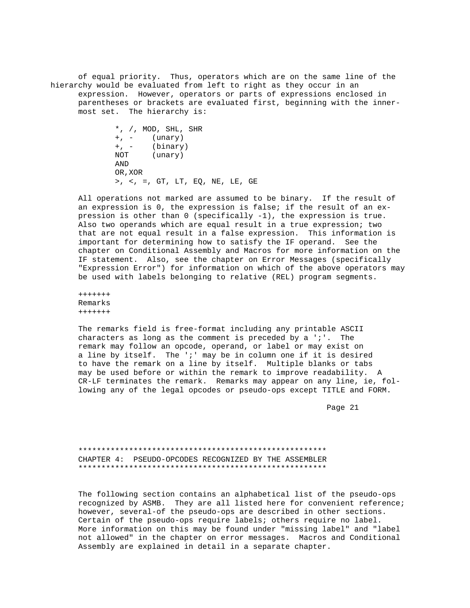of equal priority. Thus, operators which are on the same line of the hierarchy would be evaluated from left to right as they occur in an expression. However, operators or parts of expressions enclosed in parentheses or brackets are evaluated first, beginning with the inner most set. The hierarchy is:

```
*, /, MOD, SHL, SHR<br>+, - (unary)
+, - (unary)<br>+, - (binary
 +, - (binary)
          (unary)
 AND
 OR,XOR
 >, <, =, GT, LT, EQ, NE, LE, GE
```
 All operations not marked are assumed to be binary. If the result of an expression is 0, the expression is false; if the result of an ex pression is other than 0 (specifically -1), the expression is true. Also two operands which are equal result in a true expression; two that are not equal result in a false expression. This information is important for determining how to satisfy the IF operand. See the chapter on Conditional Assembly and Macros for more information on the IF statement. Also, see the chapter on Error Messages (specifically "Expression Error") for information on which of the above operators may be used with labels belonging to relative (REL) program segments.

 +++++++ Remarks +++++++

 The remarks field is free-format including any printable ASCII characters as long as the comment is preceded by a  $'i'.$  The remark may follow an opcode, operand, or label or may exist on a line by itself. The ';' may be in column one if it is desired to have the remark on a line by itself. Multiple blanks or tabs may be used before or within the remark to improve readability. A CR-LF terminates the remark. Remarks may appear on any line, ie, fol lowing any of the legal opcodes or pseudo-ops except TITLE and FORM.

Page 21 and the state of the state of the state of the state of the state of the state of the state of the state of the state of the state of the state of the state of the state of the state of the state of the state of th

 \*\*\*\*\*\*\*\*\*\*\*\*\*\*\*\*\*\*\*\*\*\*\*\*\*\*\*\*\*\*\*\*\*\*\*\*\*\*\*\*\*\*\*\*\*\*\*\*\*\*\*\*\*\* CHAPTER 4: PSEUDO-OPCODES RECOGNIZED BY THE ASSEMBLER \*\*\*\*\*\*\*\*\*\*\*\*\*\*\*\*\*\*\*\*\*\*\*\*\*\*\*\*\*\*\*\*\*\*\*\*\*\*\*\*\*\*\*\*\*\*\*\*\*\*\*\*\*\*

 The following section contains an alphabetical list of the pseudo-ops recognized by ASMB. They are all listed here for convenient reference; however, several-of the pseudo-ops are described in other sections. Certain of the pseudo-ops require labels; others require no label. More information on this may be found under "missing label" and "label not allowed" in the chapter on error messages. Macros and Conditional Assembly are explained in detail in a separate chapter.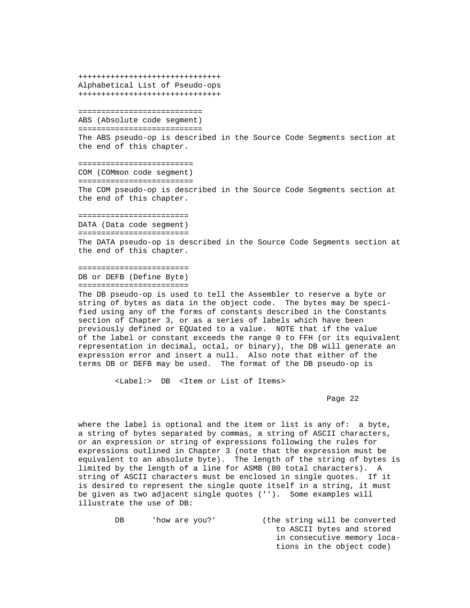+++++++++++++++++++++++++++++++ Alphabetical List of Pseudo-ops +++++++++++++++++++++++++++++++

 =========================== ABS (Absolute code segment) =========================== The ABS pseudo-op is described in the Source Code Segments section at the end of this chapter.

 ========================= COM (COMmon code segment) ========================= The COM pseudo-op is described in the Source Code Segments section at the end of this chapter.

========================

DATA (Data code segment)

========================

 The DATA pseudo-op is described in the Source Code Segments section at the end of this chapter.

#### ======================== DB or DEFB (Define Byte) ========================

 The DB pseudo-op is used to tell the Assembler to reserve a byte or string of bytes as data in the object code. The bytes may be speci fied using any of the forms of constants described in the Constants section of Chapter 3, or as a series of labels which have been previously defined or EQUated to a value. NOTE that if the value of the label or constant exceeds the range 0 to FFH (or its equivalent representation in decimal, octal, or binary), the DB will generate an expression error and insert a null. Also note that either of the terms DB or DEFB may be used. The format of the DB pseudo-op is

<Label:> DB <Item or List of Items>

Page 22 and the control of the control of the control of the control of the control of the control of the control of the control of the control of the control of the control of the control of the control of the control of

 where the label is optional and the item or list is any of: a byte, a string of bytes separated by commas, a string of ASCII characters, or an expression or string of expressions following the rules for expressions outlined in Chapter 3 (note that the expression must be equivalent to an absolute byte). The length of the string of bytes is limited by the length of a line for ASMB (80 total characters). A string of ASCII characters must be enclosed in single quotes. If it is desired to represent the single quote itself in a string, it must be given as two adjacent single quotes (''). Some examples will illustrate the use of DB:

> DB 'how are you?' (the string will be converted to ASCII bytes and stored in consecutive memory loca tions in the object code)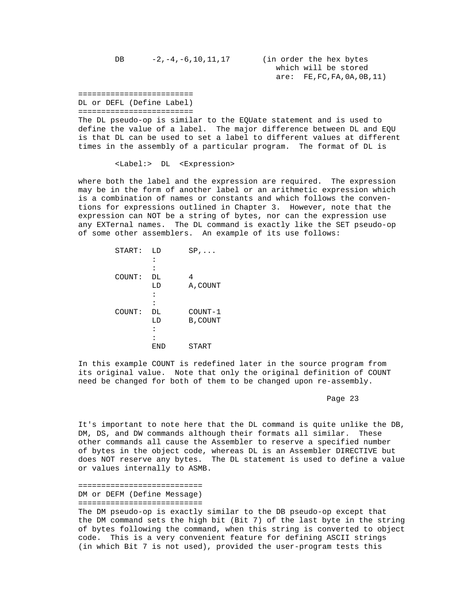are: FE,FC,FA,0A,0B,11)

=========================

DL or DEFL (Define Label)

=========================

 The DL pseudo-op is similar to the EQUate statement and is used to define the value of a label. The major difference between DL and EQU is that DL can be used to set a label to different values at different times in the assembly of a particular program. The format of DL is

<Label:> DL <Expression>

 where both the label and the expression are required. The expression may be in the form of another label or an arithmetic expression which is a combination of names or constants and which follows the conven tions for expressions outlined in Chapter 3. However, note that the expression can NOT be a string of bytes, nor can the expression use any EXTernal names. The DL command is exactly like the SET pseudo-op of some other assemblers. An example of its use follows:

| START: | LD  | $SP, \ldots$ |
|--------|-----|--------------|
|        | ፡   |              |
|        |     |              |
| COUNT: | DL  | 4            |
|        | LD  | A, COUNT     |
|        |     |              |
|        |     |              |
| COUNT: | DL  | COUNT-1      |
|        | LD  | B, COUNT     |
|        | :   |              |
|        |     |              |
|        | END | START        |
|        |     |              |

 In this example COUNT is redefined later in the source program from its original value. Note that only the original definition of COUNT need be changed for both of them to be changed upon re-assembly.

Page 23 and the state of the state of the state of the state of the state of the state of the state of the state of the state of the state of the state of the state of the state of the state of the state of the state of th

 It's important to note here that the DL command is quite unlike the DB, DM, DS, and DW commands although their formats all similar. These other commands all cause the Assembler to reserve a specified number of bytes in the object code, whereas DL is an Assembler DIRECTIVE but does NOT reserve any bytes. The DL statement is used to define a value or values internally to ASMB.

 =========================== DM or DEFM (Define Message) ===========================

 The DM pseudo-op is exactly similar to the DB pseudo-op except that the DM command sets the high bit (Bit 7) of the last byte in the string of bytes following the command, when this string is converted to object code. This is a very convenient feature for defining ASCII strings (in which Bit 7 is not used), provided the user-program tests this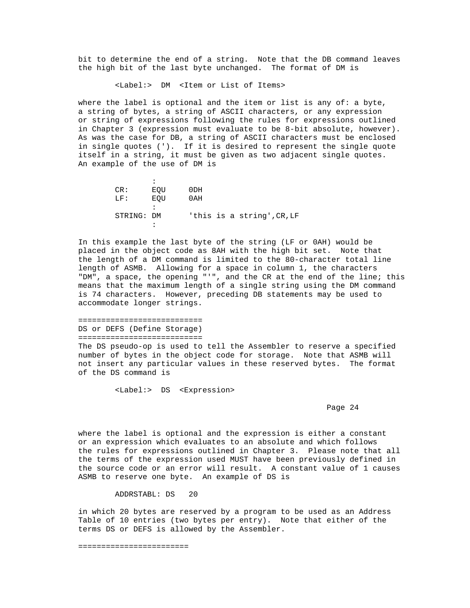bit to determine the end of a string. Note that the DB command leaves the high bit of the last byte unchanged. The format of DM is

<Label:> DM <Item or List of Items>

 where the label is optional and the item or list is any of: a byte, a string of bytes, a string of ASCII characters, or any expression or string of expressions following the rules for expressions outlined in Chapter 3 (expression must evaluate to be 8-bit absolute, however). As was the case for DB, a string of ASCII characters must be enclosed in single quotes ('). If it is desired to represent the single quote itself in a string, it must be given as two adjacent single quotes. An example of the use of DM is

the contract of the contract of the contract of CR: EQU 0DH LF: EQU 0AH the contract of the contract of the contract of STRING: DM 'this is a string',CR,LF the contract of the contract of the contract of

 In this example the last byte of the string (LF or 0AH) would be placed in the object code as 8AH with the high bit set. Note that the length of a DM command is limited to the 80-character total line length of ASMB. Allowing for a space in column 1, the characters "DM", a space, the opening "'", and the CR at the end of the line; this means that the maximum length of a single string using the DM command is 74 characters. However, preceding DB statements may be used to accommodate longer strings.

### =========================== DS or DEFS (Define Storage) ===========================

 The DS pseudo-op is used to tell the Assembler to reserve a specified number of bytes in the object code for storage. Note that ASMB will not insert any particular values in these reserved bytes. The format of the DS command is

<Label:> DS <Expression>

## Page 24 and the state of the state of the state of the state of the state of the state of the state of the state of the state of the state of the state of the state of the state of the state of the state of the state of th

 where the label is optional and the expression is either a constant or an expression which evaluates to an absolute and which follows the rules for expressions outlined in Chapter 3. Please note that all the terms of the expression used MUST have been previously defined in the source code or an error will result. A constant value of 1 causes ASMB to reserve one byte. An example of DS is

ADDRSTABL: DS 20

 in which 20 bytes are reserved by a program to be used as an Address Table of 10 entries (two bytes per entry). Note that either of the terms DS or DEFS is allowed by the Assembler.

========================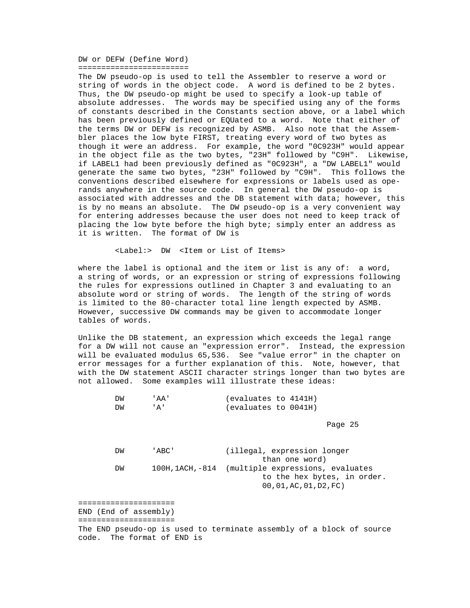DW or DEFW (Define Word) ========================

 The DW pseudo-op is used to tell the Assembler to reserve a word or string of words in the object code. A word is defined to be 2 bytes. Thus, the DW pseudo-op might be used to specify a look-up table of absolute addresses. The words may be specified using any of the forms of constants described in the Constants section above, or a label which has been previously defined or EQUated to a word. Note that either of the terms DW or DEFW is recognized by ASMB. Also note that the Assem bler places the low byte FIRST, treating every word of two bytes as though it were an address. For example, the word "0C923H" would appear in the object file as the two bytes, "23H" followed by "C9H". Likewise, if LABEL1 had been previously defined as "0C923H", a "DW LABEL1" would generate the same two bytes, "23H" followed by "C9H". This follows the conventions described elsewhere for expressions or labels used as ope rands anywhere in the source code. In general the DW pseudo-op is associated with addresses and the DB statement with data; however, this is by no means an absolute. The DW pseudo-op is a very convenient way for entering addresses because the user does not need to keep track of placing the low byte before the high byte; simply enter an address as it is written. The format of DW is

<Label:> DW <Item or List of Items>

 where the label is optional and the item or list is any of: a word, a string of words, or an expression or string of expressions following the rules for expressions outlined in Chapter 3 and evaluating to an absolute word or string of words. The length of the string of words is limited to the 80-character total line length expected by ASMB. However, successive DW commands may be given to accommodate longer tables of words.

 Unlike the DB statement, an expression which exceeds the legal range for a DW will not cause an "expression error". Instead, the expression will be evaluated modulus 65,536. See "value error" in the chapter on error messages for a further explanation of this. Note, however, that with the DW statement ASCII character strings longer than two bytes are not allowed. Some examples will illustrate these ideas:

| ֿאַרי | ' AA ' | (evaluates to 4141H) |
|-------|--------|----------------------|
| DW    |        | (evaluates to 0041H) |

Page 25 and the contract of the contract of the contract of the contract of the contract of the contract of the contract of the contract of the contract of the contract of the contract of the contract of the contract of th

 DW 'ABC' (illegal, expression longer than one word) DW 100H,1ACH,-814 (multiple expressions, evaluates to the hex bytes, in order. 00,01,AC,01,D2,FC)

 ===================== END (End of assembly) =====================

 The END pseudo-op is used to terminate assembly of a block of source code. The format of END is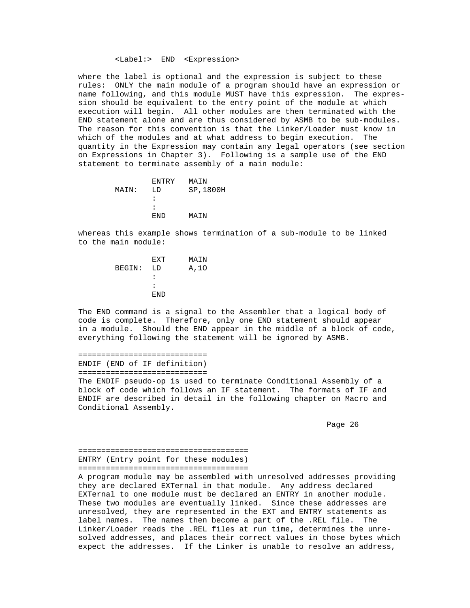#### <Label:> END <Expression>

 where the label is optional and the expression is subject to these rules: ONLY the main module of a program should have an expression or name following, and this module MUST have this expression. The expres sion should be equivalent to the entry point of the module at which execution will begin. All other modules are then terminated with the END statement alone and are thus considered by ASMB to be sub-modules. The reason for this convention is that the Linker/Loader must know in which of the modules and at what address to begin execution. The quantity in the Expression may contain any legal operators (see section on Expressions in Chapter 3). Following is a sample use of the END statement to terminate assembly of a main module:

| F.NTRY               | MAIN      |
|----------------------|-----------|
| T.D                  | SP, 1800H |
| $\ddot{\phantom{a}}$ |           |
| $\mathbf{r}$         |           |
| END.                 | MATN      |
|                      |           |

 whereas this example shows termination of a sub-module to be linked to the main module:

|        | F.XT | MAIN |
|--------|------|------|
| BEGIN: | LD   | A,10 |
|        | :    |      |
|        | :    |      |
|        | END. |      |
|        |      |      |

 The END command is a signal to the Assembler that a logical body of code is complete. Therefore, only one END statement should appear in a module. Should the END appear in the middle of a block of code, everything following the statement will be ignored by ASMB.

 ============================ ENDIF (END of IF definition)

============================

 The ENDIF pseudo-op is used to terminate Conditional Assembly of a block of code which follows an IF statement. The formats of IF and ENDIF are described in detail in the following chapter on Macro and Conditional Assembly.

e de la provincia de la provincia de la provincia de la provincia de la provincia de la provincia de la provincia de la provincia de la provincia de la provincia de la provincia de la provincia de la provincia de la provin

 ===================================== ENTRY (Entry point for these modules) =====================================

 A program module may be assembled with unresolved addresses providing they are declared EXTernal in that module. Any address declared EXTernal to one module must be declared an ENTRY in another module. These two modules are eventually linked. Since these addresses are unresolved, they are represented in the EXT and ENTRY statements as label names. The names then become a part of the .REL file. The Linker/Loader reads the .REL files at run time, determines the unre solved addresses, and places their correct values in those bytes which expect the addresses. If the Linker is unable to resolve an address,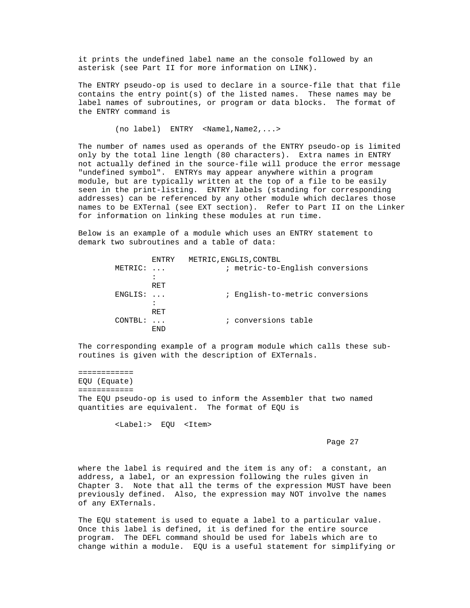it prints the undefined label name an the console followed by an asterisk (see Part II for more information on LINK).

 The ENTRY pseudo-op is used to declare in a source-file that that file contains the entry point(s) of the listed names. These names may be label names of subroutines, or program or data blocks. The format of the ENTRY command is

(no label) ENTRY <Namel,Name2,...>

 The number of names used as operands of the ENTRY pseudo-op is limited only by the total line length (80 characters). Extra names in ENTRY not actually defined in the source-file will produce the error message "undefined symbol". ENTRYs may appear anywhere within a program module, but are typically written at the top of a file to be easily seen in the print-listing. ENTRY labels (standing for corresponding addresses) can be referenced by any other module which declares those names to be EXTernal (see EXT section). Refer to Part II on the Linker for information on linking these modules at run time.

 Below is an example of a module which uses an ENTRY statement to demark two subroutines and a table of data:

|         | ENTRY        | METRIC, ENGLIS, CONTBL          |
|---------|--------------|---------------------------------|
| METRIC: | $\mathbf{1}$ | ; metric-to-English conversions |
|         | ٠            |                                 |
|         | RET          |                                 |
| ENGLIS: | $\mathbf{1}$ | ; English-to-metric conversions |
|         |              |                                 |
|         | RET          |                                 |
| CONTBL: |              | ; conversions table             |
|         | <b>END</b>   |                                 |
|         |              |                                 |

 The corresponding example of a program module which calls these sub routines is given with the description of EXTernals.

 ============ EQU (Equate) ============ The EQU pseudo-op is used to inform the Assembler that two named quantities are equivalent. The format of EQU is

<Label:> EQU <Item>

Page 27 and the contract of the contract of the contract of the contract of the contract of the contract of the contract of the contract of the contract of the contract of the contract of the contract of the contract of th

 where the label is required and the item is any of: a constant, an address, a label, or an expression following the rules given in Chapter 3. Note that all the terms of the expression MUST have been previously defined. Also, the expression may NOT involve the names of any EXTernals.

 The EQU statement is used to equate a label to a particular value. Once this label is defined, it is defined for the entire source program. The DEFL command should be used for labels which are to change within a module. EQU is a useful statement for simplifying or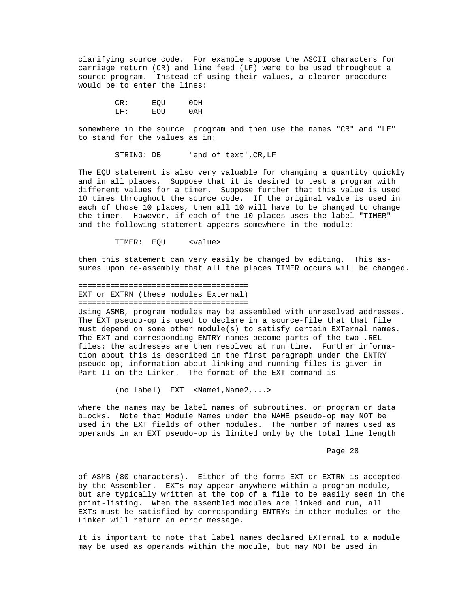clarifying source code. For example suppose the ASCII characters for carriage return (CR) and line feed (LF) were to be used throughout a source program. Instead of using their values, a clearer procedure would be to enter the lines:

 CR: EQU 0DH LF: EOU 0AH

> somewhere in the source program and then use the names "CR" and "LF" to stand for the values as in:

> > STRING: DB 'end of text',CR,LF

 The EQU statement is also very valuable for changing a quantity quickly and in all places. Suppose that it is desired to test a program with different values for a timer. Suppose further that this value is used 10 times throughout the source code. If the original value is used in each of those 10 places, then all 10 will have to be changed to change the timer. However, if each of the 10 places uses the label "TIMER" and the following statement appears somewhere in the module:

TIMER: EQU <value>

 then this statement can very easily be changed by editing. This as sures upon re-assembly that all the places TIMER occurs will be changed.

 ===================================== EXT or EXTRN (these modules External) =====================================

 Using ASMB, program modules may be assembled with unresolved addresses. The EXT pseudo-op is used to declare in a source-file that that file must depend on some other module(s) to satisfy certain EXTernal names. The EXT and corresponding ENTRY names become parts of the two .REL files; the addresses are then resolved at run time. Further informa tion about this is described in the first paragraph under the ENTRY pseudo-op; information about linking and running files is given in Part II on the Linker. The format of the EXT command is

(no label) EXT <Name1,Name2,...>

 where the names may be label names of subroutines, or program or data blocks. Note that Module Names under the NAME pseudo-op may NOT be used in the EXT fields of other modules. The number of names used as operands in an EXT pseudo-op is limited only by the total line length

Page 28 and the state of the state of the state of the state of the state of the state of the state of the state of the state of the state of the state of the state of the state of the state of the state of the state of th

 of ASMB (80 characters). Either of the forms EXT or EXTRN is accepted by the Assembler. EXTs may appear anywhere within a program module, but are typically written at the top of a file to be easily seen in the print-listing. When the assembled modules are linked and run, all EXTs must be satisfied by corresponding ENTRYs in other modules or the Linker will return an error message.

 It is important to note that label names declared EXTernal to a module may be used as operands within the module, but may NOT be used in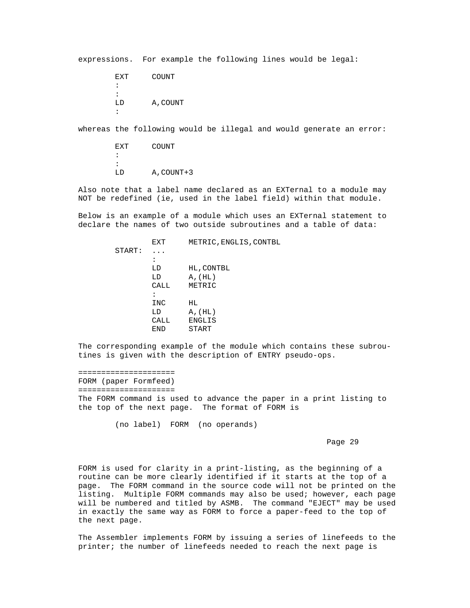expressions. For example the following lines would be legal:

 EXT COUNT : : LD A,COUNT :

whereas the following would be illegal and would generate an error:

 EXT COUNT : : LD A,COUNT+3

> Also note that a label name declared as an EXTernal to a module may NOT be redefined (ie, used in the label field) within that module.

> Below is an example of a module which uses an EXTernal statement to declare the names of two outside subroutines and a table of data:

 EXT METRIC,ENGLIS,CONTBL START: ... the contract of the contract of the contract of LD HL, CONTBL<br>LD A, (HL) LD A, (HL)<br>CALL METRIC METRIC : INC HL<br>LD A, LD A, (HL)<br>CALL ENGLIS CALL ENGLIS<br>END START START

 The corresponding example of the module which contains these subrou tines is given with the description of ENTRY pseudo-ops.

 ===================== FORM (paper Formfeed) ===================== The FORM command is used to advance the paper in a print listing to the top of the next page. The format of FORM is

(no label) FORM (no operands)

Page 29 and the state of the state of the state of the state of the state of the state of the state of the state of the state of the state of the state of the state of the state of the state of the state of the state of th

 FORM is used for clarity in a print-listing, as the beginning of a routine can be more clearly identified if it starts at the top of a page. The FORM command in the source code will not be printed on the listing. Multiple FORM commands may also be used; however, each page will be numbered and titled by ASMB. The command "EJECT" may be used in exactly the same way as FORM to force a paper-feed to the top of the next page.

 The Assembler implements FORM by issuing a series of linefeeds to the printer; the number of linefeeds needed to reach the next page is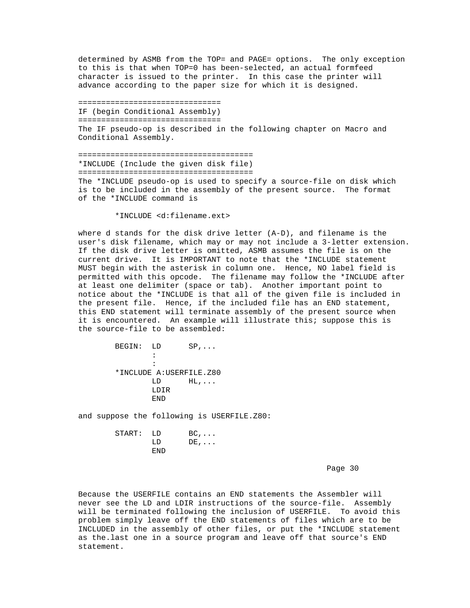determined by ASMB from the TOP= and PAGE= options. The only exception to this is that when TOP=0 has been-selected, an actual formfeed character is issued to the printer. In this case the printer will advance according to the paper size for which it is designed.

 =============================== IF (begin Conditional Assembly) =============================== The IF pseudo-op is described in the following chapter on Macro and Conditional Assembly.

 ====================================== \*INCLUDE (Include the given disk file) ====================================== The \*INCLUDE pseudo-op is used to specify a source-file on disk which is to be included in the assembly of the present source. The format of the \*INCLUDE command is

\*INCLUDE <d:filename.ext>

 where d stands for the disk drive letter (A-D), and filename is the user's disk filename, which may or may not include a 3-letter extension. If the disk drive letter is omitted, ASMB assumes the file is on the current drive. It is IMPORTANT to note that the \*INCLUDE statement MUST begin with the asterisk in column one. Hence, NO label field is permitted with this opcode. The filename may follow the \*INCLUDE after at least one delimiter (space or tab). Another important point to notice about the \*INCLUDE is that all of the given file is included in the present file. Hence, if the included file has an END statement, this END statement will terminate assembly of the present source when it is encountered. An example will illustrate this; suppose this is the source-file to be assembled:

| BEGIN: LD |                          | $SP, \ldots$ |
|-----------|--------------------------|--------------|
|           | $\ddot{\phantom{a}}$     |              |
|           | $\ddot{\phantom{a}}$     |              |
|           | *INCLUDE A: USERFILE.Z80 |              |
|           | LD                       | $HL$ ,       |
|           | LDIR                     |              |
|           | F.ND                     |              |
|           |                          |              |

and suppose the following is USERFILE.Z80:

| START: LD |      | $BC, \ldots$ |
|-----------|------|--------------|
|           | T.D. | $DE, \ldots$ |
|           | END. |              |

Page 30 and the state of the state of the state of the state  $\sim$  Page 30  $\,$ 

 Because the USERFILE contains an END statements the Assembler will never see the LD and LDIR instructions of the source-file. Assembly will be terminated following the inclusion of USERFILE. To avoid this problem simply leave off the END statements of files which are to be INCLUDED in the assembly of other files, or put the \*INCLUDE statement as the.last one in a source program and leave off that source's END statement.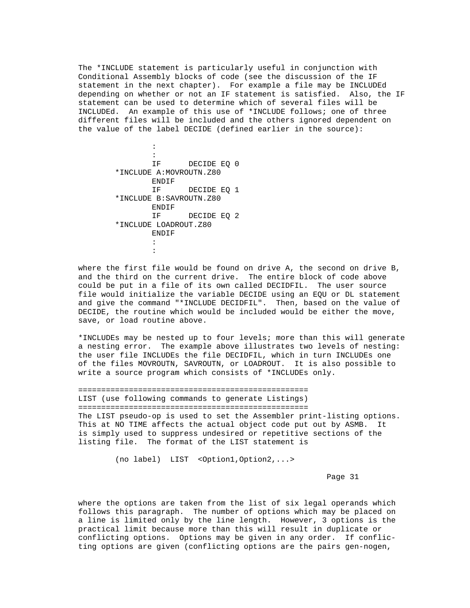The \*INCLUDE statement is particularly useful in conjunction with Conditional Assembly blocks of code (see the discussion of the IF statement in the next chapter). For example a file may be INCLUDEd depending on whether or not an IF statement is satisfied. Also, the IF statement can be used to determine which of several files will be INCLUDEd. An example of this use of \*INCLUDE follows; one of three different files will be included and the others ignored dependent on the value of the label DECIDE (defined earlier in the source):

the contract of the contract of the contract of the contract of the contract of the contract of IF DECIDE EQ 0 \*INCLUDE A:MOVROUTN.Z80 ENDIF<br>IF DECIDE EQ 1 \*INCLUDE B:SAVROUTN.Z80 ENDIF<br>IF DECIDE EQ 2 \*INCLUDE LOADROUT.Z80 ENDIF : :

> where the first file would be found on drive A, the second on drive B, and the third on the current drive. The entire block of code above could be put in a file of its own called DECIDFIL. The user source file would initialize the variable DECIDE using an EQU or DL statement and give the command "\*INCLUDE DECIDFIL". Then, based on the value of DECIDE, the routine which would be included would be either the move, save, or load routine above.

 \*INCLUDEs may be nested up to four levels; more than this will generate a nesting error. The example above illustrates two levels of nesting: the user file INCLUDEs the file DECIDFIL, which in turn INCLUDEs one of the files MOVROUTN, SAVROUTN, or LOADROUT. It is also possible to write a source program which consists of \*INCLUDEs only.

 ================================================== LIST (use following commands to generate Listings) ================================================== The LIST pseudo-op is used to set the Assembler print-listing options. This at NO TIME affects the actual object code put out by ASMB. It is simply used to suppress undesired or repetitive sections of the listing file. The format of the LIST statement is

(no label) LIST <Option1,Option2,...>

Page 31 and the state of the state of the state of the state of the state of the state of the state of the state of the state of the state of the state of the state of the state of the state of the state of the state of th

 where the options are taken from the list of six legal operands which follows this paragraph. The number of options which may be placed on a line is limited only by the line length. However, 3 options is the practical limit because more than this will result in duplicate or conflicting options. Options may be given in any order. If conflic ting options are given (conflicting options are the pairs gen-nogen,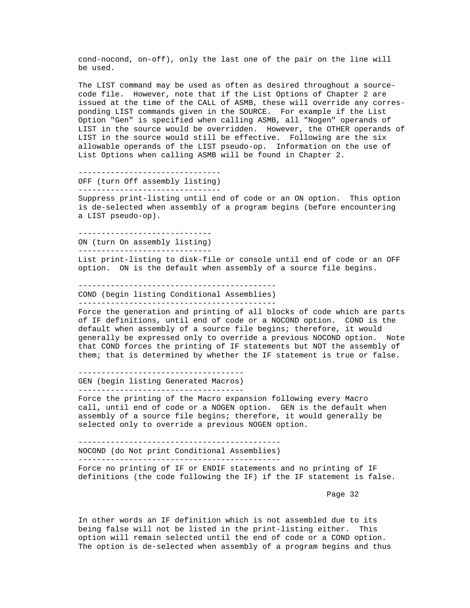cond-nocond, on-off), only the last one of the pair on the line will be used.

 The LIST command may be used as often as desired throughout a source code file. However, note that if the List Options of Chapter 2 are issued at the time of the CALL of ASMB, these will override any corres ponding LIST commands given in the SOURCE. For example if the List Option "Gen" is specified when calling ASMB, all "Nogen" operands of LIST in the source would be overridden. However, the OTHER operands of LIST in the source would still be effective. Following are the six allowable operands of the LIST pseudo-op. Information on the use of List Options when calling ASMB will be found in Chapter 2.

 ------------------------------- OFF (turn Off assembly listing) -------------------------------

> Suppress print-listing until end of code or an ON option. This option is de-selected when assembly of a program begins (before encountering a LIST pseudo-op).

 ----------------------------- ON (turn On assembly listing) -----------------------------

 List print-listing to disk-file or console until end of code or an OFF option. ON is the default when assembly of a source file begins.

 ------------------------------------------- COND (begin listing Conditional Assemblies) -------------------------------------------

 Force the generation and printing of all blocks of code which are parts of IF definitions, until end of code or a NOCOND option. COND is the default when assembly of a source file begins; therefore, it would generally be expressed only to override a previous NOCOND option. Note that COND forces the printing of IF statements but NOT the assembly of them; that is determined by whether the IF statement is true or false.

 ------------------------------------ GEN (begin listing Generated Macros) ------------------------------------

 Force the printing of the Macro expansion following every Macro call, until end of code or a NOGEN option. GEN is the default when assembly of a source file begins; therefore, it would generally be selected only to override a previous NOGEN option.

--------------------------------------------

NOCOND (do Not print Conditional Assemblies)

--------------------------------------------

 Force no printing of IF or ENDIF statements and no printing of IF definitions (the code following the IF) if the IF statement is false.

Page 32 and the state of the state of the state of the state of the state of the state of the state of the state of the state of the state of the state of the state of the state of the state of the state of the state of th

 In other words an IF definition which is not assembled due to its being false will not be listed in the print-listing either. This option will remain selected until the end of code or a COND option. The option is de-selected when assembly of a program begins and thus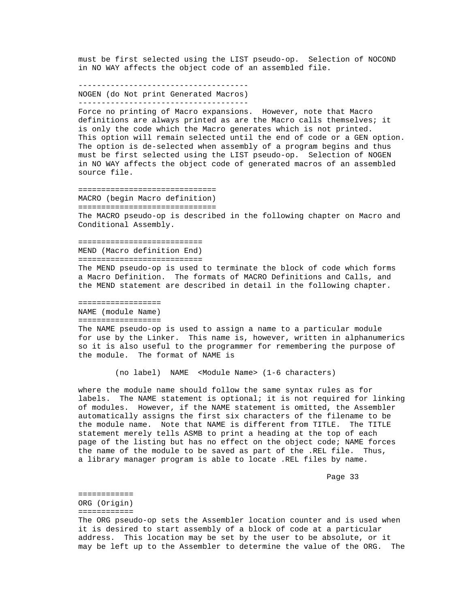must be first selected using the LIST pseudo-op. Selection of NOCOND in NO WAY affects the object code of an assembled file.

 ------------------------------------- NOGEN (do Not print Generated Macros)

-------------------------------------

 Force no printing of Macro expansions. However, note that Macro definitions are always printed as are the Macro calls themselves; it is only the code which the Macro generates which is not printed. This option will remain selected until the end of code or a GEN option. The option is de-selected when assembly of a program begins and thus must be first selected using the LIST pseudo-op. Selection of NOGEN in NO WAY affects the object code of generated macros of an assembled source file.

 ============================== MACRO (begin Macro definition) ============================== The MACRO pseudo-op is described in the following chapter on Macro and Conditional Assembly.

 =========================== MEND (Macro definition End) ===========================

 The MEND pseudo-op is used to terminate the block of code which forms a Macro Definition. The formats of MACRO Definitions and Calls, and the MEND statement are described in detail in the following chapter.

==================

 NAME (module Name) ==================

 The NAME pseudo-op is used to assign a name to a particular module for use by the Linker. This name is, however, written in alphanumerics so it is also useful to the programmer for remembering the purpose of the module. The format of NAME is

(no label) NAME <Module Name> (1-6 characters)

 where the module name should follow the same syntax rules as for labels. The NAME statement is optional; it is not required for linking of modules. However, if the NAME statement is omitted, the Assembler automatically assigns the first six characters of the filename to be the module name. Note that NAME is different from TITLE. The TITLE statement merely tells ASMB to print a heading at the top of each page of the listing but has no effect on the object code; NAME forces the name of the module to be saved as part of the .REL file. Thus, a library manager program is able to locate .REL files by name.

Page 33 and the state of the state of the state of the state of the state of the state of the state of the state of the state of the state of the state of the state of the state of the state of the state of the state of th

 ============ ORG (Origin) ============

 The ORG pseudo-op sets the Assembler location counter and is used when it is desired to start assembly of a block of code at a particular address. This location may be set by the user to be absolute, or it may be left up to the Assembler to determine the value of the ORG. The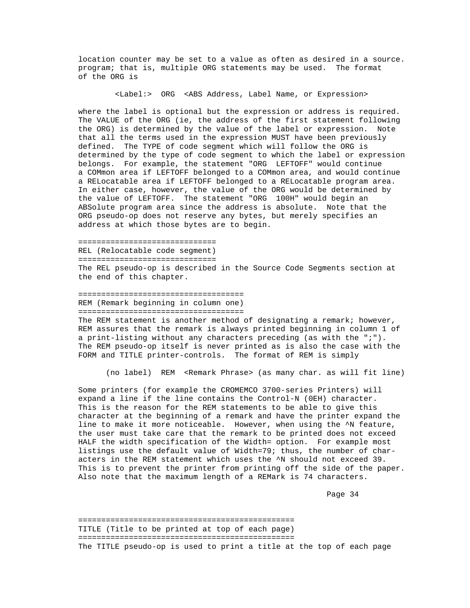location counter may be set to a value as often as desired in a source. program; that is, multiple ORG statements may be used. The format of the ORG is

<Label:> ORG <ABS Address, Label Name, or Expression>

 where the label is optional but the expression or address is required. The VALUE of the ORG (ie, the address of the first statement following the ORG) is determined by the value of the label or expression. Note that all the terms used in the expression MUST have been previously defined. The TYPE of code segment which will follow the ORG is determined by the type of code segment to which the label or expression belongs. For example, the statement "ORG LEFTOFF" would continue a COMmon area if LEFTOFF belonged to a COMmon area, and would continue a RELocatable area if LEFTOFF belonged to a RELocatable program area. In either case, however, the value of the ORG would be determined by the value of LEFTOFF. The statement "ORG 100H" would begin an ABSolute program area since the address is absolute. Note that the ORG pseudo-op does not reserve any bytes, but merely specifies an address at which those bytes are to begin.

=============================== REL (Relocatable code segment) ============================== The REL pseudo-op is described in the Source Code Segments section at the end of this chapter.

 ==================================== REM (Remark beginning in column one)

====================================

The REM statement is another method of designating a remark; however, REM assures that the remark is always printed beginning in column 1 of a print-listing without any characters preceding (as with the ";"). The REM pseudo-op itself is never printed as is also the case with the FORM and TITLE printer-controls. The format of REM is simply

(no label) REM <Remark Phrase> (as many char. as will fit line)

 Some printers (for example the CROMEMCO 3700-series Printers) will expand a line if the line contains the Control-N (0EH) character. This is the reason for the REM statements to be able to give this character at the beginning of a remark and have the printer expand the line to make it more noticeable. However, when using the ^N feature, the user must take care that the remark to be printed does not exceed HALF the width specification of the Width= option. For example most listings use the default value of Width=79; thus, the number of char acters in the REM statement which uses the ^N should not exceed 39. This is to prevent the printer from printing off the side of the paper. Also note that the maximum length of a REMark is 74 characters.

Page 34

 =============================================== TITLE (Title to be printed at top of each page) =============================================== The TITLE pseudo-op is used to print a title at the top of each page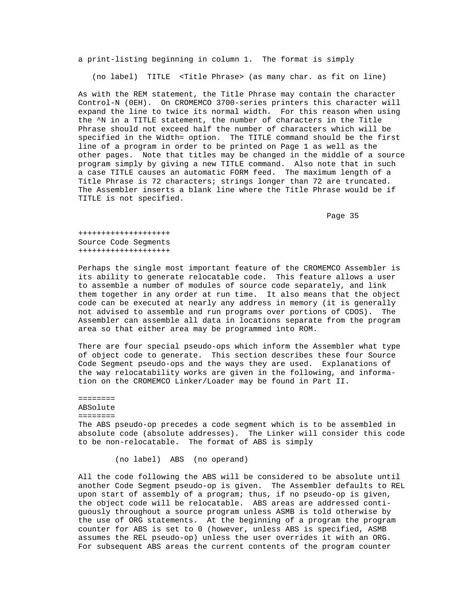a print-listing beginning in column 1. The format is simply

(no label) TITLE <Title Phrase> (as many char. as fit on line)

 As with the REM statement, the Title Phrase may contain the character Control-N (0EH). On CROMEMCO 3700-series printers this character will expand the line to twice its normal width. For this reason when using the ^N in a TITLE statement, the number of characters in the Title Phrase should not exceed half the number of characters which will be specified in the Width= option. The TITLE command should be the first line of a program in order to be printed on Page 1 as well as the other pages. Note that titles may be changed in the middle of a source program simply by giving a new TITLE command. Also note that in such a case TITLE causes an automatic FORM feed. The maximum length of a Title Phrase is 72 characters; strings longer than 72 are truncated. The Assembler inserts a blank line where the Title Phrase would be if TITLE is not specified.

Page 35 and the state of the state of the state of the state of the state of the state of the state of the state of the state of the state of the state of the state of the state of the state of the state of the state of th

 ++++++++++++++++++++ Source Code Segments ++++++++++++++++++++

 Perhaps the single most important feature of the CROMEMCO Assembler is its ability to generate relocatable code. This feature allows a user to assemble a number of modules of source code separately, and link them together in any order at run time. It also means that the object code can be executed at nearly any address in memory (it is generally not advised to assemble and run programs over portions of CDOS). The Assembler can assemble all data in locations separate from the program area so that either area may be programmed into ROM.

 There are four special pseudo-ops which inform the Assembler what type of object code to generate. This section describes these four Source Code Segment pseudo-ops and the ways they are used. Explanations of the way relocatability works are given in the following, and informa tion on the CROMEMCO Linker/Loader may be found in Part II.

 ======== ABSolute ======== The ABS pseudo-op precedes a code segment which is to be assembled in absolute code (absolute addresses). The Linker will consider this code to be non-relocatable. The format of ABS is simply

(no label) ABS (no operand)

 All the code following the ABS will be considered to be absolute until another Code Segment pseudo-op is given. The Assembler defaults to REL upon start of assembly of a program; thus, if no pseudo-op is given, the object code will be relocatable. ABS areas are addressed conti guously throughout a source program unless ASMB is told otherwise by the use of ORG statements. At the beginning of a program the program counter for ABS is set to 0 (however, unless ABS is specified, ASMB assumes the REL pseudo-op) unless the user overrides it with an ORG. For subsequent ABS areas the current contents of the program counter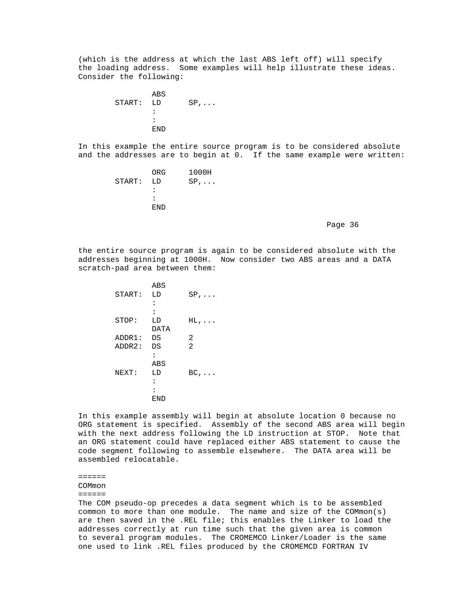(which is the address at which the last ABS left off) will specify the loading address. Some examples will help illustrate these ideas. Consider the following:

```
ABS
           START: LD SP,...<br>:
the contract of the contract of the contract of
                  :<br>END
 END
```
 In this example the entire source program is to be considered absolute and the addresses are to begin at 0. If the same example were written:

| ORG                  | 1000H        |
|----------------------|--------------|
|                      | $SP, \ldots$ |
| $\ddot{\phantom{a}}$ |              |
| $\mathbf{r}$         |              |
| END.                 |              |
|                      | START: LD    |

Page 36 and the state of the state of the state of the state of the state of the state of the state of the state of the state of the state of the state of the state of the state of the state of the state of the state of th

 the entire source program is again to be considered absolute with the addresses beginning at 1000H. Now consider two ABS areas and a DATA scratch-pad area between them:

|           | ABS                  |              |
|-----------|----------------------|--------------|
| START: LD |                      | $SP, \ldots$ |
|           | $\ddot{\phantom{a}}$ |              |
|           |                      |              |
| STOP:     | LD                   | $HL$ ,       |
|           | DATA                 |              |
| ADDR1: DS |                      | 2            |
| ADDR2: DS |                      | 2            |
|           | $\ddot{\phantom{a}}$ |              |
|           | ABS                  |              |
| NEXT:     | LD.                  | $BC, \ldots$ |
|           | $\ddot{\phantom{a}}$ |              |
|           | ፡                    |              |
|           | END                  |              |
|           |                      |              |

 In this example assembly will begin at absolute location 0 because no ORG statement is specified. Assembly of the second ABS area will begin with the next address following the LD instruction at STOP. Note that an ORG statement could have replaced either ABS statement to cause the code segment following to assemble elsewhere. The DATA area will be assembled relocatable.

======

COMmon

======

 The COM pseudo-op precedes a data segment which is to be assembled common to more than one module. The name and size of the COMmon(s) are then saved in the .REL file; this enables the Linker to load the addresses correctly at run time such that the given area is common to several program modules. The CROMEMCO Linker/Loader is the same one used to link .REL files produced by the CROMEMCD FORTRAN IV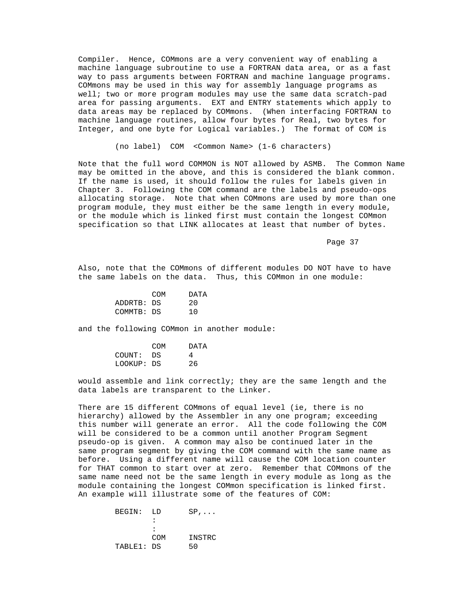Compiler. Hence, COMmons are a very convenient way of enabling a machine language subroutine to use a FORTRAN data area, or as a fast way to pass arguments between FORTRAN and machine language programs. COMmons may be used in this way for assembly language programs as well; two or more program modules may use the same data scratch-pad area for passing arguments. EXT and ENTRY statements which apply to data areas may be replaced by COMmons. (When interfacing FORTRAN to machine language routines, allow four bytes for Real, two bytes for Integer, and one byte for Logical variables.) The format of COM is

(no label) COM <Common Name> (1-6 characters)

 Note that the full word COMMON is NOT allowed by ASMB. The Common Name may be omitted in the above, and this is considered the blank common. If the name is used, it should follow the rules for labels given in Chapter 3. Following the COM command are the labels and pseudo-ops allocating storage. Note that when COMmons are used by more than one program module, they must either be the same length in every module, or the module which is linked first must contain the longest COMmon specification so that LINK allocates at least that number of bytes.

Page 37 and the state of the state of the state of the state of the state of the state of the state of the state of the state of the state of the state of the state of the state of the state of the state of the state of th

 Also, note that the COMmons of different modules DO NOT have to have the same labels on the data. Thus, this COMmon in one module:

| COM        | DATA |
|------------|------|
| ADDRTB: DS | 20   |
| COMMTB: DS | 1 O  |
|            |      |

and the following COMmon in another module:

|            | <b>COM</b> | DATA |
|------------|------------|------|
| COUNT: DS  |            |      |
| LOOKUP: DS |            | 26   |

 would assemble and link correctly; they are the same length and the data labels are transparent to the Linker.

 There are 15 different COMmons of equal level (ie, there is no hierarchy) allowed by the Assembler in any one program; exceeding this number will generate an error. All the code following the COM will be considered to be a common until another Program Segment pseudo-op is given. A common may also be continued later in the same program segment by giving the COM command with the same name as before. Using a different name will cause the COM location counter for THAT common to start over at zero. Remember that COMmons of the same name need not be the same length in every module as long as the module containing the longest COMmon specification is linked first. An example will illustrate some of the features of COM:

| BEGIN:     | T.D          | $SP, \ldots$ |
|------------|--------------|--------------|
|            |              |              |
|            | $\mathbf{r}$ |              |
|            | <b>COM</b>   | INSTRC       |
| TABLE1: DS |              | 50           |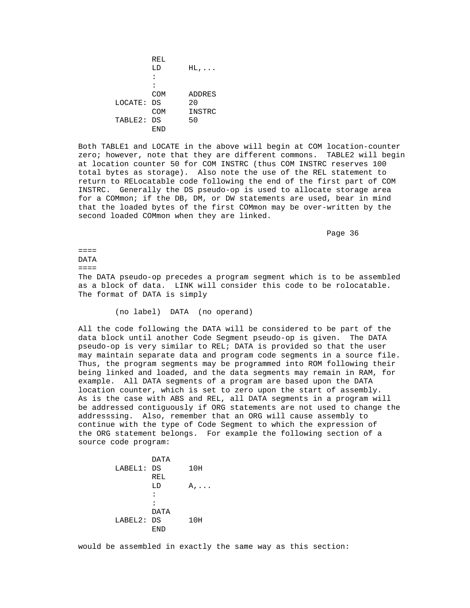**REL**  $LD$   $HL$ , ... : : COM ADDRES<br>DS 20 LOCATE: DS<br>COM INSTRC<br>50 TABLE2: DS END

> Both TABLE1 and LOCATE in the above will begin at COM location-counter zero; however, note that they are different commons. TABLE2 will begin at location counter 50 for COM INSTRC (thus COM INSTRC reserves 100 total bytes as storage). Also note the use of the REL statement to return to RELocatable code following the end of the first part of COM INSTRC. Generally the DS pseudo-op is used to allocate storage area for a COMmon; if the DB, DM, or DW statements are used, bear in mind that the loaded bytes of the first COMmon may be over-written by the second loaded COMmon when they are linked.

Page 36 and the state of the state of the state of the state of the state of the state of the state of the state of the state of the state of the state of the state of the state of the state of the state of the state of th

 ==== DATA  $=$  $=$  $=$  $=$  $=$  The DATA pseudo-op precedes a program segment which is to be assembled as a block of data. LINK will consider this code to be rolocatable. The format of DATA is simply

(no label) DATA (no operand)

 All the code following the DATA will be considered to be part of the data block until another Code Segment pseudo-op is given. The DATA pseudo-op is very similar to REL; DATA is provided so that the user may maintain separate data and program code segments in a source file. Thus, the program segments may be programmed into ROM following their being linked and loaded, and the data segments may remain in RAM, for example. All DATA segments of a program are based upon the DATA location counter, which is set to zero upon the start of assembly. As is the case with ABS and REL, all DATA segments in a program will be addressed contiguously if ORG statements are not used to change the addresssing. Also, remember that an ORG will cause assembly to continue with the type of Code Segment to which the expression of the ORG statement belongs. For example the following section of a source code program:

 DATA LABEL1: DS 10H **REL**  $LD \tA, \ldots$ : : DATA LABEL2: DS 10H END

would be assembled in exactly the same way as this section: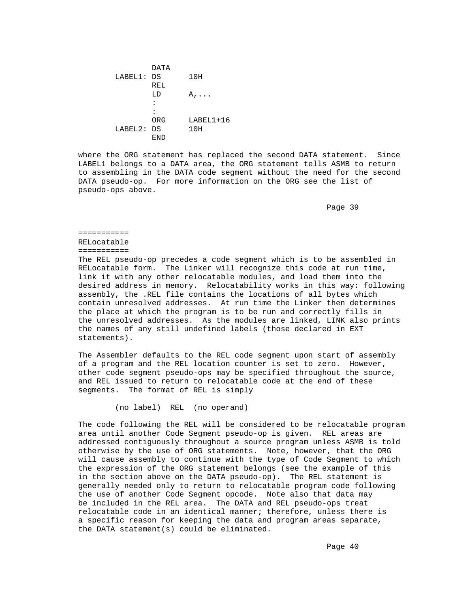DATA LABEL1: DS 10H<br>REL **REL**  $LD \qquad A, \ldots$ : :<br>ORG LABEL1+16<br>10H LABEL2: DS<br>END END

> where the ORG statement has replaced the second DATA statement. Since LABEL1 belongs to a DATA area, the ORG statement tells ASMB to return to assembling in the DATA code segment without the need for the second DATA pseudo-op. For more information on the ORG see the list of pseudo-ops above.

Page 39 and the state of the state of the state of the state of the state of the state of the state of the state of the state of the state of the state of the state of the state of the state of the state of the state of th

 =========== RELocatable ===========

 The REL pseudo-op precedes a code segment which is to be assembled in RELocatable form. The Linker will recognize this code at run time, link it with any other relocatable modules, and load them into the desired address in memory. Relocatability works in this way: following assembly, the .REL file contains the locations of all bytes which contain unresolved addresses. At run time the Linker then determines the place at which the program is to be run and correctly fills in the unresolved addresses. As the modules are linked, LINK also prints the names of any still undefined labels (those declared in EXT statements).

 The Assembler defaults to the REL code segment upon start of assembly of a program and the REL location counter is set to zero. However, other code segment pseudo-ops may be specified throughout the source, and REL issued to return to relocatable code at the end of these segments. The format of REL is simply

(no label) REL (no operand)

 The code following the REL will be considered to be relocatable program area until another Code Segment pseudo-op is given. REL areas are addressed contiguously throughout a source program unless ASMB is told otherwise by the use of ORG statements. Note, however, that the ORG will cause assembly to continue with the type of Code Segment to which the expression of the ORG statement belongs (see the example of this in the section above on the DATA pseudo-op). The REL statement is generally needed only to return to relocatable program code following the use of another Code Segment opcode. Note also that data may be included in the REL area. The DATA and REL pseudo-ops treat relocatable code in an identical manner; therefore, unless there is a specific reason for keeping the data and program areas separate, the DATA statement(s) could be eliminated.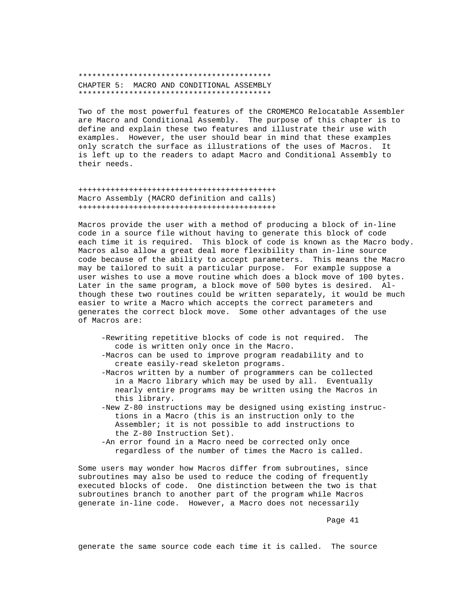\*\*\*\*\*\*\*\*\*\*\*\*\*\*\*\*\*\*\*\*\*\*\*\*\*\*\*\*\*\*\*\*\*\*\*\*\*\*\*\*\*\* CHAPTER 5: MACRO AND CONDITIONAL ASSEMBLY \*\*\*\*\*\*\*\*\*\*\*\*\*\*\*\*\*\*\*\*\*\*\*\*\*\*\*\*\*\*\*\*\*\*\*\*\*\*\*\*\*\*

 Two of the most powerful features of the CROMEMCO Relocatable Assembler are Macro and Conditional Assembly. The purpose of this chapter is to define and explain these two features and illustrate their use with examples. However, the user should bear in mind that these examples only scratch the surface as illustrations of the uses of Macros. It is left up to the readers to adapt Macro and Conditional Assembly to their needs.

 +++++++++++++++++++++++++++++++++++++++++++ Macro Assembly (MACRO definition and calls) +++++++++++++++++++++++++++++++++++++++++++

 Macros provide the user with a method of producing a block of in-line code in a source file without having to generate this block of code each time it is required. This block of code is known as the Macro body. Macros also allow a great deal more flexibility than in-line source code because of the ability to accept parameters. This means the Macro may be tailored to suit a particular purpose. For example suppose a user wishes to use a move routine which does a block move of 100 bytes. Later in the same program, a block move of 500 bytes is desired. Al though these two routines could be written separately, it would be much easier to write a Macro which accepts the correct parameters and generates the correct block move. Some other advantages of the use of Macros are:

- -Rewriting repetitive blocks of code is not required. The code is written only once in the Macro.
- -Macros can be used to improve program readability and to create easily-read skeleton programs.
- -Macros written by a number of programmers can be collected in a Macro library which may be used by all. Eventually nearly entire programs may be written using the Macros in this library.
- -New Z-80 instructions may be designed using existing instruc tions in a Macro (this is an instruction only to the Assembler; it is not possible to add instructions to the Z-80 Instruction Set).
- -An error found in a Macro need be corrected only once regardless of the number of times the Macro is called.

 Some users may wonder how Macros differ from subroutines, since subroutines may also be used to reduce the coding of frequently executed blocks of code. One distinction between the two is that subroutines branch to another part of the program while Macros generate in-line code. However, a Macro does not necessarily

en die 19de jaar van die 19de eeu n.C. Soos van die 14de eeu n.C. Soos en gewone van die 14de eeu n.C. Soos e

generate the same source code each time it is called. The source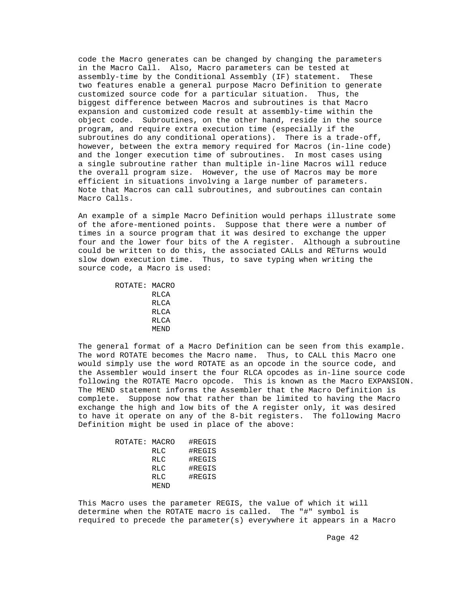code the Macro generates can be changed by changing the parameters in the Macro Call. Also, Macro parameters can be tested at assembly-time by the Conditional Assembly (IF) statement. These two features enable a general purpose Macro Definition to generate customized source code for a particular situation. Thus, the biggest difference between Macros and subroutines is that Macro expansion and customized code result at assembly-time within the object code. Subroutines, on the other hand, reside in the source program, and require extra execution time (especially if the subroutines do any conditional operations). There is a trade-off, however, between the extra memory required for Macros (in-line code) and the longer execution time of subroutines. In most cases using a single subroutine rather than multiple in-line Macros will reduce the overall program size. However, the use of Macros may be more efficient in situations involving a large number of parameters. Note that Macros can call subroutines, and subroutines can contain Macro Calls.

 An example of a simple Macro Definition would perhaps illustrate some of the afore-mentioned points. Suppose that there were a number of times in a source program that it was desired to exchange the upper four and the lower four bits of the A register. Although a subroutine could be written to do this, the associated CALLs and RETurns would slow down execution time. Thus, to save typing when writing the source code, a Macro is used:

```
 ROTATE: MACRO
         RLCA
        RLCA
        RLCA
        RLCA
        MEND
```
 The general format of a Macro Definition can be seen from this example. The word ROTATE becomes the Macro name. Thus, to CALL this Macro one would simply use the word ROTATE as an opcode in the source code, and the Assembler would insert the four RLCA opcodes as in-line source code following the ROTATE Macro opcode. This is known as the Macro EXPANSION. The MEND statement informs the Assembler that the Macro Definition is complete. Suppose now that rather than be limited to having the Macro exchange the high and low bits of the A register only, it was desired to have it operate on any of the 8-bit registers. The following Macro Definition might be used in place of the above:

| ROTATE: MACRO |            | #REGIS |
|---------------|------------|--------|
|               | <b>RLC</b> | #REGIS |
|               | <b>RLC</b> | #REGIS |
|               | <b>RLC</b> | #REGIS |
|               | <b>RLC</b> | #REGIS |
|               | MEND       |        |
|               |            |        |

 This Macro uses the parameter REGIS, the value of which it will determine when the ROTATE macro is called. The "#" symbol is required to precede the parameter(s) everywhere it appears in a Macro

Page 42 and the state of the state of the state of the state of the state of the state of the state of the state of the state of the state of the state of the state of the state of the state of the state of the state of th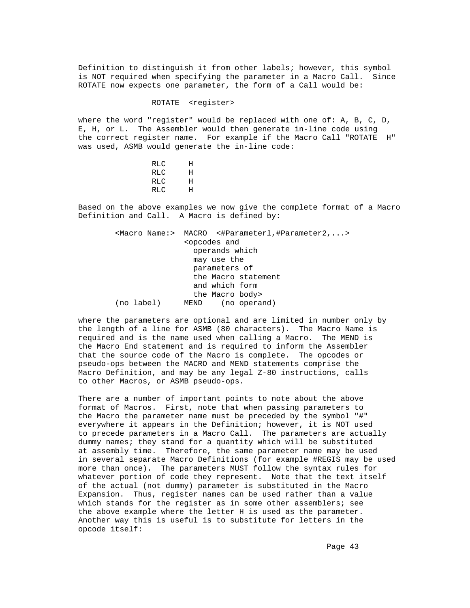Definition to distinguish it from other labels; however, this symbol is NOT required when specifying the parameter in a Macro Call. Since ROTATE now expects one parameter, the form of a Call would be:

ROTATE <register>

 where the word "register" would be replaced with one of: A, B, C, D, E, H, or L. The Assembler would then generate in-line code using the correct register name. For example if the Macro Call "ROTATE H" was used, ASMB would generate the in-line code:

| RLC        | Н |
|------------|---|
| RLC        | Η |
| RLC        | Η |
| <b>RLC</b> | Η |
|            |   |

 Based on the above examples we now give the complete format of a Macro Definition and Call. A Macro is defined by:

> <Macro Name:> MACRO <#Parameterl,#Parameter2,...> <opcodes and operands which may use the parameters of the Macro statement and which form the Macro body><br>MEND (no opera (no label) MEND (no operand)

 where the parameters are optional and are limited in number only by the length of a line for ASMB (80 characters). The Macro Name is required and is the name used when calling a Macro. The MEND is the Macro End statement and is required to inform the Assembler that the source code of the Macro is complete. The opcodes or pseudo-ops between the MACRO and MEND statements comprise the Macro Definition, and may be any legal Z-80 instructions, calls to other Macros, or ASMB pseudo-ops.

There are a number of important points to note about the above format of Macros. First, note that when passing parameters to the Macro the parameter name must be preceded by the symbol "#" everywhere it appears in the Definition; however, it is NOT used to precede parameters in a Macro Call. The parameters are actually dummy names; they stand for a quantity which will be substituted at assembly time. Therefore, the same parameter name may be used in several separate Macro Definitions (for example #REGIS may be used more than once). The parameters MUST follow the syntax rules for whatever portion of code they represent. Note that the text itself of the actual (not dummy) parameter is substituted in the Macro Expansion. Thus, register names can be used rather than a value which stands for the register as in some other assemblers; see the above example where the letter H is used as the parameter. Another way this is useful is to substitute for letters in the opcode itself: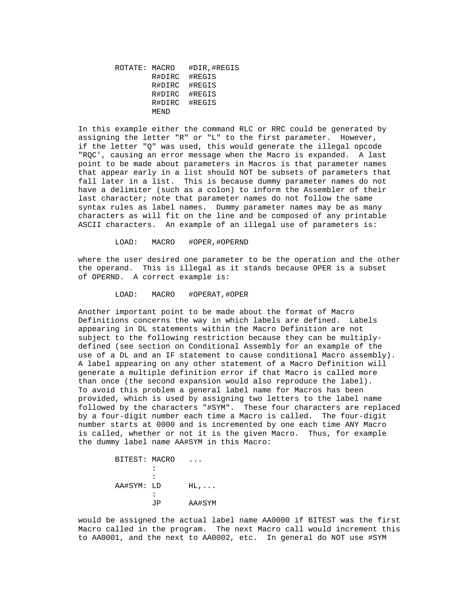ROTATE: MACRO #DIR,#REGIS R#DIRC #REGIS R#DIRC #REGIS R#DIRC #REGIS R#DIRC #REGIS MEND

 In this example either the command RLC or RRC could be generated by assigning the letter "R" or "L" to the first parameter. However, if the letter "Q" was used, this would generate the illegal opcode "RQC', causing an error message when the Macro is expanded. A last point to be made about parameters in Macros is that parameter names that appear early in a list should NOT be subsets of parameters that fall later in a list. This is because dummy parameter names do not have a delimiter (such as a colon) to inform the Assembler of their last character; note that parameter names do not follow the same syntax rules as label names. Dummy parameter names may be as many characters as will fit on the line and be composed of any printable ASCII characters. An example of an illegal use of parameters is:

LOAD: MACRO #OPER,#OPERND

 where the user desired one parameter to be the operation and the other the operand. This is illegal as it stands because OPER is a subset of OPERND. A correct example is:

LOAD: MACRO #OPERAT,#OPER

 Another important point to be made about the format of Macro Definitions concerns the way in which labels are defined. Labels appearing in DL statements within the Macro Definition are not subject to the following restriction because they can be multiply defined (see section on Conditional Assembly for an example of the use of a DL and an IF statement to cause conditional Macro assembly). A label appearing on any other statement of a Macro Definition will generate a multiple definition error if that Macro is called more than once (the second expansion would also reproduce the label). To avoid this problem a general label name for Macros has been provided, which is used by assigning two letters to the label name followed by the characters "#SYM". These four characters are replaced by a four-digit number each time a Macro is called. The four-digit number starts at 0000 and is incremented by one each time ANY Macro is called, whether or not it is the given Macro. Thus, for example the dummy label name AA#SYM in this Macro:

```
BITEST: MACRO ...<br>:
the contract of the contract of the contract of
                              :
                   AA#SYM: LD HL,...
the contract of the contract of the contract of
                              JP AA#SYM
```
 would be assigned the actual label name AA0000 if BITEST was the first Macro called in the program. The next Macro call would increment this to AA0001, and the next to AA0002, etc. In general do NOT use #SYM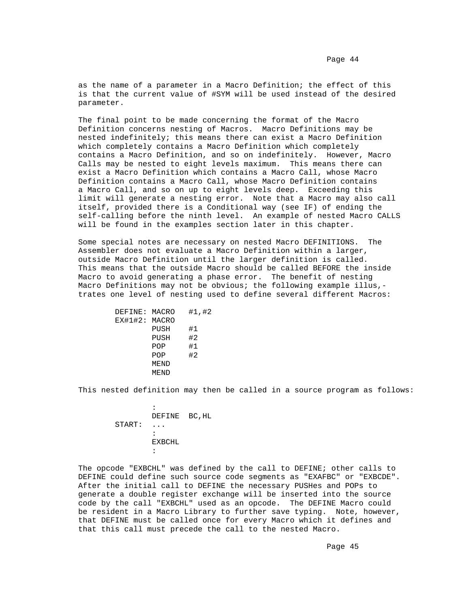as the name of a parameter in a Macro Definition; the effect of this is that the current value of #SYM will be used instead of the desired parameter.

 The final point to be made concerning the format of the Macro Definition concerns nesting of Macros. Macro Definitions may be nested indefinitely; this means there can exist a Macro Definition which completely contains a Macro Definition which completely contains a Macro Definition, and so on indefinitely. However, Macro Calls may be nested to eight levels maximum. This means there can exist a Macro Definition which contains a Macro Call, whose Macro Definition contains a Macro Call, whose Macro Definition contains a Macro Call, and so on up to eight levels deep. Exceeding this limit will generate a nesting error. Note that a Macro may also call itself, provided there is a Conditional way (see IF) of ending the self-calling before the ninth level. An example of nested Macro CALLS will be found in the examples section later in this chapter.

 Some special notes are necessary on nested Macro DEFINITIONS. The Assembler does not evaluate a Macro Definition within a larger, outside Macro Definition until the larger definition is called. This means that the outside Macro should be called BEFORE the inside Macro to avoid generating a phase error. The benefit of nesting Macro Definitions may not be obvious; the following example illus, trates one level of nesting used to define several different Macros:

| DEFINE: MACRO |      | #1, #2 |
|---------------|------|--------|
| EX#1#2: MACRO |      |        |
|               | PUSH | #1     |
|               | PUSH | #2     |
|               | POP  | #1     |
|               | POP  | #2     |
|               | MEND |        |
|               | MEND |        |
|               |      |        |

This nested definition may then be called in a source program as follows:

|        | DEFINE BC, HL           |  |
|--------|-------------------------|--|
| START: | $\cdot$ $\cdot$ $\cdot$ |  |
|        | :                       |  |
|        | EXBCHL                  |  |
|        | $\ddot{\phantom{a}}$    |  |
|        |                         |  |

 The opcode "EXBCHL" was defined by the call to DEFINE; other calls to DEFINE could define such source code segments as "EXAFBC" or "EXBCDE". After the initial call to DEFINE the necessary PUSHes and POPs to generate a double register exchange will be inserted into the source code by the call "EXBCHL" used as an opcode. The DEFINE Macro could be resident in a Macro Library to further save typing. Note, however, that DEFINE must be called once for every Macro which it defines and that this call must precede the call to the nested Macro.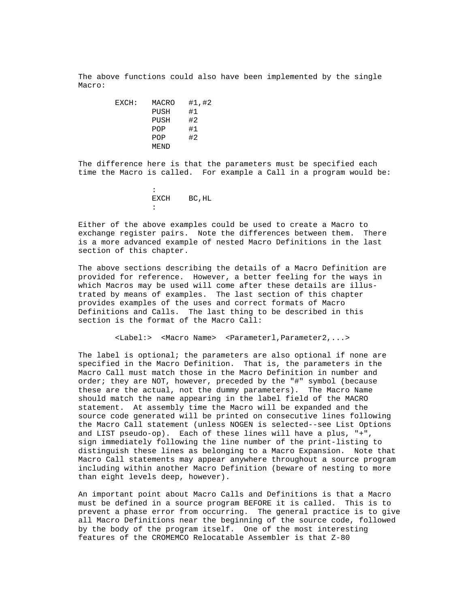The above functions could also have been implemented by the single Macro:

EXCH: MACRO #1,#2<br>PUSH #1 PUSH #1 PUSH #2<br>POP #1 POP #1<br>POP #2  $POP$ MEND

> The difference here is that the parameters must be specified each time the Macro is called. For example a Call in a program would be:

the contract of the contract of the contract of EXCH BC,HL :

> Either of the above examples could be used to create a Macro to exchange register pairs. Note the differences between them. There is a more advanced example of nested Macro Definitions in the last section of this chapter.

> The above sections describing the details of a Macro Definition are provided for reference. However, a better feeling for the ways in which Macros may be used will come after these details are illus trated by means of examples. The last section of this chapter provides examples of the uses and correct formats of Macro Definitions and Calls. The last thing to be described in this section is the format of the Macro Call:

> > <Label:> <Macro Name> <Parameterl,Parameter2,...>

 The label is optional; the parameters are also optional if none are specified in the Macro Definition. That is, the parameters in the Macro Call must match those in the Macro Definition in number and order; they are NOT, however, preceded by the "#" symbol (because these are the actual, not the dummy parameters). The Macro Name should match the name appearing in the label field of the MACRO statement. At assembly time the Macro will be expanded and the source code generated will be printed on consecutive lines following the Macro Call statement (unless NOGEN is selected--see List Options and LIST pseudo-op). Each of these lines will have a plus, "+", sign immediately following the line number of the print-listing to distinguish these lines as belonging to a Macro Expansion. Note that Macro Call statements may appear anywhere throughout a source program including within another Macro Definition (beware of nesting to more than eight levels deep, however).

 An important point about Macro Calls and Definitions is that a Macro must be defined in a source program BEFORE it is called. This is to prevent a phase error from occurring. The general practice is to give all Macro Definitions near the beginning of the source code, followed by the body of the program itself. One of the most interesting features of the CROMEMCO Relocatable Assembler is that Z-80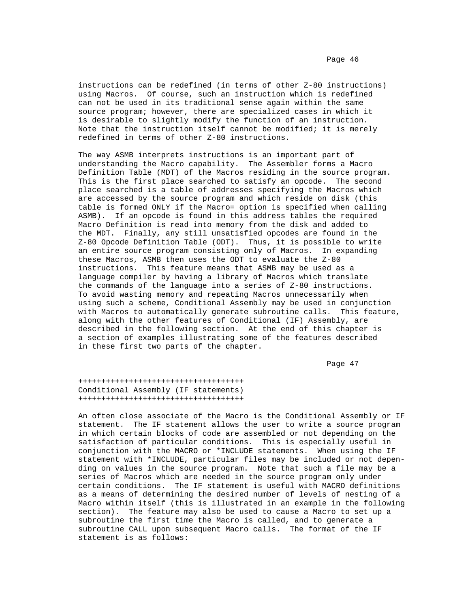instructions can be redefined (in terms of other Z-80 instructions) using Macros. Of course, such an instruction which is redefined can not be used in its traditional sense again within the same source program; however, there are specialized cases in which it is desirable to slightly modify the function of an instruction. Note that the instruction itself cannot be modified; it is merely redefined in terms of other Z-80 instructions.

 The way ASMB interprets instructions is an important part of understanding the Macro capability. The Assembler forms a Macro Definition Table (MDT) of the Macros residing in the source program. This is the first place searched to satisfy an opcode. The second place searched is a table of addresses specifying the Macros which are accessed by the source program and which reside on disk (this table is formed ONLY if the Macro= option is specified when calling ASMB). If an opcode is found in this address tables the required Macro Definition is read into memory from the disk and added to the MDT. Finally, any still unsatisfied opcodes are found in the Z-80 Opcode Definition Table (ODT). Thus, it is possible to write an entire source program consisting only of Macros. In expanding these Macros, ASMB then uses the ODT to evaluate the Z-80 instructions. This feature means that ASMB may be used as a language compiler by having a library of Macros which translate the commands of the language into a series of Z-80 instructions. To avoid wasting memory and repeating Macros unnecessarily when using such a scheme, Conditional Assembly may be used in conjunction with Macros to automatically generate subroutine calls. This feature, along with the other features of Conditional (IF) Assembly, are described in the following section. At the end of this chapter is a section of examples illustrating some of the features described in these first two parts of the chapter.

Page 47

 ++++++++++++++++++++++++++++++++++++ Conditional Assembly (IF statements) ++++++++++++++++++++++++++++++++++++

 An often close associate of the Macro is the Conditional Assembly or IF statement. The IF statement allows the user to write a source program in which certain blocks of code are assembled or not depending on the satisfaction of particular conditions. This is especially useful in conjunction with the MACRO or \*INCLUDE statements. When using the IF statement with \*INCLUDE, particular files may be included or not depen ding on values in the source program. Note that such a file may be a series of Macros which are needed in the source program only under certain conditions. The IF statement is useful with MACRO definitions as a means of determining the desired number of levels of nesting of a Macro within itself (this is illustrated in an example in the following section). The feature may also be used to cause a Macro to set up a subroutine the first time the Macro is called, and to generate a subroutine CALL upon subsequent Macro calls. The format of the IF statement is as follows: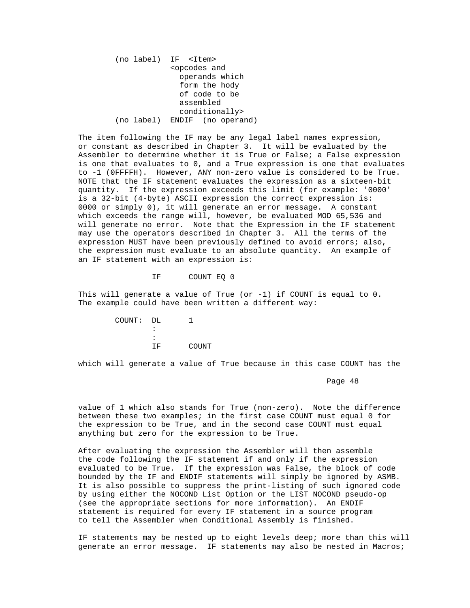(no label) IF <Item> <opcodes and operands which form the hody of code to be assembled conditionally> (no label) ENDIF (no operand)

 The item following the IF may be any legal label names expression, or constant as described in Chapter 3. It will be evaluated by the Assembler to determine whether it is True or False; a False expression is one that evaluates to 0, and a True expression is one that evaluates to -1 (0FFFFH). However, ANY non-zero value is considered to be True. NOTE that the IF statement evaluates the expression as a sixteen-bit quantity. If the expression exceeds this limit (for example: '0000' is a 32-bit (4-byte) ASCII expression the correct expression is: 0000 or simply 0), it will generate an error message. A constant which exceeds the range will, however, be evaluated MOD 65,536 and will generate no error. Note that the Expression in the IF statement may use the operators described in Chapter 3. All the terms of the expression MUST have been previously defined to avoid errors; also, the expression must evaluate to an absolute quantity. An example of an IF statement with an expression is:

IF COUNT EQ 0

 This will generate a value of True (or -1) if COUNT is equal to 0. The example could have been written a different way:

| я                    |           |
|----------------------|-----------|
| $\ddot{\phantom{a}}$ |           |
| ТF                   | COUNT     |
|                      | COUNT: DL |

which will generate a value of True because in this case COUNT has the

Page 48 and the state of the state of the state of the state of the state of the state of the state of the state of the state of the state of the state of the state of the state of the state of the state of the state of th

 value of 1 which also stands for True (non-zero). Note the difference between these two examples; in the first case COUNT must equal 0 for the expression to be True, and in the second case COUNT must equal anything but zero for the expression to be True.

 After evaluating the expression the Assembler will then assemble the code following the IF statement if and only if the expression evaluated to be True. If the expression was False, the block of code bounded by the IF and ENDIF statements will simply be ignored by ASMB. It is also possible to suppress the print-listing of such ignored code by using either the NOCOND List Option or the LIST NOCOND pseudo-op (see the appropriate sections for more information). An ENDIF statement is required for every IF statement in a source program to tell the Assembler when Conditional Assembly is finished.

 IF statements may be nested up to eight levels deep; more than this will generate an error message. IF statements may also be nested in Macros;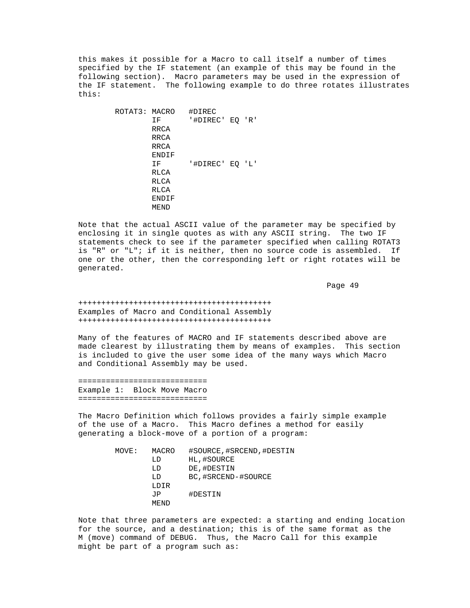this makes it possible for a Macro to call itself a number of times specified by the IF statement (an example of this may be found in the following section). Macro parameters may be used in the expression of the IF statement. The following example to do three rotates illustrates this:

| ROTAT3: MACRO |       | #DIREC          |  |
|---------------|-------|-----------------|--|
|               | ΙF    | '#DIREC' EQ 'R' |  |
|               | RRCA  |                 |  |
|               | RRCA  |                 |  |
|               | RRCA  |                 |  |
|               | ENDIF |                 |  |
|               | ΙF    | '#DIREC' EQ 'L' |  |
|               | RLCA  |                 |  |
|               | RLCA  |                 |  |
|               | RLCA  |                 |  |
|               | ENDIF |                 |  |
|               | MEND  |                 |  |
|               |       |                 |  |

 Note that the actual ASCII value of the parameter may be specified by enclosing it in single quotes as with any ASCII string. The two IF statements check to see if the parameter specified when calling ROTAT3 is "R" or "L"; if it is neither, then no source code is assembled. If one or the other, then the corresponding left or right rotates will be generated.

Page 49

 ++++++++++++++++++++++++++++++++++++++++++ Examples of Macro and Conditional Assembly ++++++++++++++++++++++++++++++++++++++++++

 Many of the features of MACRO and IF statements described above are made clearest by illustrating them by means of examples. This section is included to give the user some idea of the many ways which Macro and Conditional Assembly may be used.

 ============================ Example 1: Block Move Macro ============================

 The Macro Definition which follows provides a fairly simple example of the use of a Macro. This Macro defines a method for easily generating a block-move of a portion of a program:

| MOVE: | MACRO | #SOURCE, #SRCEND, #DESTIN |
|-------|-------|---------------------------|
|       | LD    | HL,#SOURCE                |
|       | LD    | DE, #DESTIN               |
|       | LD    | BC, #SRCEND-#SOURCE       |
|       | LDIR  |                           |
|       | J P   | #DESTIN                   |
|       | MEND  |                           |
|       |       |                           |

 Note that three parameters are expected: a starting and ending location for the source, and a destination; this is of the same format as the M (move) command of DEBUG. Thus, the Macro Call for this example might be part of a program such as: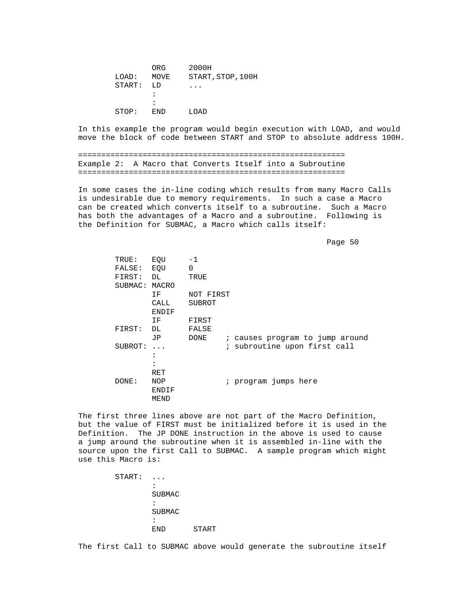| ORG                  | 2000H                   |
|----------------------|-------------------------|
| MOVE                 | START, STOP, 100H       |
| START:<br>T.D        | $\cdot$ $\cdot$ $\cdot$ |
| $\ddot{\phantom{a}}$ |                         |
| $\ddot{\phantom{a}}$ |                         |
| F.ND                 | LOAD                    |
|                      |                         |

 In this example the program would begin execution with LOAD, and would move the block of code between START and STOP to absolute address 100H.

 ========================================================== Example 2: A Macro that Converts Itself into a Subroutine ==========================================================

 In some cases the in-line coding which results from many Macro Calls is undesirable due to memory requirements. In such a case a Macro can be created which converts itself to a subroutine. Such a Macro has both the advantages of a Macro and a subroutine. Following is the Definition for SUBMAC, a Macro which calls itself:

en de la provincia de la provincia de la provincia de la provincia de la provincia de la provincia de la provi

| TRUE:         | EQU                  | -1        |                                 |
|---------------|----------------------|-----------|---------------------------------|
| FALSE:        | EQU                  | 0         |                                 |
| FIRST:        | DL                   | TRUE      |                                 |
| SUBMAC: MACRO |                      |           |                                 |
|               | IF.                  | NOT FIRST |                                 |
|               | CALL                 | SUBROT    |                                 |
|               | ENDIF                |           |                                 |
|               | IF.                  | FIRST     |                                 |
| FIRST:        | DL                   | FALSE     |                                 |
|               | JP                   | DONE      | ; causes program to jump around |
| SUBROT:       | $\cdots$             |           | ; subroutine upon first call    |
|               | :                    |           |                                 |
|               | $\ddot{\phantom{a}}$ |           |                                 |
|               | RET                  |           |                                 |
| DONE:         | NOP                  |           | ; program jumps here            |
|               | ENDIF                |           |                                 |
|               | MEND                 |           |                                 |
|               |                      |           |                                 |

 The first three lines above are not part of the Macro Definition, but the value of FIRST must be initialized before it is used in the Definition. The JP DONE instruction in the above is used to cause a jump around the subroutine when it is assembled in-line with the source upon the first Call to SUBMAC. A sample program which might use this Macro is:

| START: | $\bullet$<br>. .     |       |
|--------|----------------------|-------|
|        | $\ddot{\phantom{a}}$ |       |
|        | <b>SUBMAC</b>        |       |
|        | $\ddot{\phantom{a}}$ |       |
|        | <b>SUBMAC</b>        |       |
|        | $\ddot{\phantom{a}}$ |       |
|        |                      | START |

The first Call to SUBMAC above would generate the subroutine itself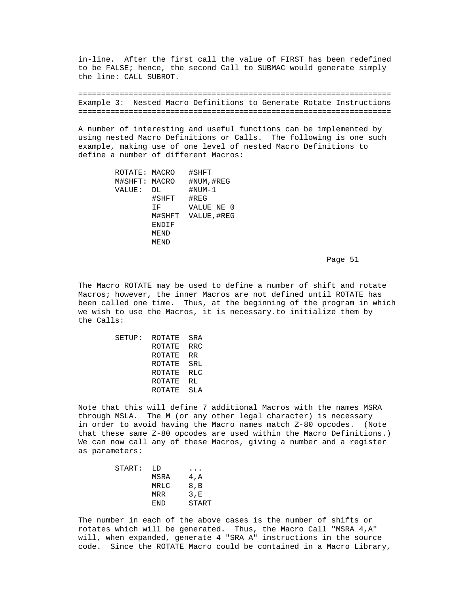in-line. After the first call the value of FIRST has been redefined to be FALSE; hence, the second Call to SUBMAC would generate simply the line: CALL SUBROT.

 ==================================================================== Example 3: Nested Macro Definitions to Generate Rotate Instructions ====================================================================

 A number of interesting and useful functions can be implemented by using nested Macro Definitions or Calls. The following is one such example, making use of one level of nested Macro Definitions to define a number of different Macros:

|        | #SHFT                          |
|--------|--------------------------------|
|        | #NUM, #REG                     |
| DL     | $#NUM-1$                       |
| #SHFT  | #REG                           |
| TF.    | VALUE NE 0                     |
| M#SHFT | VALUE, #REG                    |
| ENDIF  |                                |
| MEND   |                                |
| MEND   |                                |
|        | ROTATE: MACRO<br>M#SHFT: MACRO |

Page 51 and the state of the state of the state of the state of the state of the state of the state of the state of the state of the state of the state of the state of the state of the state of the state of the state of th

 The Macro ROTATE may be used to define a number of shift and rotate Macros; however, the inner Macros are not defined until ROTATE has been called one time. Thus, at the beginning of the program in which we wish to use the Macros, it is necessary.to initialize them by the Calls:

|  | SETUP: ROTATE SRA |     |
|--|-------------------|-----|
|  | ROTATE            | RRC |
|  | ROTATE            | RR. |
|  | ROTATE            | SRL |
|  | ROTATE RLC        |     |
|  | ROTATE            | RL  |
|  | ROTATE            | SLA |
|  |                   |     |

 Note that this will define 7 additional Macros with the names MSRA through MSLA. The M (or any other legal character) is necessary in order to avoid having the Macro names match Z-80 opcodes. (Note that these same Z-80 opcodes are used within the Macro Definitions.) We can now call any of these Macros, giving a number and a register as parameters:

| START: | T.D  | $\cdots$ |
|--------|------|----------|
|        | MSRA | 4, A     |
|        | MRLC | 8, B     |
|        | MRR  | 3.E      |
|        | END. | START    |
|        |      |          |

 The number in each of the above cases is the number of shifts or rotates which will be generated. Thus, the Macro Call "MSRA 4,A" will, when expanded, generate 4 "SRA A" instructions in the source code. Since the ROTATE Macro could be contained in a Macro Library,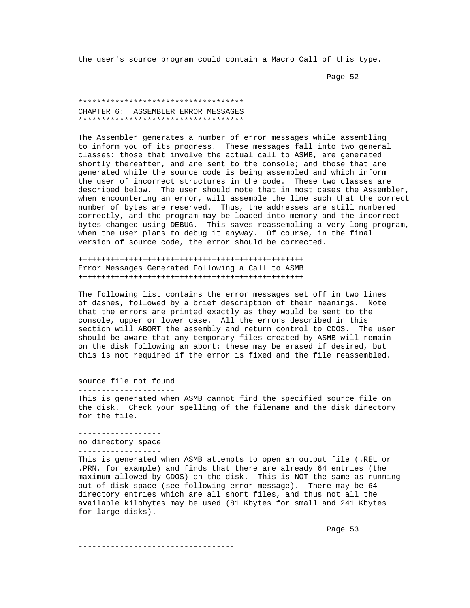the user's source program could contain a Macro Call of this type.

Page 52 and the state of the state of the state of the state of the state of the state of the state of the state of the state of the state of the state of the state of the state of the state of the state of the state of th

 \*\*\*\*\*\*\*\*\*\*\*\*\*\*\*\*\*\*\*\*\*\*\*\*\*\*\*\*\*\*\*\*\*\*\*\* CHAPTER 6: ASSEMBLER ERROR MESSAGES \*\*\*\*\*\*\*\*\*\*\*\*\*\*\*\*\*\*\*\*\*\*\*\*\*\*\*\*\*\*\*\*\*\*\*\*

 The Assembler generates a number of error messages while assembling to inform you of its progress. These messages fall into two general classes: those that involve the actual call to ASMB, are generated shortly thereafter, and are sent to the console; and those that are generated while the source code is being assembled and which inform the user of incorrect structures in the code. These two classes are described below. The user should note that in most cases the Assembler, when encountering an error, will assemble the line such that the correct number of bytes are reserved. Thus, the addresses are still numbered correctly, and the program may be loaded into memory and the incorrect bytes changed using DEBUG. This saves reassembling a very long program, when the user plans to debug it anyway. Of course, in the final version of source code, the error should be corrected.

 +++++++++++++++++++++++++++++++++++++++++++++++++ Error Messages Generated Following a Call to ASMB +++++++++++++++++++++++++++++++++++++++++++++++++

 The following list contains the error messages set off in two lines of dashes, followed by a brief description of their meanings. Note that the errors are printed exactly as they would be sent to the console, upper or lower case. All the errors described in this section will ABORT the assembly and return control to CDOS. The user should be aware that any temporary files created by ASMB will remain on the disk following an abort; these may be erased if desired, but this is not required if the error is fixed and the file reassembled.

 -------------------- source file not found ---------------------

 This is generated when ASMB cannot find the specified source file on the disk. Check your spelling of the filename and the disk directory for the file.

 ----------------- no directory space ------------------

 This is generated when ASMB attempts to open an output file (.REL or .PRN, for example) and finds that there are already 64 entries (the maximum allowed by CDOS) on the disk. This is NOT the same as running out of disk space (see following error message). There may be 64 directory entries which are all short files, and thus not all the available kilobytes may be used (81 Kbytes for small and 241 Kbytes for large disks).

Page 53 and the state of the state of the state of the state of the state of the state of the state of the state of the state of the state of the state of the state of the state of the state of the state of the state of th

----------------------------------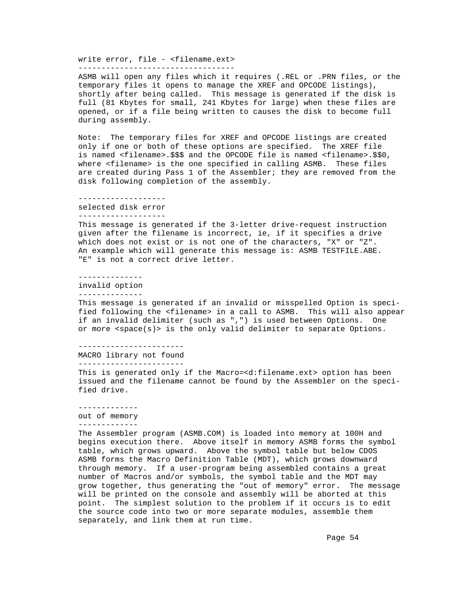write error, file - <filename.ext>

----------------------------------

 ASMB will open any files which it requires (.REL or .PRN files, or the temporary files it opens to manage the XREF and OPCODE listings), shortly after being called. This message is generated if the disk is full (81 Kbytes for small, 241 Kbytes for large) when these files are opened, or if a file being written to causes the disk to become full during assembly.

 Note: The temporary files for XREF and OPCODE listings are created only if one or both of these options are specified. The XREF file is named <filename>.\$\$\$ and the OPCODE file is named <filename>.\$\$0, where <filename> is the one specified in calling ASMB. These files are created during Pass 1 of the Assembler; they are removed from the disk following completion of the assembly.

-------------------

selected disk error

-------------------

 This message is generated if the 3-letter drive-request instruction given after the filename is incorrect, ie, if it specifies a drive which does not exist or is not one of the characters, "X" or "Z". An example which will generate this message is: ASMB TESTFILE.ABE. "E" is not a correct drive letter.

--------------

invalid option

--------------

 This message is generated if an invalid or misspelled Option is speci fied following the <filename> in a call to ASMB. This will also appear if an invalid delimiter (such as ",") is used between Options. One or more <space(s)> is the only valid delimiter to separate Options.

-----------------------

MACRO library not found

-----------------------

 This is generated only if the Macro=<d:filename.ext> option has been issued and the filename cannot be found by the Assembler on the speci fied drive.

 ------------ out of memory -------------

 The Assembler program (ASMB.COM) is loaded into memory at 100H and begins execution there. Above itself in memory ASMB forms the symbol table, which grows upward. Above the symbol table but below CDOS ASMB forms the Macro Definition Table (MDT), which grows downward through memory. If a user-program being assembled contains a great number of Macros and/or symbols, the symbol table and the MDT may grow together, thus generating the "out of memory" error. The message will be printed on the console and assembly will be aborted at this point. The simplest solution to the problem if it occurs is to edit the source code into two or more separate modules, assemble them separately, and link them at run time.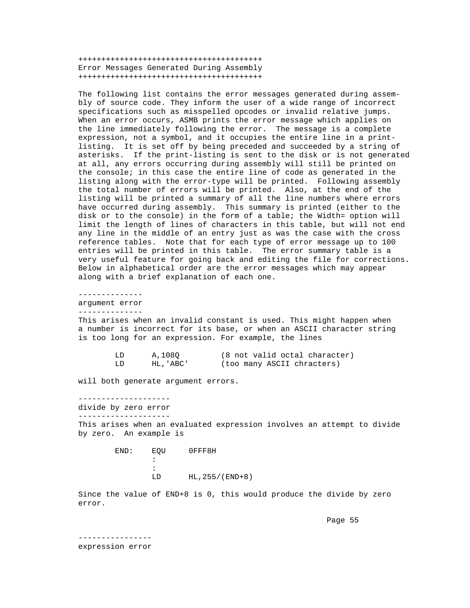++++++++++++++++++++++++++++++++++++++++ Error Messages Generated During Assembly ++++++++++++++++++++++++++++++++++++++++

 The following list contains the error messages generated during assem bly of source code. They inform the user of a wide range of incorrect specifications such as misspelled opcodes or invalid relative jumps. When an error occurs, ASMB prints the error message which applies on the line immediately following the error. The message is a complete expression, not a symbol, and it occupies the entire line in a print listing. It is set off by being preceded and succeeded by a string of asterisks. If the print-listing is sent to the disk or is not generated at all, any errors occurring during assembly will still be printed on the console; in this case the entire line of code as generated in the listing along with the error-type will be printed. Following assembly the total number of errors will be printed. Also, at the end of the listing will be printed a summary of all the line numbers where errors have occurred during assembly. This summary is printed (either to the disk or to the console) in the form of a table; the Width= option will limit the length of lines of characters in this table, but will not end any line in the middle of an entry just as was the case with the cross reference tables. Note that for each type of error message up to 100 entries will be printed in this table. The error summary table is a very useful feature for going back and editing the file for corrections. Below in alphabetical order are the error messages which may appear along with a brief explanation of each one.

--------------

 argument error --------------

 This arises when an invalid constant is used. This might happen when a number is incorrect for its base, or when an ASCII character string is too long for an expression. For example, the lines

| A,1080    | (8 not valid octal character) |
|-----------|-------------------------------|
| HL, 'ABC' | (too many ASCII chracters)    |

will both generate argument errors.

--------------------

```
 divide by zero error
```
--------------------

 This arises when an evaluated expression involves an attempt to divide by zero. An example is

 END: EQU 0FFF8H the contract of the contract of the contract of :<br>LD HL, 255/(END+8)

> Since the value of END+8 is 0, this would produce the divide by zero error.

Page 55 and the set of the set of the set of the set of the set of the set of the set of the set of the set of

 --------------- expression error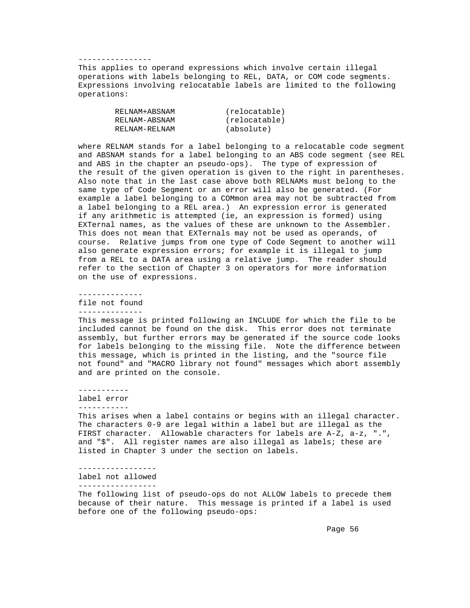# ----------------

 This applies to operand expressions which involve certain illegal operations with labels belonging to REL, DATA, or COM code segments. Expressions involving relocatable labels are limited to the following operations:

| RELNAM+ABSNAM | (relocatable) |
|---------------|---------------|
| RELNAM-ABSNAM | (relocatable) |
| RELNAM-RELNAM | (absolute)    |

 where RELNAM stands for a label belonging to a relocatable code segment and ABSNAM stands for a label belonging to an ABS code segment (see REL and ABS in the chapter an pseudo-ops). The type of expression of the result of the given operation is given to the right in parentheses. Also note that in the last case above both RELNAMs must belong to the same type of Code Segment or an error will also be generated. (For example a label belonging to a COMmon area may not be subtracted from a label belonging to a REL area.) An expression error is generated if any arithmetic is attempted (ie, an expression is formed) using EXTernal names, as the values of these are unknown to the Assembler. This does not mean that EXTernals may not be used as operands, of course. Relative jumps from one type of Code Segment to another will also generate expression errors; for example it is illegal to jump from a REL to a DATA area using a relative jump. The reader should refer to the section of Chapter 3 on operators for more information on the use of expressions.

 ------------- file not found --------------

 This message is printed following an INCLUDE for which the file to be included cannot be found on the disk. This error does not terminate assembly, but further errors may be generated if the source code looks for labels belonging to the missing file. Note the difference between this message, which is printed in the listing, and the "source file not found" and "MACRO library not found" messages which abort assembly and are printed on the console.

-----------

label error

-----------

 This arises when a label contains or begins with an illegal character. The characters 0-9 are legal within a label but are illegal as the FIRST character. Allowable characters for labels are A-Z, a-z, ".", and "\$". All register names are also illegal as labels; these are listed in Chapter 3 under the section on labels.

 ---------------- label not allowed

-----------------

 The following list of pseudo-ops do not ALLOW labels to precede them because of their nature. This message is printed if a label is used before one of the following pseudo-ops: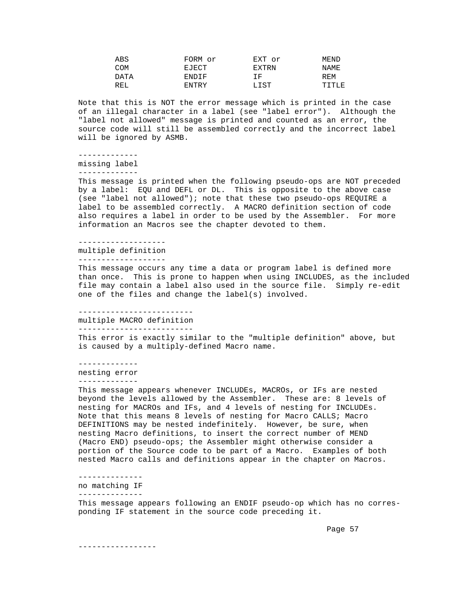| ABS        | FORM or      | EXT or | MEND  |
|------------|--------------|--------|-------|
| COM        | EJECT        | EXTRN  | NAME. |
| DATA       | <b>ENDIF</b> | T F.   | REM   |
| <b>REL</b> | ENTRY        | LIST   | TITLE |
|            |              |        |       |

 Note that this is NOT the error message which is printed in the case of an illegal character in a label (see "label error"). Although the "label not allowed" message is printed and counted as an error, the source code will still be assembled correctly and the incorrect label will be ignored by ASMB.

 ------------ missing label

-------------

 This message is printed when the following pseudo-ops are NOT preceded by a label: EQU and DEFL or DL. This is opposite to the above case (see "label not allowed"); note that these two pseudo-ops REQUIRE a label to be assembled correctly. A MACRO definition section of code also requires a label in order to be used by the Assembler. For more information an Macros see the chapter devoted to them.

 ------------------ multiple definition -------------------

 This message occurs any time a data or program label is defined more than once. This is prone to happen when using INCLUDES, as the included file may contain a label also used in the source file. Simply re-edit one of the files and change the label(s) involved.

#### -------------------------

multiple MACRO definition

-------------------------

 This error is exactly similar to the "multiple definition" above, but is caused by a multiply-defined Macro name.

 ------------ nesting error -------------

 This message appears whenever INCLUDEs, MACROs, or IFs are nested beyond the levels allowed by the Assembler. These are: 8 levels of nesting for MACROs and IFs, and 4 levels of nesting for INCLUDEs. Note that this means 8 levels of nesting for Macro CALLS; Macro DEFINITIONS may be nested indefinitely. However, be sure, when nesting Macro definitions, to insert the correct number of MEND (Macro END) pseudo-ops; the Assembler might otherwise consider a portion of the Source code to be part of a Macro. Examples of both nested Macro calls and definitions appear in the chapter on Macros.

--------------

 no matching IF --------------

 This message appears following an ENDIF pseudo-op which has no corres ponding IF statement in the source code preceding it.

Page 57 and the state of the state of the state of the state of the state of the state of the state of the state of the state of the state of the state of the state of the state of the state of the state of the state of th

-----------------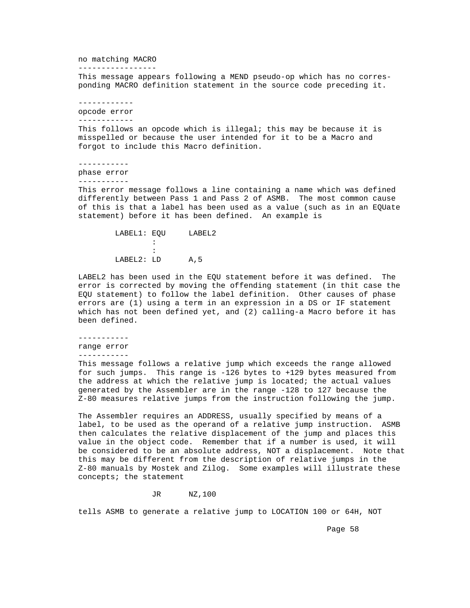no matching MACRO -----------------

 This message appears following a MEND pseudo-op which has no corres ponding MACRO definition statement in the source code preceding it.

 ----------- opcode error ------------

 This follows an opcode which is illegal; this may be because it is misspelled or because the user intended for it to be a Macro and forgot to include this Macro definition.

-----------

phase error

-----------

 This error message follows a line containing a name which was defined differently between Pass 1 and Pass 2 of ASMB. The most common cause of this is that a label has been used as a value (such as in an EQUate statement) before it has been defined. An example is

LABEL1: EQU LABEL2 the contract of the contract of the contract of : LABEL2: LD A, 5

> LABEL2 has been used in the EQU statement before it was defined. The error is corrected by moving the offending statement (in thit case the EQU statement) to follow the label definition. Other causes of phase errors are (1) using a term in an expression in a DS or IF statement which has not been defined yet, and (2) calling-a Macro before it has been defined.

-----------

range error

-----------

 This message follows a relative jump which exceeds the range allowed for such jumps. This range is -126 bytes to +129 bytes measured from the address at which the relative jump is located; the actual values generated by the Assembler are in the range -128 to 127 because the Z-80 measures relative jumps from the instruction following the jump.

 The Assembler requires an ADDRESS, usually specified by means of a label, to be used as the operand of a relative jump instruction. ASMB then calculates the relative displacement of the jump and places this value in the object code. Remember that if a number is used, it will be considered to be an absolute address, NOT a displacement. Note that this may be different from the description of relative jumps in the Z-80 manuals by Mostek and Zilog. Some examples will illustrate these concepts; the statement

JR NZ,100

tells ASMB to generate a relative jump to LOCATION 100 or 64H, NOT

Page 58 and the state of the state of the state of the state of the state of the state of the state of the state of the state of the state of the state of the state of the state of the state of the state of the state of th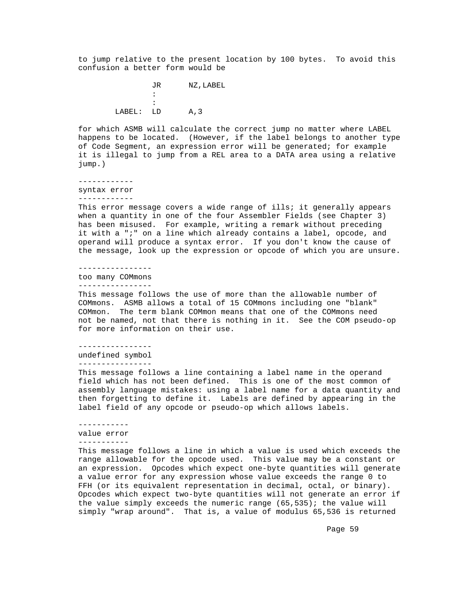to jump relative to the present location by 100 bytes. To avoid this confusion a better form would be

> JR NZ,LABEL : : LABEL: LD A, 3

 for which ASMB will calculate the correct jump no matter where LABEL happens to be located. (However, if the label belongs to another type of Code Segment, an expression error will be generated; for example it is illegal to jump from a REL area to a DATA area using a relative jump.)

 ----------- syntax error

------------

This error message covers a wide range of ills; it generally appears when a quantity in one of the four Assembler Fields (see Chapter 3) has been misused. For example, writing a remark without preceding it with a ";" on a line which already contains a label, opcode, and operand will produce a syntax error. If you don't know the cause of the message, look up the expression or opcode of which you are unsure.

 --------------- too many COMmons ----------------

 This message follows the use of more than the allowable number of COMmons. ASMB allows a total of 15 COMmons including one "blank" COMmon. The term blank COMmon means that one of the COMmons need not be named, not that there is nothing in it. See the COM pseudo-op for more information on their use.

 --------------- undefined symbol

----------------

 This message follows a line containing a label name in the operand field which has not been defined. This is one of the most common of assembly language mistakes: using a label name for a data quantity and then forgetting to define it. Labels are defined by appearing in the label field of any opcode or pseudo-op which allows labels.

#### ---------- value error -----------

 This message follows a line in which a value is used which exceeds the range allowable for the opcode used. This value may be a constant or an expression. Opcodes which expect one-byte quantities will generate a value error for any expression whose value exceeds the range 0 to FFH (or its equivalent representation in decimal, octal, or binary). Opcodes which expect two-byte quantities will not generate an error if the value simply exceeds the numeric range (65,535); the value will simply "wrap around". That is, a value of modulus 65,536 is returned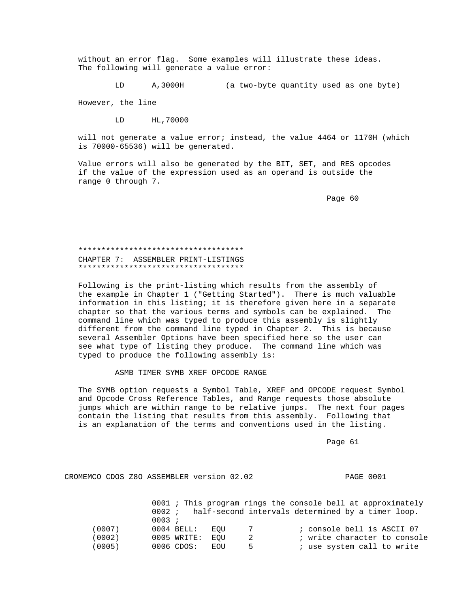without an error flag. Some examples will illustrate these ideas. The following will generate a value error:

LD A,3000H (a two-byte quantity used as one byte)

However, the line

LD HL,70000

 will not generate a value error; instead, the value 4464 or 1170H (which is 70000-65536) will be generated.

 Value errors will also be generated by the BIT, SET, and RES opcodes if the value of the expression used as an operand is outside the range 0 through 7.

en de la provincia de la provincia de la provincia de la provincia de la provincia de la provincia de la provi

## \*\*\*\*\*\*\*\*\*\*\*\*\*\*\*\*\*\*\*\*\*\*\*\*\*\*\*\*\*\*\*\*\*\*\*\* CHAPTER 7: ASSEMBLER PRINT-LISTINGS \*\*\*\*\*\*\*\*\*\*\*\*\*\*\*\*\*\*\*\*\*\*\*\*\*\*\*\*\*\*\*\*\*\*\*\*

 Following is the print-listing which results from the assembly of the example in Chapter 1 ("Getting Started"). There is much valuable information in this listing; it is therefore given here in a separate chapter so that the various terms and symbols can be explained. The command line which was typed to produce this assembly is slightly different from the command line typed in Chapter 2. This is because several Assembler Options have been specified here so the user can see what type of listing they produce. The command line which was typed to produce the following assembly is:

ASMB TIMER SYMB XREF OPCODE RANGE

 The SYMB option requests a Symbol Table, XREF and OPCODE request Symbol and Opcode Cross Reference Tables, and Range requests those absolute jumps which are within range to be relative jumps. The next four pages contain the listing that results from this assembly. Following that is an explanation of the terms and conventions used in the listing.

Page 61 and the state of the state of the state of the state of the state of the state of the state of the state of the state of the state of the state of the state of the state of the state of the state of the state of th

CROMEMCO CDOS Z8O ASSEMBLER version 02.02 PAGE 0001

|        |                |                   | 0001 ; This program rings the console bell at approximately |
|--------|----------------|-------------------|-------------------------------------------------------------|
|        | 0002 :         |                   | half-second intervals determined by a timer loop.           |
|        | 0003 :         |                   |                                                             |
| (0007) | $0004$ BELL:   | EOU<br>$7\degree$ | ; console bell is ASCII 07                                  |
| (0002) | 0005 WRITE:    | 2<br>EOU          | ; write character to console                                |
| (0005) | $0006$ $CDOS:$ | <b>EOU</b><br>5.  | ; use system call to write                                  |
|        |                |                   |                                                             |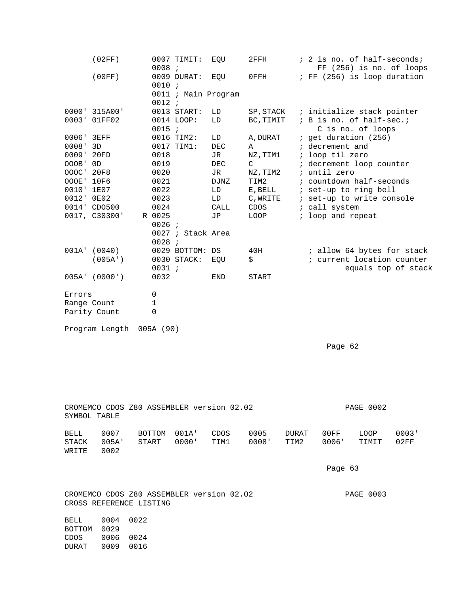|            | (02FF)          | 0008;       | 0007 TIMIT:         | EQU         | 2FFH          | ; 2 is no. of half-seconds;<br>$FF(256)$ is no. of loops |
|------------|-----------------|-------------|---------------------|-------------|---------------|----------------------------------------------------------|
|            | (00FF)          | 0010 :      | 0009 DURAT:         | EQU         | 0FFH          | ; FF (256) is loop duration                              |
|            |                 | 0012 :      | 0011 ; Main Program |             |               |                                                          |
|            | 0000' 315A00'   |             | 0013 START:         | LD          | SP, STACK     | ; initialize stack pointer                               |
| 0003'      | 01FF02          |             | 0014 LOOP:          | LD          | BC, TIMIT     | ; B is no. of half-sec.;                                 |
|            |                 | 0015 ;      |                     |             |               | C is no. of loops                                        |
| 0006' 3EFF |                 |             | 0016 TIM2:          | LD          | A, DURAT      | ; get duration (256)                                     |
| $0008'$ 3D |                 |             | 0017 TIM1:          | <b>DEC</b>  | A             | ; decrement and                                          |
| 0009' 20FD |                 | 0018        |                     | JR          | NZ, TIM1      | ; loop til zero                                          |
| OOOB '     | 0D              | 0019        |                     | <b>DEC</b>  | $\mathcal{C}$ | ; decrement loop counter                                 |
| 000C' 20F8 |                 | 0020        |                     | JR          | NZ, TIM2      | ; until zero                                             |
| OOOE' 10F6 |                 | 0021        |                     | <b>DJNZ</b> | TIM2          | ; countdown half-seconds                                 |
| 0010' 1E07 |                 | 0022        |                     | LD          | E, BELL       | ; set-up to ring bell                                    |
| 0012' 0E02 |                 | 0023        |                     | LD          | C, WRITE      | ; set-up to write console                                |
|            | 0014' CDO500    | 0024        |                     | CALL        | CDOS          | ; call system                                            |
|            | 0017, C30300'   | R 0025      |                     | JP          | LOOP          | ; loop and repeat                                        |
|            |                 | 0026;       |                     |             |               |                                                          |
|            |                 |             | 0027 ; Stack Area   |             |               |                                                          |
|            |                 | $0028$ ;    |                     |             |               |                                                          |
|            | 001A' (0040)    |             | 0029 BOTTOM: DS     |             | 40H           | ; allow 64 bytes for stack                               |
|            | (005A')         |             | 0030 STACK:         | EQU         | \$            | ; current location counter                               |
|            |                 | 0031;       |                     |             |               | equals top of stack                                      |
|            | $005A'$ (0000') | 0032        |                     | <b>END</b>  | <b>START</b>  |                                                          |
| Errors     |                 | $\mathsf 0$ |                     |             |               |                                                          |
|            | Range Count     | 1           |                     |             |               |                                                          |
|            | Parity Count    | $\Omega$    |                     |             |               |                                                          |
|            | Program Length  | 005A (90)   |                     |             |               |                                                          |
|            |                 |             |                     |             |               | Page 62                                                  |
|            |                 |             |                     |             |               |                                                          |

| CROMEMCO CDOS Z80 ASSEMBLER version 02.02<br>SYMBOL TABLE |                                                                                          |                              |                      |                |              |               | <b>PAGE 0002</b> |               |               |               |
|-----------------------------------------------------------|------------------------------------------------------------------------------------------|------------------------------|----------------------|----------------|--------------|---------------|------------------|---------------|---------------|---------------|
|                                                           | BELL<br>STACK<br>WRITE                                                                   | 0007<br>005A'<br>0002        | BOTTOM<br>START      | 001A'<br>0000' | CDOS<br>TIM1 | 0005<br>0008' | DURAT<br>TIM2    | 00FF<br>0006' | LOOP<br>TIMIT | 0003'<br>02FF |
|                                                           |                                                                                          |                              |                      |                |              |               |                  | Page 63       |               |               |
|                                                           | CROMEMCO CDOS Z80 ASSEMBLER version 02.02<br><b>PAGE 0003</b><br>CROSS REFERENCE LISTING |                              |                      |                |              |               |                  |               |               |               |
|                                                           | BELL<br><b>BOTTOM</b><br>CDOS<br><b>DURAT</b>                                            | 0004<br>0029<br>0006<br>0009 | 0022<br>0024<br>0016 |                |              |               |                  |               |               |               |
|                                                           |                                                                                          |                              |                      |                |              |               |                  |               |               |               |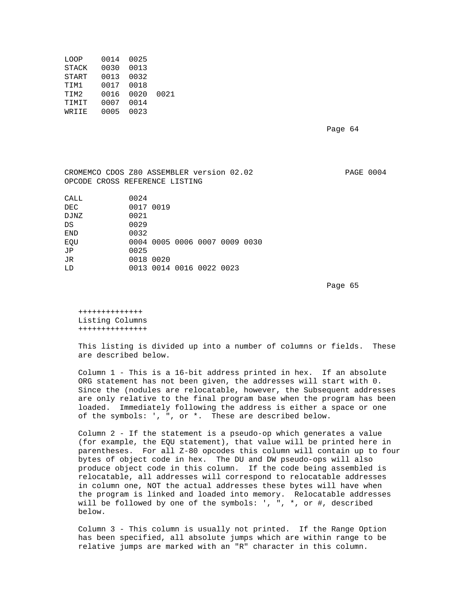| LOOP         | 0014 | 0025 |      |
|--------------|------|------|------|
| <b>STACK</b> | 0030 | 0013 |      |
| <b>START</b> | 0013 | 0032 |      |
| TIM1         | 0017 | 0018 |      |
| TIM2         | 0016 | 0020 | 0021 |
| <b>TIMIT</b> | 0007 | 0014 |      |
| WRIIE        | 0005 | 0023 |      |
|              |      |      |      |

Page 64

 CROMEMCO CDOS Z80 ASSEMBLER version 02.02 PAGE 0004 OPCODE CROSS REFERENCE LISTING CALL 0024  $0.017$   $0.019$ 

| レムし  | UUIT UUID |                          |  |                               |  |
|------|-----------|--------------------------|--|-------------------------------|--|
| DJNZ | 0021      |                          |  |                               |  |
| DS   | 0029      |                          |  |                               |  |
| END  | 0032      |                          |  |                               |  |
| EOU  |           |                          |  | 0004 0005 0006 0007 0009 0030 |  |
| JP   | 0025      |                          |  |                               |  |
| JR   | 0018 0020 |                          |  |                               |  |
| ת ד  |           | 0013 0014 0016 0022 0023 |  |                               |  |
|      |           |                          |  |                               |  |

en de la provincia de la provincia de la provincia de la provincia de la provincia de la provincia de la provi

 ++++++++++++++ Listing Columns +++++++++++++++

 This listing is divided up into a number of columns or fields. These are described below.

 Column 1 - This is a 16-bit address printed in hex. If an absolute ORG statement has not been given, the addresses will start with 0. Since the (nodules are relocatable, however, the Subsequent addresses are only relative to the final program base when the program has been loaded. Immediately following the address is either a space or one of the symbols: ', ", or \*. These are described below.

 Column 2 - If the statement is a pseudo-op which generates a value (for example, the EQU statement), that value will be printed here in parentheses. For all Z-80 opcodes this column will contain up to four bytes of object code in hex. The DU and DW pseudo-ops will also produce object code in this column. If the code being assembled is relocatable, all addresses will correspond to relocatable addresses in column one, NOT the actual addresses these bytes will have when the program is linked and loaded into memory. Relocatable addresses will be followed by one of the symbols: ', ", \*, or #, described below.

 Column 3 - This column is usually not printed. If the Range Option has been specified, all absolute jumps which are within range to be relative jumps are marked with an "R" character in this column.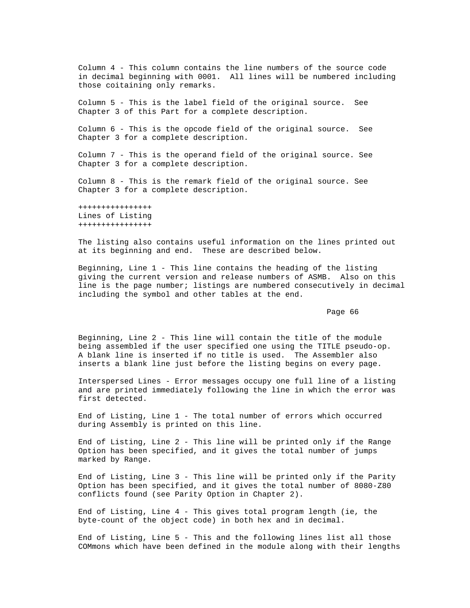Column 4 - This column contains the line numbers of the source code in decimal beginning with 0001. All lines will be numbered including those coitaining only remarks.

 Column 5 - This is the label field of the original source. See Chapter 3 of this Part for a complete description.

 Column 6 - This is the opcode field of the original source. See Chapter 3 for a complete description.

 Column 7 - This is the operand field of the original source. See Chapter 3 for a complete description.

 Column 8 - This is the remark field of the original source. See Chapter 3 for a complete description.

 ++++++++++++++++ Lines of Listing ++++++++++++++++

 The listing also contains useful information on the lines printed out at its beginning and end. These are described below.

 Beginning, Line 1 - This line contains the heading of the listing giving the current version and release numbers of ASMB. Also on this line is the page number; listings are numbered consecutively in decimal including the symbol and other tables at the end.

en de la provincia de la provincia de la provincia de la provincia de la provincia de la provincia de la provi

 Beginning, Line 2 - This line will contain the title of the module being assembled if the user specified one using the TITLE pseudo-op. A blank line is inserted if no title is used. The Assembler also inserts a blank line just before the listing begins on every page.

 Interspersed Lines - Error messages occupy one full line of a listing and are printed immediately following the line in which the error was first detected.

 End of Listing, Line 1 - The total number of errors which occurred during Assembly is printed on this line.

 End of Listing, Line 2 - This line will be printed only if the Range Option has been specified, and it gives the total number of jumps marked by Range.

 End of Listing, Line 3 - This line will be printed only if the Parity Option has been specified, and it gives the total number of 8080-Z80 conflicts found (see Parity Option in Chapter 2).

 End of Listing, Line 4 - This gives total program length (ie, the byte-count of the object code) in both hex and in decimal.

 End of Listing, Line 5 - This and the following lines list all those COMmons which have been defined in the module along with their lengths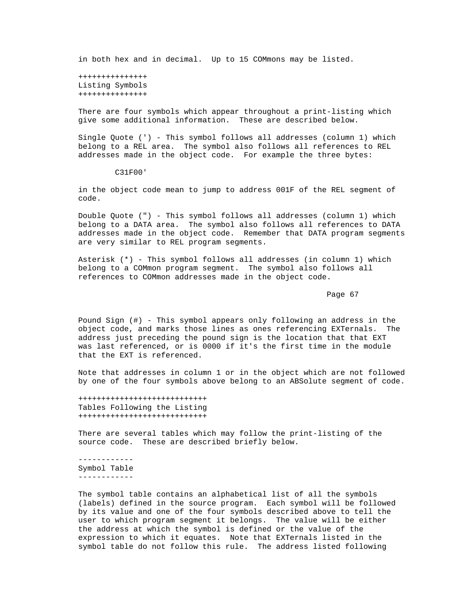in both hex and in decimal. Up to 15 COMmons may be listed.

 +++++++++++++++ Listing Symbols +++++++++++++++

 There are four symbols which appear throughout a print-listing which give some additional information. These are described below.

 Single Quote (') - This symbol follows all addresses (column 1) which belong to a REL area. The symbol also follows all references to REL addresses made in the object code. For example the three bytes:

C31F00'

 in the object code mean to jump to address 001F of the REL segment of code.

 Double Quote (") - This symbol follows all addresses (column 1) which belong to a DATA area. The symbol also follows all references to DATA addresses made in the object code. Remember that DATA program segments are very similar to REL program segments.

 Asterisk (\*) - This symbol follows all addresses (in column 1) which belong to a COMmon program segment. The symbol also follows all references to COMmon addresses made in the object code.

Page 67 and the state of the state of the state of the state of the state of the state of the state of the state of the state of the state of the state of the state of the state of the state of the state of the state of th

 Pound Sign (#) - This symbol appears only following an address in the object code, and marks those lines as ones referencing EXTernals. The address just preceding the pound sign is the location that that EXT was last referenced, or is 0000 if it's the first time in the module that the EXT is referenced.

 Note that addresses in column 1 or in the object which are not followed by one of the four symbols above belong to an ABSolute segment of code.

 ++++++++++++++++++++++++++++ Tables Following the Listing ++++++++++++++++++++++++++++

 There are several tables which may follow the print-listing of the source code. These are described briefly below.

 ------------ Symbol Table ------------

 The symbol table contains an alphabetical list of all the symbols (labels) defined in the source program. Each symbol will be followed by its value and one of the four symbols described above to tell the user to which program segment it belongs. The value will be either the address at which the symbol is defined or the value of the expression to which it equates. Note that EXTernals listed in the symbol table do not follow this rule. The address listed following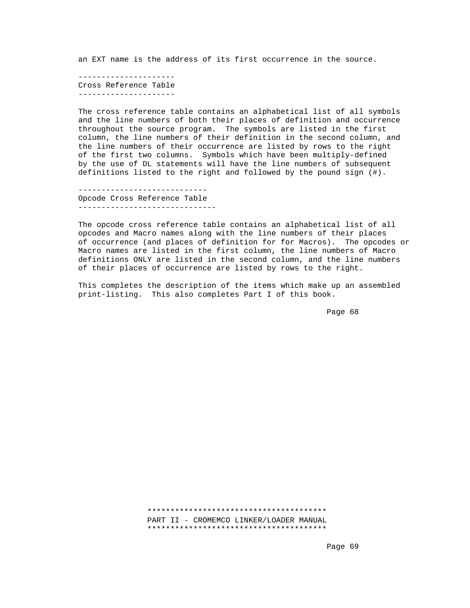an EXT name is the address of its first occurrence in the source.

 --------------------- Cross Reference Table ---------------------

 The cross reference table contains an alphabetical list of all symbols and the line numbers of both their places of definition and occurrence throughout the source program. The symbols are listed in the first column, the line numbers of their definition in the second column, and the line numbers of their occurrence are listed by rows to the right of the first two columns. Symbols which have been multiply-defined by the use of DL statements will have the line numbers of subsequent definitions listed to the right and followed by the pound sign (#).

 ---------------------------- Opcode Cross Reference Table ------------------------------

> The opcode cross reference table contains an alphabetical list of all opcodes and Macro names along with the line numbers of their places of occurrence (and places of definition for for Macros). The opcodes or Macro names are listed in the first column, the line numbers of Macro definitions ONLY are listed in the second column, and the line numbers of their places of occurrence are listed by rows to the right.

 This completes the description of the items which make up an assembled print-listing. This also completes Part I of this book.

e de la provincia de la provincia de la provincia de la provincia de la provincia de la provincia de la provincia d

 \*\*\*\*\*\*\*\*\*\*\*\*\*\*\*\*\*\*\*\*\*\*\*\*\*\*\*\*\*\*\*\*\*\*\*\*\*\*\* PART II - CROMEMCO LINKER/LOADER MANUAL \*\*\*\*\*\*\*\*\*\*\*\*\*\*\*\*\*\*\*\*\*\*\*\*\*\*\*\*\*\*\*\*\*\*\*\*\*\*\*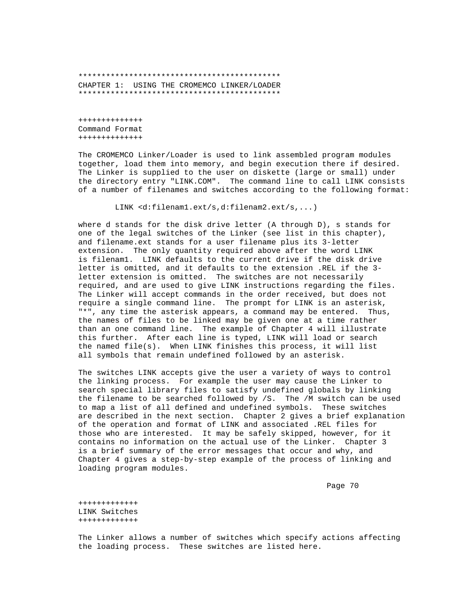\*\*\*\*\*\*\*\*\*\*\*\*\*\*\*\*\*\*\*\*\*\*\*\*\*\*\*\*\*\*\*\*\*\*\*\*\*\*\*\*\*\*\*\* CHAPTER 1: USING THE CROMEMCO LINKER/LOADER \*\*\*\*\*\*\*\*\*\*\*\*\*\*\*\*\*\*\*\*\*\*\*\*\*\*\*\*\*\*\*\*\*\*\*\*\*\*\*\*\*\*\*\*

 ++++++++++++++ Command Format ++++++++++++++

 The CROMEMCO Linker/Loader is used to link assembled program modules together, load them into memory, and begin execution there if desired. The Linker is supplied to the user on diskette (large or small) under the directory entry "LINK.COM". The command line to call LINK consists of a number of filenames and switches according to the following format:

LINK <d:filenam1.ext/s,d:filenam2.ext/s,...)

 where d stands for the disk drive letter (A through D), s stands for one of the legal switches of the Linker (see list in this chapter), and filename.ext stands for a user filename plus its 3-letter extension. The only quantity required above after the word LINK is filenam1. LINK defaults to the current drive if the disk drive letter is omitted, and it defaults to the extension .REL if the 3 letter extension is omitted. The switches are not necessarily required, and are used to give LINK instructions regarding the files. The Linker will accept commands in the order received, but does not require a single command line. The prompt for LINK is an asterisk, "\*", any time the asterisk appears, a command may be entered. Thus, the names of files to be linked may be given one at a time rather than an one command line. The example of Chapter 4 will illustrate this further. After each line is typed, LINK will load or search the named file(s). When LINK finishes this process, it will list all symbols that remain undefined followed by an asterisk.

 The switches LINK accepts give the user a variety of ways to control the linking process. For example the user may cause the Linker to search special library files to satisfy undefined globals by linking the filename to be searched followed by /S. The /M switch can be used to map a list of all defined and undefined symbols. These switches are described in the next section. Chapter 2 gives a brief explanation of the operation and format of LINK and associated .REL files for those who are interested. It may be safely skipped, however, for it contains no information on the actual use of the Linker. Chapter 3 is a brief summary of the error messages that occur and why, and Chapter 4 gives a step-by-step example of the process of linking and loading program modules.

Page 70  $\,$  Page 70  $\,$ 

 +++++++++++++ LINK Switches +++++++++++++

 The Linker allows a number of switches which specify actions affecting the loading process. These switches are listed here.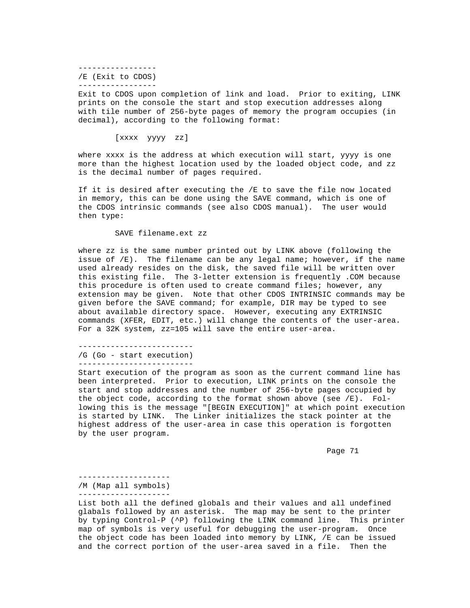----------------- /E (Exit to CDOS) -----------------

 Exit to CDOS upon completion of link and load. Prior to exiting, LINK prints on the console the start and stop execution addresses along with tile number of 256-byte pages of memory the program occupies (in decimal), according to the following format:

[xxxx yyyy zz]

 where xxxx is the address at which execution will start, yyyy is one more than the highest location used by the loaded object code, and zz is the decimal number of pages required.

 If it is desired after executing the /E to save the file now located in memory, this can be done using the SAVE command, which is one of the CDOS intrinsic commands (see also CDOS manual). The user would then type:

SAVE filename.ext zz

 where zz is the same number printed out by LINK above (following the issue of /E). The filename can be any legal name; however, if the name used already resides on the disk, the saved file will be written over this existing file. The 3-letter extension is frequently .COM because this procedure is often used to create command files; however, any extension may be given. Note that other CDOS INTRINSIC commands may be given before the SAVE command; for example, DIR may be typed to see about available directory space. However, executing any EXTRINSIC commands (XFER, EDIT, etc.) will change the contents of the user-area. For a 32K system, zz=105 will save the entire user-area.

 ------------------------- /G (Go - start execution) -------------------------

 Start execution of the program as soon as the current command line has been interpreted. Prior to execution, LINK prints on the console the start and stop addresses and the number of 256-byte pages occupied by the object code, according to the format shown above (see /E). Fol lowing this is the message "[BEGIN EXECUTION]" at which point execution is started by LINK. The Linker initializes the stack pointer at the highest address of the user-area in case this operation is forgotten by the user program.

Page 71 and the state of the state of the state of the state of the state of the state of the state of the state of the state of the state of the state of the state of the state of the state of the state of the state of th

--------------------

 /M (Map all symbols) --------------------

 List both all the defined globals and their values and all undefined glabals followed by an asterisk. The map may be sent to the printer by typing Control-P (^P) following the LINK command line. This printer map of symbols is very useful for debugging the user-program. Once the object code has been loaded into memory by LINK, /E can be issued and the correct portion of the user-area saved in a file. Then the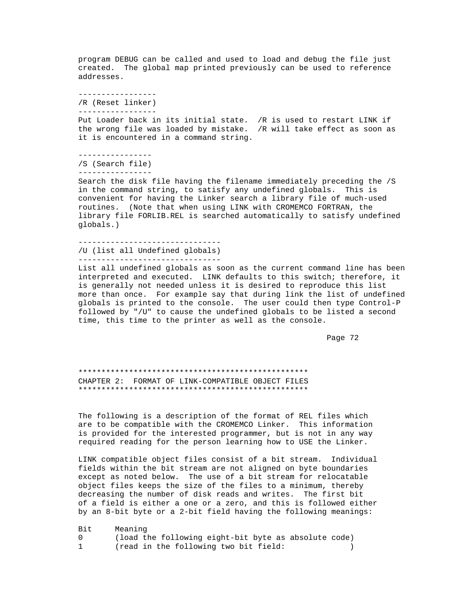program DEBUG can be called and used to load and debug the file just created. The global map printed previously can be used to reference addresses.

 ----------------- /R (Reset linker)

-----------------

 Put Loader back in its initial state. /R is used to restart LINK if the wrong file was loaded by mistake. /R will take effect as soon as it is encountered in a command string.

 ---------------- /S (Search file) ----------------

 Search the disk file having the filename immediately preceding the /S in the command string, to satisfy any undefined globals. This is convenient for having the Linker search a library file of much-used routines. (Note that when using LINK with CROMEMCO FORTRAN, the library file FORLIB.REL is searched automatically to satisfy undefined globals.)

```
 -------------------------------
 /U (list all Undefined globals)
 -------------------------------
```
 List all undefined globals as soon as the current command line has been interpreted and executed. LINK defaults to this switch; therefore, it is generally not needed unless it is desired to reproduce this list more than once. For example say that during link the list of undefined globals is printed to the console. The user could then type Control-P followed by "/U" to cause the undefined globals to be listed a second time, this time to the printer as well as the console.

Page 72 and the state of the state of the state of the state of the state of the state of the state of the state of the state of the state of the state of the state of the state of the state of the state of the state of th

 \*\*\*\*\*\*\*\*\*\*\*\*\*\*\*\*\*\*\*\*\*\*\*\*\*\*\*\*\*\*\*\*\*\*\*\*\*\*\*\*\*\*\*\*\*\*\*\*\*\* CHAPTER 2: FORMAT OF LINK-COMPATIBLE OBJECT FILES \*\*\*\*\*\*\*\*\*\*\*\*\*\*\*\*\*\*\*\*\*\*\*\*\*\*\*\*\*\*\*\*\*\*\*\*\*\*\*\*\*\*\*\*\*\*\*\*\*\*

 The following is a description of the format of REL files which are to be compatible with the CROMEMCO Linker. This information is provided for the interested programmer, but is not in any way required reading for the person learning how to USE the Linker.

 LINK compatible object files consist of a bit stream. Individual fields within the bit stream are not aligned on byte boundaries except as noted below. The use of a bit stream for relocatable object files keeps the size of the files to a minimum, thereby decreasing the number of disk reads and writes. The first bit of a field is either a one or a zero, and this is followed either by an 8-bit byte or a 2-bit field having the following meanings:

Bit Meaning<br>0 (load t 0 (load the following eight-bit byte as absolute code)<br>1 (read in the following two bit field: (read in the following two bit field: )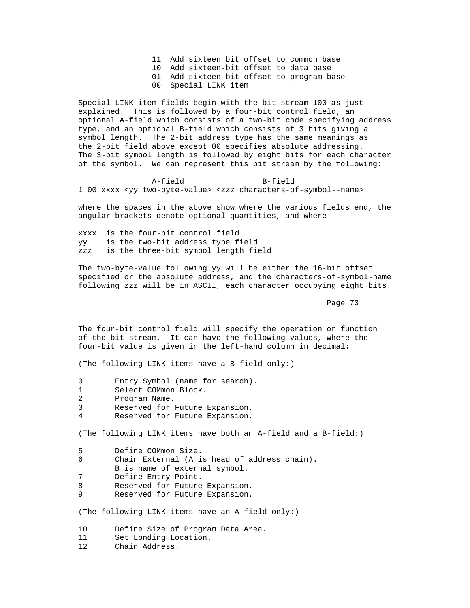- 11 Add sixteen bit offset to common base
- 10 Add sixteen-bit offset to data base
- 01 Add sixteen-bit offset to program base
- 00 Special LINK item

 Special LINK item fields begin with the bit stream 100 as just explained. This is followed by a four-bit control field, an optional A-field which consists of a two-bit code specifying address type, and an optional B-field which consists of 3 bits giving a symbol length. The 2-bit address type has the same meanings as the 2-bit field above except 00 specifies absolute addressing. The 3-bit symbol length is followed by eight bits for each character of the symbol. We can represent this bit stream by the following:

 A-field B-field 1 00 xxxx <yy two-byte-value> <zzz characters-of-symbol--name>

 where the spaces in the above show where the various fields end, the angular brackets denote optional quantities, and where

 xxxx is the four-bit control field yy is the two-bit address type field zzz is the three-bit symbol length field

 The two-byte-value following yy will be either the 16-bit offset specified or the absolute address, and the characters-of-symbol-name following zzz will be in ASCII, each character occupying eight bits.

Page 73 and the set of the set of the set of the set of the set of the set of the set of the set of the set of the set of the set of the set of the set of the set of the set of the set of the set of the set of the set of t

 The four-bit control field will specify the operation or function of the bit stream. It can have the following values, where the four-bit value is given in the left-hand column in decimal:

(The following LINK items have a B-field only:)

- 0 Entry Symbol (name for search).<br>1 Select COMmon Block.
- Select COMmon Block.
- 2 Program Name.<br>3 Reserved for
- 3 Reserved for Future Expansion.<br>4 Reserved for Future Expansion
- Reserved for Future Expansion.

(The following LINK items have both an A-field and a B-field:)

| 5. | Define COMmon Size.                          |
|----|----------------------------------------------|
| 6  | Chain External (A is head of address chain). |
|    | B is name of external symbol.                |
| 7  | Define Entry Point.                          |
| 8  | Reserved for Future Expansion.               |
| q  | Reserved for Future Expansion.               |

(The following LINK items have an A-field only:)

10 Define Size of Program Data Area.<br>11 Set Londing Location.

- 11 Set Londing Location.<br>12 Chain Address.
- Chain Address.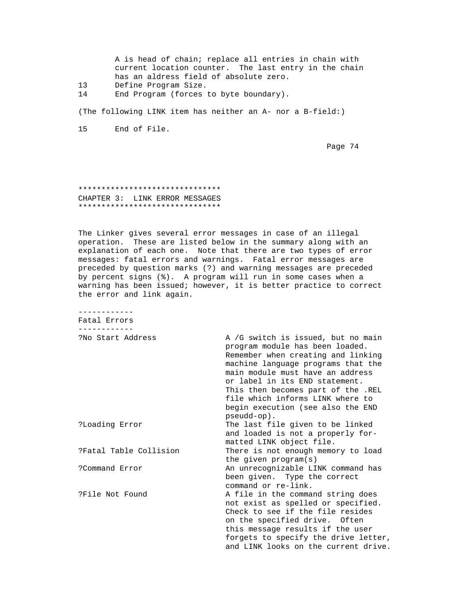|    | A is head of chain; replace all entries in chain with |
|----|-------------------------------------------------------|
|    | current location counter. The last entry in the chain |
|    | has an aldress field of absolute zero.                |
| 13 | Define Program Size.                                  |
|    |                                                       |

14 End Program (forces to byte boundary).

(The following LINK item has neither an A- nor a B-field:)

15 End of File.

Page 74 and the state of the state of the state of the state of the state of the state of the state of the state of the state of the state of the state of the state of the state of the state of the state of the state of th

## \*\*\*\*\*\*\*\*\*\*\*\*\*\*\*\*\*\*\*\*\*\*\*\*\*\*\*\*\*\*\* CHAPTER 3: LINK ERROR MESSAGES \*\*\*\*\*\*\*\*\*\*\*\*\*\*\*\*\*\*\*\*\*\*\*\*\*\*\*\*\*\*\*

 The Linker gives several error messages in case of an illegal operation. These are listed below in the summary along with an explanation of each one. Note that there are two types of error messages: fatal errors and warnings. Fatal error messages are preceded by question marks (?) and warning messages are preceded by percent signs (%). A program will run in some cases when a warning has been issued; however, it is better practice to correct the error and link again.

 ------------ Fatal Errors ------------

| ?No Start Address      | A /G switch is issued, but no main   |
|------------------------|--------------------------------------|
|                        | program module has been loaded.      |
|                        | Remember when creating and linking   |
|                        | machine language programs that the   |
|                        | main module must have an address     |
|                        | or label in its END statement.       |
|                        | This then becomes part of the .REL   |
|                        | file which informs LINK where to     |
|                        | begin execution (see also the END    |
|                        | $pseudo-op$ .                        |
| ?Loading Error         | The last file given to be linked     |
|                        | and loaded is not a properly for-    |
|                        | matted LINK object file.             |
| ?Fatal Table Collision | There is not enough memory to load   |
|                        | the given $program(s)$               |
| ?Command Error         | An unrecognizable LINK command has   |
|                        | been given. Type the correct         |
|                        | command or re-link.                  |
| ?File Not Found        | A file in the command string does    |
|                        | not exist as spelled or specified.   |
|                        | Check to see if the file resides     |
|                        | on the specified drive. Often        |
|                        | this message results if the user     |
|                        | forgets to specify the drive letter, |
|                        | and LINK looks on the current drive. |
|                        |                                      |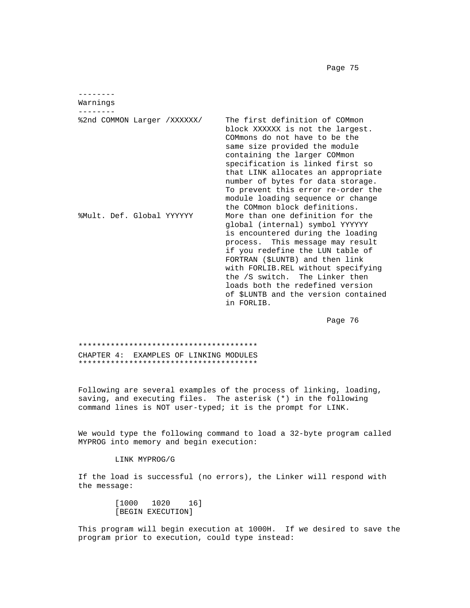Page 75 and the set of the set of the set of the set of the set of the set of the set of the set of the set of the set of the set of the set of the set of the set of the set of the set of the set of the set of the set of t

 -------- Warnings -------- %2nd COMMON Larger /XXXXXX/ The first definition of COMmon block XXXXXX is not the largest. COMmons do not have to be the same size provided the module containing the larger COMmon specification is linked first so that LINK allocates an appropriate number of bytes for data storage. To prevent this error re-order the module loading sequence or change the COMmon block definitions. %Mult. Def. Global YYYYYY More than one definition for the global (internal) symbol YYYYYY is encountered during the loading process. This message may result if you redefine the LUN table of FORTRAN (\$LUNTB) and then link with FORLIB.REL without specifying the /S switch. The Linker then loads both the redefined version of \$LUNTB and the version contained in FORLIB.

en de la provincia de la provincia de la provincia de la provincia de la provincia de la provincia de la provi

 \*\*\*\*\*\*\*\*\*\*\*\*\*\*\*\*\*\*\*\*\*\*\*\*\*\*\*\*\*\*\*\*\*\*\*\*\*\*\* CHAPTER 4: EXAMPLES OF LINKING MODULES \*\*\*\*\*\*\*\*\*\*\*\*\*\*\*\*\*\*\*\*\*\*\*\*\*\*\*\*\*\*\*\*\*\*\*\*\*\*\*

 Following are several examples of the process of linking, loading, saving, and executing files. The asterisk (\*) in the following command lines is NOT user-typed; it is the prompt for LINK.

 We would type the following command to load a 32-byte program called MYPROG into memory and begin execution:

LINK MYPROG/G

 If the load is successful (no errors), the Linker will respond with the message:

> [1000 1020 16] [BEGIN EXECUTION]

 This program will begin execution at 1000H. If we desired to save the program prior to execution, could type instead: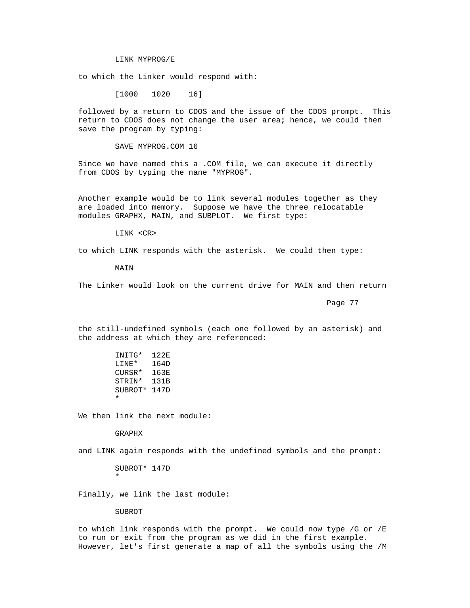LINK MYPROG/E

to which the Linker would respond with:

[1000 1020 16]

 followed by a return to CDOS and the issue of the CDOS prompt. This return to CDOS does not change the user area; hence, we could then save the program by typing:

SAVE MYPROG.COM 16

 Since we have named this a .COM file, we can execute it directly from CDOS by typing the nane "MYPROG".

 Another example would be to link several modules together as they are loaded into memory. Suppose we have the three relocatable modules GRAPHX, MAIN, and SUBPLOT. We first type:

LINK <CR>

to which LINK responds with the asterisk. We could then type:

MATN

The Linker would look on the current drive for MAIN and then return

Page 77 (page 77) and the set of the set of the set of the set of the set of the set of the set of the set of the set of the set of the set of the set of the set of the set of the set of the set of the set of the set of th

 the still-undefined symbols (each one followed by an asterisk) and the address at which they are referenced:

INITG\* 122E<br>LINE\* 164D  $LINE*$  CURSR\* 163E STRIN\* 131B SUBROT\* 147D \*

We then link the next module:

GRAPHX

and LINK again responds with the undefined symbols and the prompt:

 SUBROT\* 147D \*

Finally, we link the last module:

SUBROT

 to which link responds with the prompt. We could now type /G or /E to run or exit from the program as we did in the first example. However, let's first generate a map of all the symbols using the /M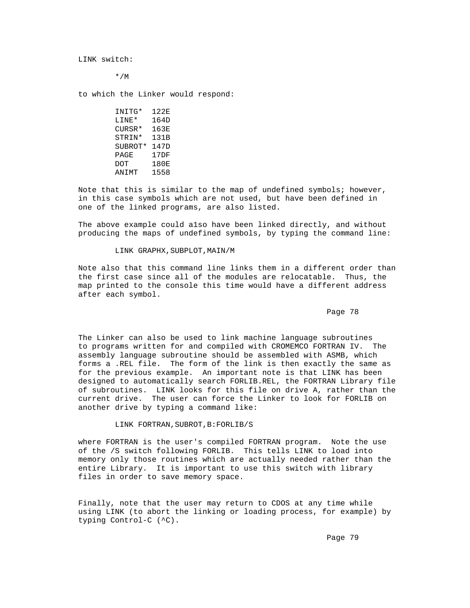LINK switch:

\*/M

to which the Linker would respond:

INITG\* 122E<br>LINE\* 164D  $LINE*$  CURSR\* 163E STRIN\* 131B SUBROT\* 147D<br>PAGE 17DF PAGE<br>DOT 180E ANIMT 1558

 Note that this is similar to the map of undefined symbols; however, in this case symbols which are not used, but have been defined in one of the linked programs, are also listed.

 The above example could a1so have been linked directly, and without producing the maps of undefined symbols, by typing the command line:

#### LINK GRAPHX, SUBPLOT, MAIN/M

 Note also that this command line links them in a different order than the first case since all of the modules are relocatable. Thus, the map printed to the console this time would have a different address after each symbol.

e de la provincia de la provincia de la provincia de la provincia de la provincia de la provincia de la provincia de la provincia de la provincia de la provincia de la provincia de la provincia de la provincia de la provin

 The Linker can also be used to link machine language subroutines to programs written for and compiled with CROMEMCO FORTRAN IV. The assembly language subroutine should be assembled with ASMB, which forms a .REL file. The form of the link is then exactly the same as for the previous example. An important note is that LINK has been designed to automatically search FORLIB.REL, the FORTRAN Library file of subroutines. LINK looks for this file on drive A, rather than the current drive. The user can force the Linker to look for FORLIB on another drive by typing a command like:

LINK FORTRAN,SUBROT,B:FORLIB/S

 where FORTRAN is the user's compiled FORTRAN program. Note the use of the /S switch following FORLIB. This tells LINK to load into memory only those routines which are actually needed rather than the entire Library. It is important to use this switch with library files in order to save memory space.

 Finally, note that the user may return to CDOS at any time while using LINK (to abort the linking or loading process, for example) by typing Control-C (^C).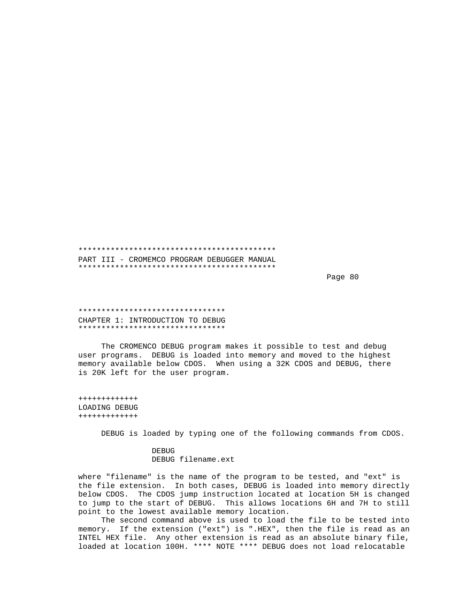\*\*\*\*\*\*\*\*\*\*\*\*\*\*\*\*\*\*\*\*\*\*\*\*\*\*\*\*\*\*\*\*\*\*\*\*\*\*\*\*\*\*\* PART III - CROMEMCO PROGRAM DEBUGGER MANUAL \*\*\*\*\*\*\*\*\*\*\*\*\*\*\*\*\*\*\*\*\*\*\*\*\*\*\*\*\*\*\*\*\*\*\*\*\*\*\*\*\*\*\*

e de la provincia de la provincia de la provincia de la provincia de la provincia de la provincia de la provincia de la provincia de la provincia de la provincia de la provincia de la provincia de la provincia de la provin

 \*\*\*\*\*\*\*\*\*\*\*\*\*\*\*\*\*\*\*\*\*\*\*\*\*\*\*\*\*\*\*\* CHAPTER 1: INTRODUCTION TO DEBUG \*\*\*\*\*\*\*\*\*\*\*\*\*\*\*\*\*\*\*\*\*\*\*\*\*\*\*\*\*\*\*\*

 The CROMENCO DEBUG program makes it possible to test and debug user programs. DEBUG is loaded into memory and moved to the highest memory available below CDOS. When using a 32K CDOS and DEBUG, there is 20K left for the user program.

 +++++++++++++ LOADING DEBUG +++++++++++++

DEBUG is loaded by typing one of the following commands from CDOS.

**DEBUG** DEBUG filename.ext

> where "filename" is the name of the program to be tested, and "ext" is the file extension. In both cases, DEBUG is loaded into memory directly below CDOS. The CDOS jump instruction located at location 5H is changed to jump to the start of DEBUG. This allows locations 6H and 7H to still point to the lowest available memory location.

> The second command above is used to load the file to be tested into memory. If the extension ("ext") is ".HEX", then the file is read as an INTEL HEX file. Any other extension is read as an absolute binary file, loaded at location 100H. \*\*\*\* NOTE \*\*\*\* DEBUG does not load relocatable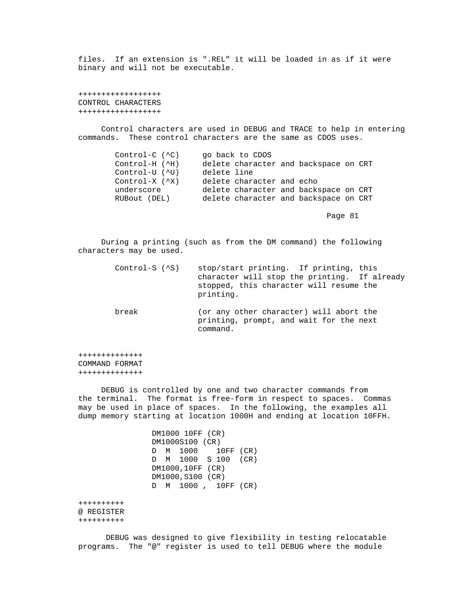files. If an extension is ".REL" it will be loaded in as if it were binary and will not be executable.

 ++++++++++++++++++ CONTROL CHARACTERS ++++++++++++++++++

 Control characters are used in DEBUG and TRACE to help in entering commands. These control characters are the same as CDOS uses.

 Control-C (^C) go back to CDOS Control-H (^H) delete character and backspace on CRT Control-U (^U) delete line Control-X (^X) delete character and echo underscore delete character and backspace on CRT RUBout (DEL) delete character and backspace on CRT

Page 81 and the state of the state of the state of the state of the state of the state of the state of the state of the state of the state of the state of the state of the state of the state of the state of the state of th

 During a printing (such as from the DM command) the following characters may be used.

| $Control-S (^S)$ | stop/start printing. If printing, this<br>character will stop the printing. If already<br>stopped, this character will resume the<br>printing. |
|------------------|------------------------------------------------------------------------------------------------------------------------------------------------|
| break            | (or any other character) will abort the<br>printing, prompt, and wait for the next<br>command.                                                 |

 ++++++++++++++ COMMAND FORMAT ++++++++++++++

 DEBUG is controlled by one and two character commands from the terminal. The format is free-form in respect to spaces. Commas may be used in place of spaces. In the following, the examples all dump memory starting at location 1000H and ending at location 10FFH.

> DM1000 10FF (CR) DM1000S100 (CR) D M 1000 10FF (CR) D M 1000 S 100 (CR) DM1000,10FF (CR) DM1000,S100 (CR) D M 1000 , 10FF (CR)

 ++++++++++ @ REGISTER ++++++++++

 DEBUG was designed to give flexibility in testing relocatable programs. The "@" register is used to tell DEBUG where the module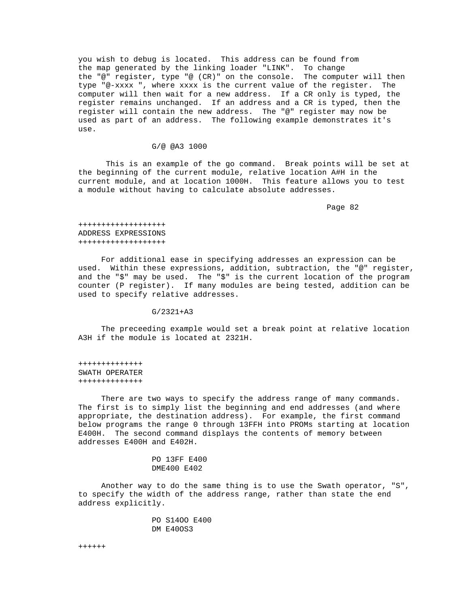you wish to debug is located. This address can be found from the map generated by the linking loader "LINK". To change the "@" register, type "@ (CR)" on the console. The computer will then type "@-xxxx ", where xxxx is the current value of the register. The computer will then wait for a new address. If a CR only is typed, the register remains unchanged. If an address and a CR is typed, then the register will contain the new address. The "@" register may now be used as part of an address. The following example demonstrates it's use.

## G/@ @A3 1000

 This is an example of the go command. Break points will be set at the beginning of the current module, relative location A#H in the current module, and at location 1000H. This feature allows you to test a module without having to calculate absolute addresses.

Page 82 and the state of the state of the state of the state of the state of the state of the state of the state of the state of the state of the state of the state of the state of the state of the state of the state of th

 +++++++++++++++++++ ADDRESS EXPRESSIONS +++++++++++++++++++

 For additional ease in specifying addresses an expression can be used. Within these expressions, addition, subtraction, the "@" register, and the "\$" may be used. The "\$" is the current location of the program counter (P register). If many modules are being tested, addition can be used to specify relative addresses.

G/2321+A3

 The preceeding example would set a break point at relative location A3H if the module is located at 2321H.

 ++++++++++++++ SWATH OPERATER ++++++++++++++

 There are two ways to specify the address range of many commands. The first is to simply list the beginning and end addresses (and where appropriate, the destination address). For example, the first command below programs the range 0 through 13FFH into PROMs starting at location E400H. The second command displays the contents of memory between addresses E400H and E402H.

> PO 13FF E400 DME400 E402

 Another way to do the same thing is to use the Swath operator, "S", to specify the width of the address range, rather than state the end address explicitly.

> PO S14OO E400 DM E40OS3

++++++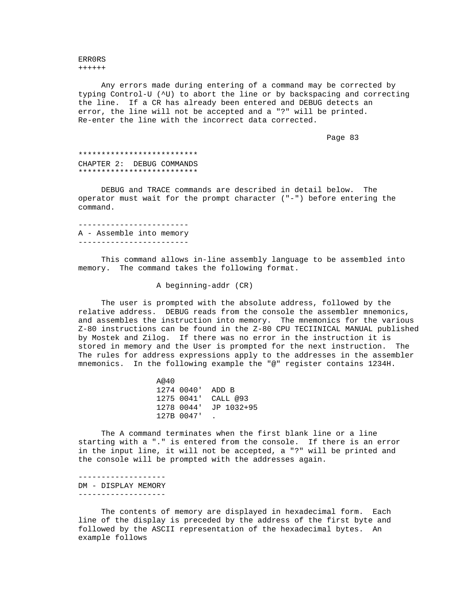ERR0RS ++++++

 Any errors made during entering of a command may be corrected by typing Control-U (^U) to abort the line or by backspacing and correcting the line. If a CR has already been entered and DEBUG detects an error, the line will not be accepted and a "?" will be printed. Re-enter the line with the incorrect data corrected.

Page 83 and the state of the state of the state of the state of the state of the state of the state of the state of the state of the state of the state of the state of the state of the state of the state of the state of th

 \*\*\*\*\*\*\*\*\*\*\*\*\*\*\*\*\*\*\*\*\*\*\*\*\*\* CHAPTER 2: DEBUG COMMANDS \*\*\*\*\*\*\*\*\*\*\*\*\*\*\*\*\*\*\*\*\*\*\*\*\*\*

 DEBUG and TRACE commands are described in detail below. The operator must wait for the prompt character ("-") before entering the command.

 ------------------------ A - Assemble into memory ------------------------

 This command allows in-line assembly language to be assembled into memory. The command takes the following format.

A beginning-addr (CR)

 The user is prompted with the absolute address, followed by the relative address. DEBUG reads from the console the assembler mnemonics, and assembles the instruction into memory. The mnemonics for the various Z-80 instructions can be found in the Z-80 CPU TECIINICAL MANUAL published by Mostek and Zilog. If there was no error in the instruction it is stored in memory and the User is prompted for the next instruction. The The rules for address expressions apply to the addresses in the assembler mnemonics. In the following example the "@" register contains 1234H.

> A@40 1274 0040' ADD B 1275 0041' CALL @93 1278 0044' JP 1032+95 127B 0047' .

 The A command terminates when the first blank line or a line starting with a "." is entered from the console. If there is an error in the input line, it will not be accepted, a "?" will be printed and the console will be prompted with the addresses again.

 ------------------- DM - DISPLAY MEMORY -------------------

 The contents of memory are displayed in hexadecimal form. Each line of the display is preceded by the address of the first byte and followed by the ASCII representation of the hexadecimal bytes. An example follows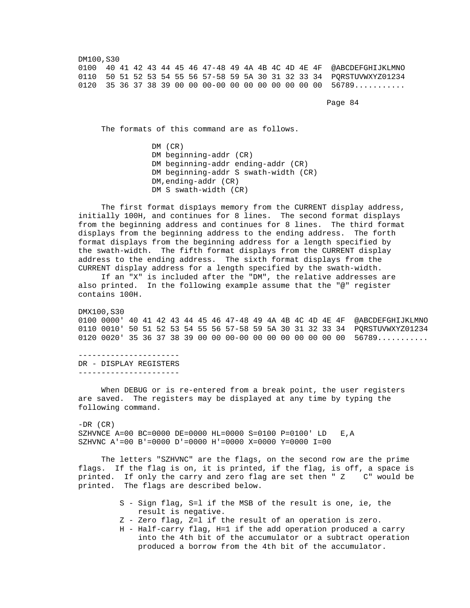DM100,S30 0100 40 41 42 43 44 45 46 47-48 49 4A 4B 4C 4D 4E 4F @ABCDEFGHIJKLMNO 0110 50 51 52 53 54 55 56 57-58 59 5A 30 31 32 33 34 PQRSTUVWXYZ01234 0120 35 36 37 38 39 00 00 00-00 00 00 00 00 00 00 00 56789...........

Page 84 and the state of the state of the state of the state of the state of the state of the state of the state of the state of the state of the state of the state of the state of the state of the state of the state of th

The formats of this command are as follows.

 DM (CR) DM beginning-addr (CR) DM beginning-addr ending-addr (CR) DM beginning-addr S swath-width (CR) DM,ending-addr (CR) DM S swath-width (CR)

 The first format disp1ays memory from the CURRENT display address, initially 100H, and continues for 8 lines. The second format displays from the beginning address and continues for 8 lines. The third format displays from the beginning address to the ending address. The forth format displays from the beginning address for a length specified by the swath-width. The fifth format displays from the CURRENT display address to the ending address. The sixth format displays from the CURRENT display address for a length specified by the swath-width.

 If an "X" is included after the "DM", the relative addresses are also printed. In the following example assume that the "@" register contains 100H.

 DMX100,S30 0100 0000' 40 41 42 43 44 45 46 47-48 49 4A 4B 4C 4D 4E 4F @ABCDEFGHIJKLMNO 0110 0010' 50 51 52 53 54 55 56 57-58 59 5A 30 31 32 33 34 PQRSTUVWXYZ01234 0120 0020' 35 36 37 38 39 00 00 00-00 00 00 00 00 00 00 00 56789...........

 ---------------------- DR - DISPLAY REGISTERS ----------------------

 When DEBUG or is re-entered from a break point, the user registers are saved. The registers may be displayed at any time by typing the following command.

 $-DR$  (CR) SZHVNCE A=00 BC=0000 DE=0000 HL=0000 S=0100 P=0100' LD E,A SZHVNC  $A' = 00 B' = 0000 D' = 0000 H' = 0000 X = 0000 Y = 0000 I = 00$ 

 The letters "SZHVNC" are the flags, on the second row are the prime flags. If the flag is on, it is printed, if the flag, is off, a space is printed. If only the carry and zero flag are set then " Z C" would be printed. If only the carry and zero flag are set then " Z printed. The flags are described below.

- S Sign flag, S=l if the MSB of the result is one, ie, the result is negative.
- Z Zero flag, Z=l if the result of an operation is zero.
- H Half-carry flag, H=1 if the add operation produced a carry into the 4th bit of the accumulator or a subtract operation produced a borrow from the 4th bit of the accumulator.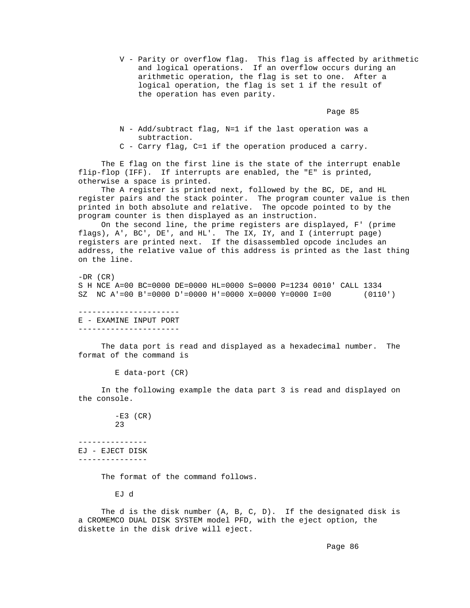V - Parity or overflow flag. This flag is affected by arithmetic and logical operations. If an overflow occurs during an arithmetic operation, the flag is set to one. After a logical operation, the flag is set 1 if the result of the operation has even parity.

Page 85 and the state of the state of the state of the state of the state of the state of the state of the state of the state of the state of the state of the state of the state of the state of the state of the state of th

- N Add/subtract flag, N=1 if the last operation was a subtraction.
- C Carry flag, C=1 if the operation produced a carry.

 The E flag on the first line is the state of the interrupt enable flip-flop (IFF). If interrupts are enabled, the "E" is printed, otherwise a space is printed.

 The A register is printed next, followed by the BC, DE, and HL register pairs and the stack pointer. The program counter value is then printed in both absolute and relative. The opcode pointed to by the program counter is then displayed as an instruction.

 On the second line, the prime registers are displayed, F' (prime flags), A', BC', DE', and HL'. The IX, IY, and I (interrupt page) registers are printed next. If the disassembled opcode includes an address, the relative value of this address is printed as the last thing on the line.

 $-DR$  (CR) S H NCE A=00 BC=0000 DE=0000 HL=0000 S=0000 P=1234 0010' CALL 1334 SZ NC A'=00 B'=0000 D'=0000 H'=0000 X=0000 Y=0000 I=00 (0110')

 ---------------------- E - EXAMINE INPUT PORT ----------------------

 The data port is read and displayed as a hexadecimal number. The format of the command is

E data-port (CR)

 In the following example the data part 3 is read and displayed on the console.

> $-E3$  (CR) 23

 --------------- EJ - EJECT DISK ---------------

The format of the command follows.

EJ d

 The d is the disk number (A, B, C, D). If the designated disk is a CROMEMCO DUAL DISK SYSTEM model PFD, with the eject option, the diskette in the disk drive will eject.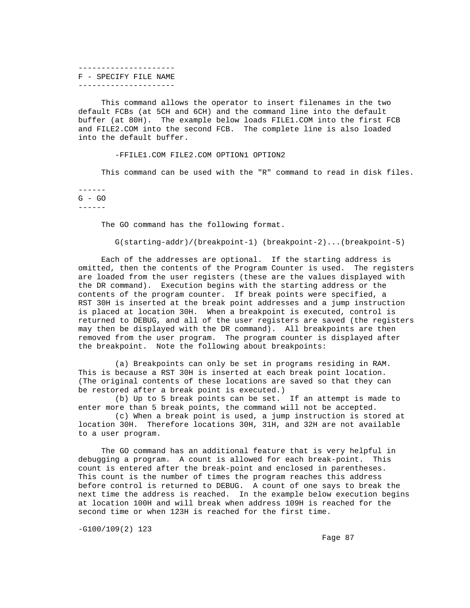--------------------- F - SPECIFY FILE NAME ---------------------

 This command allows the operator to insert filenames in the two default FCBs (at 5CH and 6CH) and the command line into the default buffer (at 80H). The example below loads FILE1.COM into the first FCB and FILE2.COM into the second FCB. The complete line is also loaded into the default buffer.

-FFILE1.COM FILE2.COM OPTION1 OPTION2

This command can be used with the "R" command to read in disk files.

 ------ G - GO ------

The GO command has the following format.

G(starting-addr)/(breakpoint-1) (breakpoint-2)...(breakpoint-5)

 Each of the addresses are optional. If the starting address is omitted, then the contents of the Program Counter is used. The registers are loaded from the user registers (these are the values displayed with the DR command). Execution begins with the starting address or the contents of the program counter. If break points were specified, a RST 30H is inserted at the break point addresses and a jump instruction is placed at location 30H. When a breakpoint is executed, control is returned to DEBUG, and all of the user registers are saved (the registers may then be displayed with the DR command). All breakpoints are then removed from the user program. The program counter is displayed after the breakpoint. Note the following about breakpoints:

 (a) Breakpoints can only be set in programs residing in RAM. This is because a RST 30H is inserted at each break point location. (The original contents of these locations are saved so that they can be restored after a break point is executed.)

 (b) Up to 5 break points can be set. If an attempt is made to enter more than 5 break points, the command will not be accepted.

 (c) When a break point is used, a jump instruction is stored at location 30H. Therefore locations 30H, 31H, and 32H are not available to a user program.

 The GO command has an additional feature that is very helpful in debugging a program. A count is allowed for each break-point. This count is entered after the break-point and enclosed in parentheses. This count is the number of times the program reaches this address before control is returned to DEBUG. A count of one says to break the next time the address is reached. In the example below execution begins at location 100H and will break when address 109H is reached for the second time or when 123H is reached for the first time.

-G100/109(2) 123

Fage 87 and the state of the state of the state of the state of the state of the state of the state of the state of the state of the state of the state of the state of the state of the state of the state of the state of th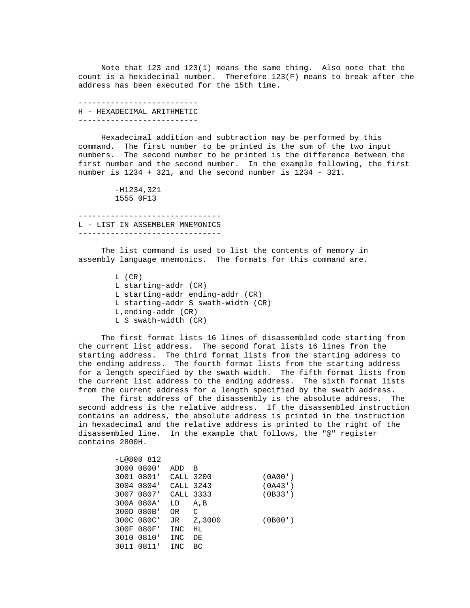Note that 123 and 123(1) means the same thing. Also note that the count is a hexidecinal number. Therefore 123(F) means to break after the address has been executed for the 15th time.

 -------------------------- H - HEXADECIMAL ARITHMETIC --------------------------

 Hexadecimal addition and subtraction may be performed by this command. The first number to be printed is the sum of the two input numbers. The second number to be printed is the difference between the first number and the second number. In the example following, the first number is 1234 + 321, and the second number is 1234 - 321.

> -H1234,321 1555 0F13

 ------------------------------- L - LIST IN ASSEMBLER MNEMONICS -------------------------------

 The list command is used to list the contents of memory in assembly language mnemonics. The formats for this command are.

> L (CR) L starting-addr (CR) L starting-addr ending-addr (CR) L starting-addr S swath-width (CR) L,ending-addr (CR) L S swath-width (CR)

 The first format lists 16 lines of disassembled code starting from the current list address. The second forat lists 16 lines from the starting address. The third format lists from the starting address to the ending address. The fourth format lists from the starting address for a length specified by the swath width. The fifth format lists from the current list address to the ending address. The sixth format lists from the current address for a length specified by the swath address.

 The first address of the disassembly is the absolute address. The second address is the relative address. If the disassembled instruction contains an address, the absolute address is printed in the instruction in hexadecimal and the relative address is printed to the right of the disassembled line. In the example that follows, the "@" register contains 2800H.

|  | $-L@800812$ |            |        |         |
|--|-------------|------------|--------|---------|
|  | 3000 0800'  | ADD        | В      |         |
|  | 3001 0801'  | CALL 3200  |        | (0A00') |
|  | 3004 0804'  | CALL 3243  |        | (0A43)  |
|  | 3007 0807'  | CALL 3333  |        | (0B33') |
|  | 300A 080A'  | LD         | A, B   |         |
|  | 300D 080B'  | OR         | C      |         |
|  | 300C 080C'  | JR         | Z,3000 | (OB00') |
|  | 300F 080F'  | INC        | HL.    |         |
|  | 3010 0810'  | INC        | DE     |         |
|  | 3011 0811'  | <b>INC</b> | BC     |         |
|  |             |            |        |         |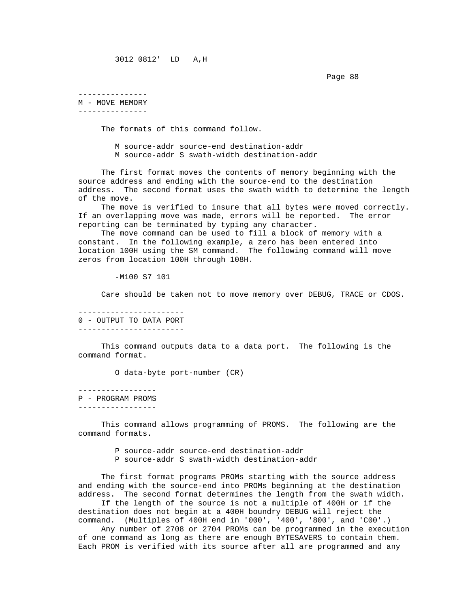Page 88 – Page 88 – Page 88 – Page 88 – Page 88 – Page 88 – Page 88 – Page 88 – Page 88 – Page 88 – Page 88 –

---------------

 M - MOVE MEMORY ---------------

The formats of this command follow.

 M source-addr source-end destination-addr M source-addr S swath-width destination-addr

 The first format moves the contents of memory beginning with the source address and ending with the source-end to the destination address. The second format uses the swath width to determine the length of the move.

 The move is verified to insure that all bytes were moved correctly. If an overlapping move was made, errors will be reported. The error reporting can be terminated by typing any character.

 The move command can be used to fill a block of memory with a constant. In the following example, a zero has been entered into location 100H using the SM command. The following command will move zeros from location 100H through 108H.

-M100 S7 101

Care should be taken not to move memory over DEBUG, TRACE or CDOS.

 ----------------------- 0 - OUTPUT TO DATA PORT -----------------------

 This command outputs data to a data port. The following is the command format.

O data-byte port-number (CR)

 ----------------- P - PROGRAM PROMS

-----------------

 This command allows programming of PROMS. The following are the command formats.

> P source-addr source-end destination-addr P source-addr S swath-width destination-addr

 The first format programs PROMs starting with the source address and ending with the source-end into PROMs beginning at the destination address. The second format determines the length from the swath width.

 If the length of the source is not a multiple of 400H or if the destination does not begin at a 400H boundry DEBUG will reject the command. (Multiples of 400H end in '000', '400', '800', and 'C00'.)

 Any number of 2708 or 2704 PROMs can be programmed in the execution of one command as long as there are enough BYTESAVERS to contain them. Each PROM is verified with its source after all are programmed and any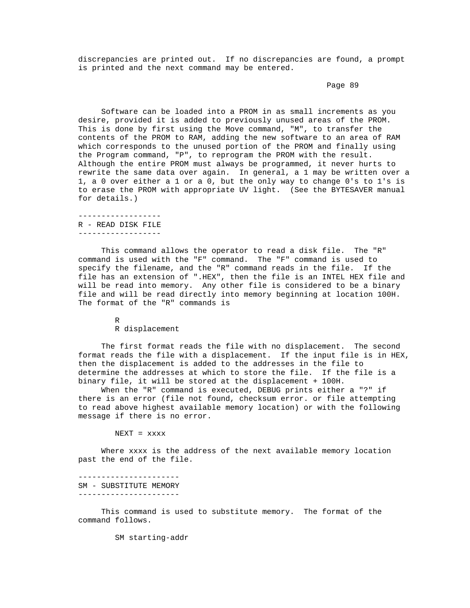discrepancies are printed out. If no discrepancies are found, a prompt is printed and the next command may be entered.

## Page 89 – Page 89 – Page 89 – Page 89 – Page 89 – Page 89 – Page 89 – Page 89 – Page 89 – Page 89 – Page 89 – Page 89 – Page 89 – Page 89 – Page 89 – Page 89 – Page 89 – Page 89 – Page 89 – Page 89 – Page 89 – Page 89 – Pa

 Software can be loaded into a PROM in as small increments as you desire, provided it is added to previously unused areas of the PROM. This is done by first using the Move command, "M", to transfer the contents of the PROM to RAM, adding the new software to an area of RAM which corresponds to the unused portion of the PROM and finally using the Program command, "P", to reprogram the PROM with the result. Although the entire PROM must always be programmed, it never hurts to rewrite the same data over again. In general, a 1 may be written over a 1, a 0 over either a 1 or a 0, but the only way to change 0's to 1's is to erase the PROM with appropriate UV light. (See the BYTESAVER manual for details.)

 ------------------ R - READ DISK FILE ------------------

 This command allows the operator to read a disk file. The "R" command is used with the "F" command. The "F" command is used to specify the filename, and the "R" command reads in the file. If the file has an extension of ".HEX", then the file is an INTEL HEX file and will be read into memory. Any other file is considered to be a binary file and will be read directly into memory beginning at location 100H. The format of the "R" commands is

R

R displacement

 The first format reads the file with no displacement. The second format reads the file with a displacement. If the input file is in HEX, then the displacement is added to the addresses in the file to determine the addresses at which to store the file. If the file is a binary file, it will be stored at the displacement + 100H.

 When the "R" command is executed, DEBUG prints either a "?" if there is an error (file not found, checksum error. or file attempting to read above highest available memory location) or with the following message if there is no error.

NEXT = xxxx

 Where xxxx is the address of the next available memory location past the end of the file.

 ---------------------- SM - SUBSTITUTE MEMORY ----------------------

 This command is used to substitute memory. The format of the command follows.

SM starting-addr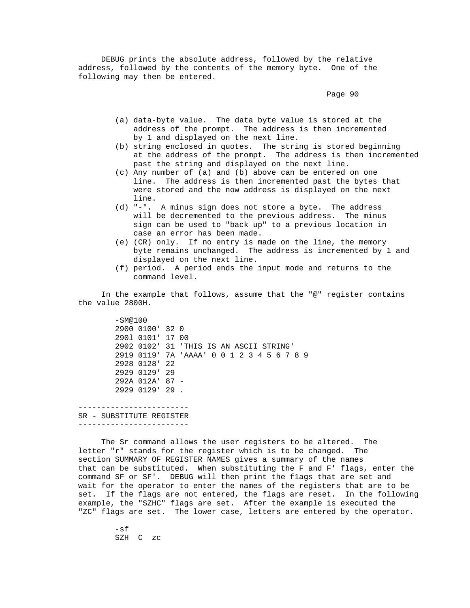DEBUG prints the absolute address, followed by the relative address, followed by the contents of the memory byte. One of the following may then be entered.

Page 90  $\sim$  Page 90  $\sim$ 

- (a) data-byte value. The data byte value is stored at the address of the prompt. The address is then incremented by 1 and displayed on the next line.
- (b) string enclosed in quotes. The string is stored beginning at the address of the prompt. The address is then incremented past the string and displayed on the next line.
- (c) Any number of (a) and (b) above can be entered on one line. The address is then incremented past the bytes that were stored and the now address is displayed on the next line.
- (d) "-". A minus sign does not store a byte. The address will be decremented to the previous address. The minus sign can be used to "back up" to a previous location in case an error has been made.
- (e) (CR) only. If no entry is made on the line, the memory byte remains unchanged. The address is incremented by 1 and displayed on the next line.
- (f) period. A period ends the input mode and returns to the command level.

 In the example that follows, assume that the "@" register contains the value 2800H.

 -SM@100 2900 0100' 32 0 290l 0101' 17 00 2902 0102' 31 'THIS IS AN ASCII STRING' 2919 0119' 7A 'AAAA' 0 0 1 2 3 4 5 6 7 8 9 2928 0128' 22 2929 0129' 29 292A 012A' 87 - 2929 0129' 29 .

 ------------------------ SR - SUBSTITUTE REGISTER ------------------------

 The Sr command allows the user registers to be altered. The letter "r" stands for the register which is to be changed. The section SUMMARY OF REGISTER NAMES gives a summary of the names that can be substituted. When substituting the F and F' flags, enter the command SF or SF'. DEBUG will then print the f1ags that are set and wait for the operator to enter the names of the registers that are to be<br>set. If the flags are not entered, the flags are reset. In the followin If the flags are not entered, the flags are reset. In the following example, the "SZHC" flags are set. After the example is executed the "ZC" flags are set. The lower case, letters are entered by the operator.

> -sf SZH C zc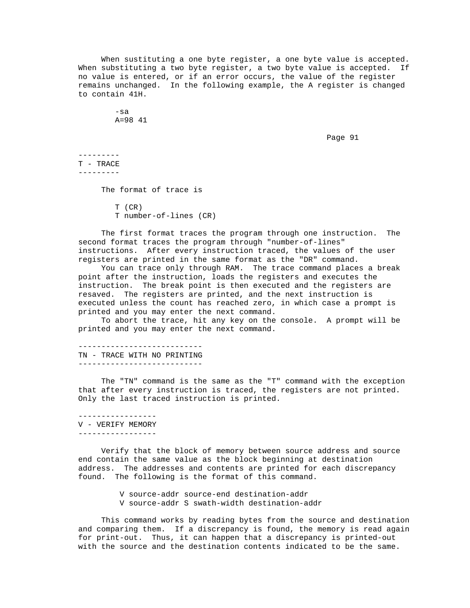When sustituting a one byte register, a one byte value is accepted. When substituting a two byte register, a two byte value is accepted. If no value is entered, or if an error occurs, the value of the register remains unchanged. In the following example, the A register is changed to contain 41H.

> -sa A=98 41

Page 91 and the state of the state of the state of the state of the state of the state of the state of the state of the state of the state of the state of the state of the state of the state of the state of the state of th

 --------- T - TRACE ---------

The format of trace is

 T (CR) T number-of-lines (CR)

 The first format traces the program through one instruction. The second format traces the program through "number-of-lines" instructions. After every instruction traced, the values of the user registers are printed in the same format as the "DR" command.

 You can trace only through RAM. The trace command places a break point after the instruction, loads the registers and executes the instruction. The break point is then executed and the registers are resaved. The registers are printed, and the next instruction is executed unless the count has reached zero, in which case a prompt is printed and you may enter the next command.

 To abort the trace, hit any key on the console. A prompt will be printed and you may enter the next command.

 --------------------------- TN - TRACE WITH NO PRINTING ---------------------------

 The "TN" command is the same as the "T" command with the exception that after every instruction is traced, the registers are not printed. Only the last traced instruction is printed.

 ----------------- V - VERIFY MEMORY -----------------

 Verify that the block of memory between source address and source end contain the same value as the block beginning at destination address. The addresses and contents are printed for each discrepancy found. The following is the format of this command.

V source-addr source-end destination-addr

V source-addr S swath-width destination-addr

 This command works by reading bytes from the source and destination and comparing them. If a discrepancy is found, the memory is read again for print-out. Thus, it can happen that a discrepancy is printed-out with the source and the destination contents indicated to be the same.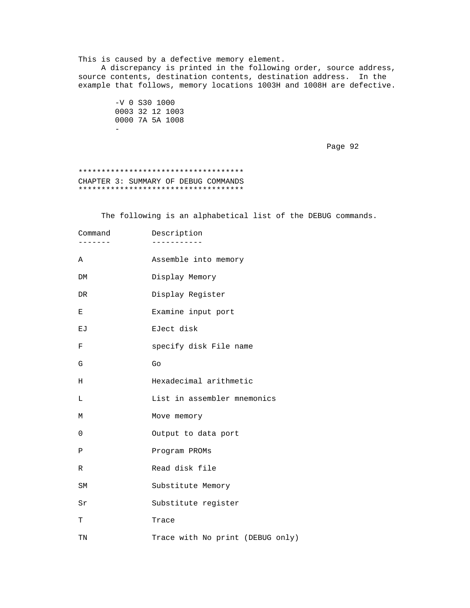This is caused by a defective memory element. A discrepancy is printed in the following order, source address, source contents, destination contents, destination address. In the example that follows, memory locations 1003H and 1008H are defective.

 -V 0 S30 1000 0003 32 12 1003 0000 7A 5A 1008 - 1990 - 1990 - 1990 - 1990 - 1991 - 1992<br>1992 - 1992 - 1992 - 1992 - 1992 - 1992 - 1992 - 1992 - 1992 - 1992 - 1992 - 1992 - 1992 - 1992 - 1992 - 1992<br>1992 - 1992 - 1992 - 1992 - 1992 - 1992 - 1992 - 1992 - 1992 - 1992 -

Page 92 and the state of the state of the state of the state of the state of the state of the state of the state of the state of the state of the state of the state of the state of the state of the state of the state of th

# \*\*\*\*\*\*\*\*\*\*\*\*\*\*\*\*\*\*\*\*\*\*\*\*\*\*\*\*\*\*\*\*\*\*\*\* CHAPTER 3: SUMMARY OF DEBUG COMMANDS \*\*\*\*\*\*\*\*\*\*\*\*\*\*\*\*\*\*\*\*\*\*\*\*\*\*\*\*\*\*\*\*\*\*\*\*

The following is an alphabetical list of the DEBUG commands.

| Command<br>- - - - - - | Description                      |
|------------------------|----------------------------------|
| Α                      | Assemble into memory             |
| DM                     | Display Memory                   |
| DR.                    | Display Register                 |
| Е                      | Examine input port               |
| ЕJ                     | EJect disk                       |
| F                      | specify disk File name           |
| G                      | Go                               |
| Η                      | Hexadecimal arithmetic           |
| L                      | List in assembler mnemonics      |
| М                      | Move memory                      |
| $\mathbf 0$            | Output to data port              |
| Ρ                      | Program PROMs                    |
| $\mathbb R$            | Read disk file                   |
| <b>SM</b>              | Substitute Memory                |
| Sr                     | Substitute register              |
| T                      | Trace                            |
| TN                     | Trace with No print (DEBUG only) |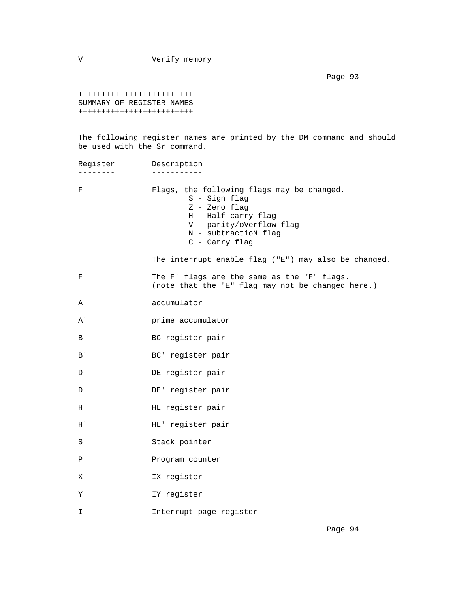V Verify memory

Page 93 and the set of the set of the set of the set of the set of the set of the set of the set of the set of

 +++++++++++++++++++++++++ SUMMARY OF REGISTER NAMES +++++++++++++++++++++++++

 The following register names are printed by the DM command and should be used with the Sr command.

| Register       | Description                                                                                                                                                               |
|----------------|---------------------------------------------------------------------------------------------------------------------------------------------------------------------------|
| F              | Flags, the following flags may be changed.<br>S - Sign flag<br>Z - Zero flag<br>H - Half carry flag<br>V - parity/oVerflow flag<br>N - subtractioN flag<br>C - Carry flag |
|                | The interrupt enable flag ("E") may also be changed.                                                                                                                      |
| $\mathrm{F}$ ' | The F' flags are the same as the "F" flags.<br>(note that the "E" flag may not be changed here.)                                                                          |
| Α              | accumulator                                                                                                                                                               |
| Α'             | prime accumulator                                                                                                                                                         |
| B              | BC register pair                                                                                                                                                          |
| B'             | BC' register pair                                                                                                                                                         |
| D              | DE register pair                                                                                                                                                          |
| D'             | DE' register pair                                                                                                                                                         |
| Н              | HL register pair                                                                                                                                                          |
| Η'             | HL' register pair                                                                                                                                                         |
| S              | Stack pointer                                                                                                                                                             |
| Ρ              | Program counter                                                                                                                                                           |
| X              | IX register                                                                                                                                                               |
| Υ              | IY register                                                                                                                                                               |
| I              | Interrupt page register                                                                                                                                                   |
|                |                                                                                                                                                                           |

Page 94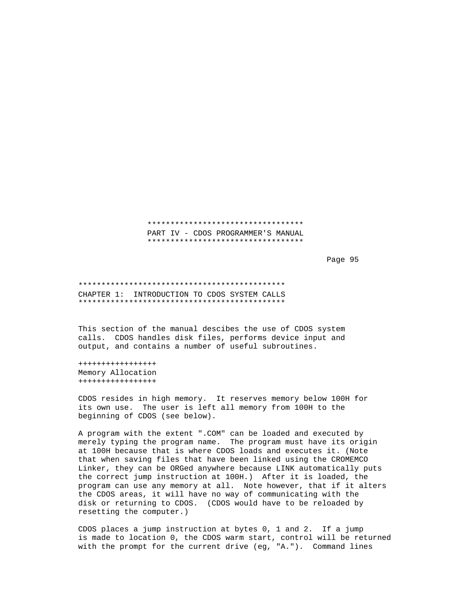## \*\*\*\*\*\*\*\*\*\*\*\*\*\*\*\*\*\*\*\*\*\*\*\*\*\*\*\*\*\*\*\*\*\* PART IV - CDOS PROGRAMMER'S MANUAL \*\*\*\*\*\*\*\*\*\*\*\*\*\*\*\*\*\*\*\*\*\*\*\*\*\*\*\*\*\*\*\*\*\*

Page 95 and the state of the state of the state of the state of the state of the state of the state of the state of the state of the state of the state of the state of the state of the state of the state of the state of th

 \*\*\*\*\*\*\*\*\*\*\*\*\*\*\*\*\*\*\*\*\*\*\*\*\*\*\*\*\*\*\*\*\*\*\*\*\*\*\*\*\*\*\*\*\* CHAPTER 1: INTRODUCTION TO CDOS SYSTEM CALLS \*\*\*\*\*\*\*\*\*\*\*\*\*\*\*\*\*\*\*\*\*\*\*\*\*\*\*\*\*\*\*\*\*\*\*\*\*\*\*\*\*\*\*\*\*

 This section of the manual descibes the use of CDOS system calls. CDOS handles disk files, performs device input and output, and contains a number of useful subroutines.

 +++++++++++++++++ Memory Allocation +++++++++++++++++

 CDOS resides in high memory. It reserves memory below 100H for its own use. The user is left all memory from 100H to the beginning of CDOS (see below).

 A program with the extent ".COM" can be loaded and executed by merely typing the program name. The program must have its origin at 100H because that is where CDOS loads and executes it. (Note that when saving files that have been linked using the CROMEMCO Linker, they can be ORGed anywhere because LINK automatically puts the correct jump instruction at 100H.) After it is loaded, the program can use any memory at all. Note however, that if it alters the CDOS areas, it will have no way of communicating with the disk or returning to CDOS. (CDOS would have to be reloaded by resetting the computer.)

 CDOS places a jump instruction at bytes 0, 1 and 2. If a jump is made to location 0, the CDOS warm start, control will be returned with the prompt for the current drive (eg, "A."). Command lines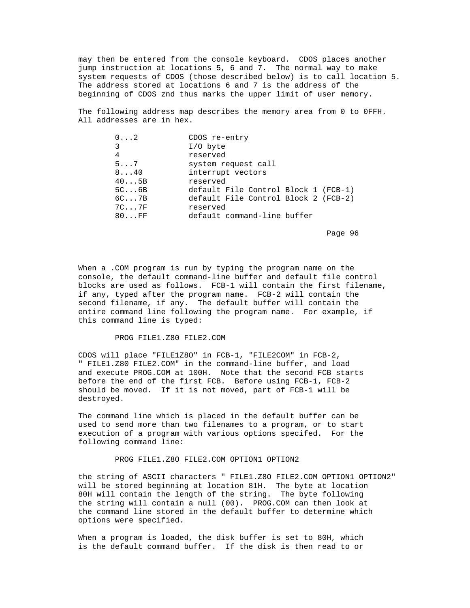may then be entered from the console keyboard. CDOS places another jump instruction at locations 5, 6 and 7. The normal way to make system requests of CDOS (those described below) is to call location 5. The address stored at locations 6 and 7 is the address of the beginning of CDOS znd thus marks the upper limit of user memory.

 The following address map describes the memory area from 0 to 0FFH. All addresses are in hex.

| $0 \ldots 2$   | CDOS re-entry                        |
|----------------|--------------------------------------|
| 3              | $I/O$ byte                           |
| 4              | reserved                             |
| $5 \ldots 7$   | system request call                  |
| $8 \ldots 40$  | interrupt vectors                    |
| 405B           | reserved                             |
| $5C \ldots 6B$ | default File Control Block 1 (FCB-1) |
| $6C \ldots 7B$ | default File Control Block 2 (FCB-2) |
| $7C \ldots 7F$ | reserved                             |
| 80FF           | default command-line buffer          |
|                |                                      |

en de la provincia de la provincia de la provincia de la provincia de la provincia de la provincia de la provi

 When a .COM program is run by typing the program name on the console, the default command-line buffer and default file control blocks are used as follows. FCB-1 will contain the first filename, if any, typed after the program name. FCB-2 will contain the second filename, if any. The default buffer will contain the entire command line following the program name. For example, if this command line is typed:

## PROG FILE1.Z80 FILE2.COM

 CDOS will place "FILE1Z8O" in FCB-1, "FILE2COM" in FCB-2, " FILE1.Z80 FILE2.COM" in the command-line buffer, and load and execute PROG.COM at 100H. Note that the second FCB starts before the end of the first FCB. Before using FCB-1, FCB-2 should be moved. If it is not moved, part of FCB-1 will be destroyed.

 The command line which is placed in the default buffer can be used to send more than two filenames to a program, or to start execution of a program with various options specifed. For the following command line:

#### PROG FILE1.Z8O FILE2.COM OPTION1 OPTION2

 the string of ASCII characters " FILE1.Z8O FILE2.COM OPTION1 OPTION2" will be stored beginning at location 81H. The byte at location 80H will contain the length of the string. The byte following the string will contain a null (00). PROG.COM can then look at the command line stored in the default buffer to determine which options were specified.

 When a program is loaded, the disk buffer is set to 80H, which is the default command buffer. If the disk is then read to or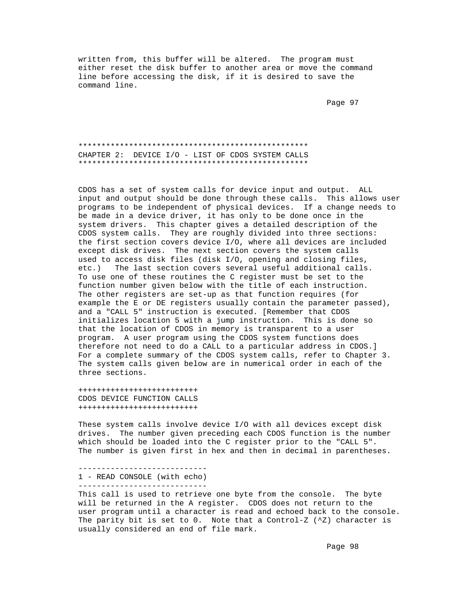written from, this buffer will be altered. The program must either reset the disk buffer to another area or move the command line before accessing the disk, if it is desired to save the command line.

Page 97 (page 97) and the set of the set of the set of the set of the set of the set of the set of the set of the set of the set of the set of the set of the set of the set of the set of the set of the set of the set of th

 \*\*\*\*\*\*\*\*\*\*\*\*\*\*\*\*\*\*\*\*\*\*\*\*\*\*\*\*\*\*\*\*\*\*\*\*\*\*\*\*\*\*\*\*\*\*\*\*\*\* CHAPTER 2: DEVICE I/O - LIST OF CDOS SYSTEM CALLS \*\*\*\*\*\*\*\*\*\*\*\*\*\*\*\*\*\*\*\*\*\*\*\*\*\*\*\*\*\*\*\*\*\*\*\*\*\*\*\*\*\*\*\*\*\*\*\*\*\*

 CDOS has a set of system calls for device input and output. ALL input and output should be done through these calls. This allows user programs to be independent of physical devices. If a change needs to be made in a device driver, it has only to be done once in the system drivers. This chapter gives a detailed description of the CDOS system calls. They are roughly divided into three sections: the first section covers device I/O, where all devices are included except disk drives. The next section covers the system calls used to access disk files (disk I/O, opening and closing files, etc.) The last section covers several useful additional calls. To use one of these routines the C register must be set to the function number given below with the title of each instruction. The other registers are set-up as that function requires (for example the E or DE registers usually contain the parameter passed), and a "CALL 5" instruction is executed. [Remember that CDOS initializes location 5 with a jump instruction. This is done so that the location of CDOS in memory is transparent to a user program. A user program using the CDOS system functions does therefore not need to do a CALL to a particular address in CDOS.] For a complete summary of the CDOS system calls, refer to Chapter 3. The system calls given below are in numerical order in each of the three sections.

 ++++++++++++++++++++++++++ CDOS DEVICE FUNCTION CALLS ++++++++++++++++++++++++++

 These system calls involve device I/O with all devices except disk drives. The number given preceding each CDOS function is the number which should be loaded into the C register prior to the "CALL 5". The number is given first in hex and then in decimal in parentheses.

 ---------------------------- 1 - READ CONSOLE (with echo) ----------------------------

 This call is used to retrieve one byte from the console. The byte will be returned in the A register. CDOS does not return to the user program until a character is read and echoed back to the console. The parity bit is set to 0. Note that a Control-Z  $(2)$  character is usually considered an end of file mark.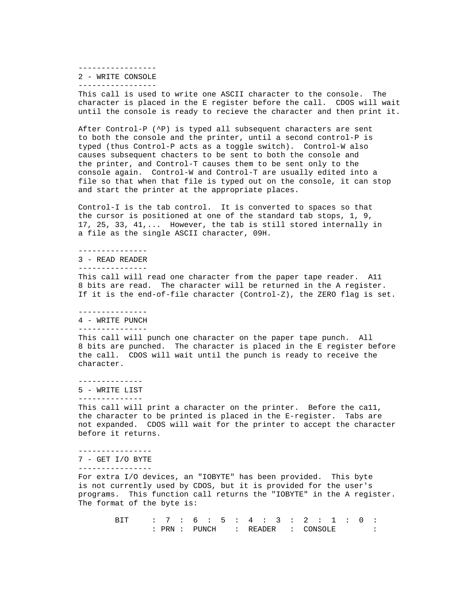-----------------

 2 - WRITE CONSOLE -----------------

 This call is used to write one ASCII character to the console. The character is placed in the E register before the call. CDOS will wait until the console is ready to recieve the character and then print it.

 After Control-P (^P) is typed all subsequent characters are sent to both the console and the printer, until a second control-P is typed (thus Control-P acts as a toggle switch). Control-W also causes subsequent chacters to be sent to both the console and the printer, and Control-T causes them to be sent only to the console again. Control-W and Control-T are usually edited into a file so that when that file is typed out on the console, it can stop and start the printer at the appropriate places.

 Control-I is the tab control. It is converted to spaces so that the cursor is positioned at one of the standard tab stops, 1, 9, 17, 25, 33, 41,... However, the tab is still stored internally in a file as the single ASCII character, 09H.

---------------

 3 - READ READER ---------------

 This call will read one character from the paper tape reader. A11 8 bits are read. The character will be returned in the A register. If it is the end-of-file character (Control-Z), the ZERO flag is set.

---------------

4 - WRITE PUNCH

---------------

 This call will punch one character on the paper tape punch. All 8 bits are punched. The character is placed in the E register before the call. CDOS will wait until the punch is ready to receive the character.

--------------

5 - WRITE LIST

--------------

This call will print a character on the printer. Before the call, the character to be printed is placed in the E-register. Tabs are not expanded. CDOS will wait for the printer to accept the character before it returns.

----------------

7 - GET I/O BYTE

----------------

 For extra I/O devices, an "IOBYTE" has been provided. This byte is not currently used by CDOS, but it is provided for the user's programs. This function call returns the "IOBYTE" in the A register. The format of the byte is:

> BIT : 7 : 6 : 5 : 4 : 3 : 2 : 1 : 0 : : PRN : PUNCH : READER : CONSOLE :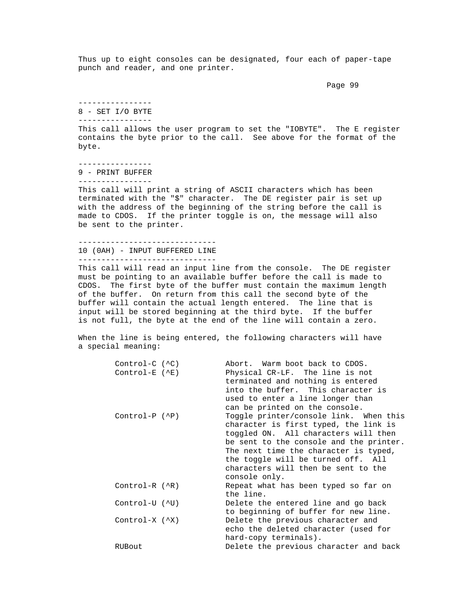Thus up to eight consoles can be designated, four each of paper-tape punch and reader, and one printer.

Page 99 – Page 99 – Page 99 – Page 99 – Page 99 – Page 99 – Page 99 – Page 99 – Page 99 – Page 99 – Page 99 – Page 19

 ---------------- 8 - SET I/O BYTE

----------------

 This call allows the user program to set the "IOBYTE". The E register contains the byte prior to the call. See above for the format of the byte.

 ---------------- 9 - PRINT BUFFER

----------------

 This call will print a string of ASCII characters which has been terminated with the "\$" character. The DE register pair is set up with the address of the beginning of the string before the call is made to CDOS. If the printer toggle is on, the message will also be sent to the printer.

 ------------------------------ 10 (0AH) - INPUT BUFFERED LINE ------------------------------

 This call will read an input line from the console. The DE register must be pointing to an available buffer before the call is made to CDOS. The first byte of the buffer must contain the maximum length of the buffer. On return from this call the second byte of the buffer will contain the actual length entered. The line that is input will be stored beginning at the third byte. If the buffer is not full, the byte at the end of the line will contain a zero.

 When the line is being entered, the following characters will have a special meaning:

| $Control-C (^C)$       | Abort. Warm boot back to CDOS.          |
|------------------------|-----------------------------------------|
| $Control-E$ ( $E$ )    | Physical CR-LF. The line is not         |
|                        | terminated and nothing is entered       |
|                        | into the buffer. This character is      |
|                        | used to enter a line longer than        |
|                        | can be printed on the console.          |
| $Control-P (^P)$       | Toggle printer/console link. When this  |
|                        | character is first typed, the link is   |
|                        | toggled ON. All characters will then    |
|                        | be sent to the console and the printer. |
|                        | The next time the character is typed,   |
|                        | the toggle will be turned off. All      |
|                        | characters will then be sent to the     |
|                        | console only.                           |
| $Control-R (^R)$       | Repeat what has been typed so far on    |
|                        | the line.                               |
| Control-U (^U)         | Delete the entered line and go back     |
|                        | to beginning of buffer for new line.    |
| Control-X $(\wedge X)$ | Delete the previous character and       |
|                        | echo the deleted character (used for    |
|                        | hard-copy terminals).                   |
| RUBout                 | Delete the previous character and back  |
|                        |                                         |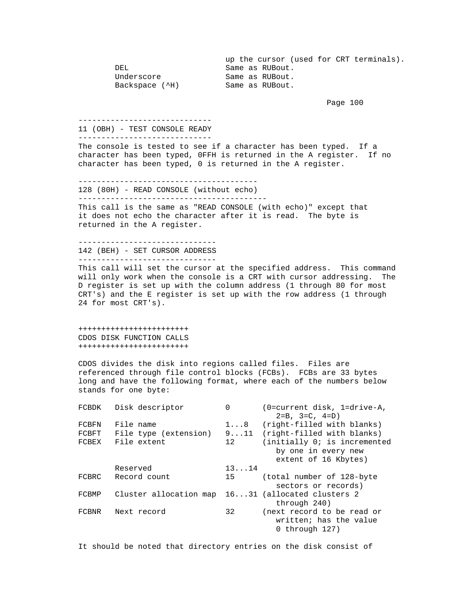up the cursor (used for CRT terminals).<br>Same as RUBout. DEL DEL Same as RUBout.<br>Underscore Same as RUBout. Underscore Same as RUBout.<br>Backspace (^H) Same as RUBout. Same as RUBout.

Page 100

-----------------------------

 11 (OBH) - TEST CONSOLE READY -----------------------------

 The console is tested to see if a character has been typed. If a character has been typed, 0FFH is returned in the A register. If no character has been typed, 0 is returned in the A register.

 --------------------------------------- 128 (80H) - READ CONSOLE (without echo) -----------------------------------------

 This call is the same as "READ CONSOLE (with echo)" except that it does not echo the character after it is read. The byte is returned in the A register.

 ------------------------------ 142 (BEH) - SET CURSOR ADDRESS ------------------------------

 This call will set the cursor at the specified address. This command will only work when the console is a CRT with cursor addressing. The D register is set up with the column address (1 through 80 for most CRT's) and the E register is set up with the row address (1 through 24 for most CRT's).

 ++++++++++++++++++++++++ CDOS DISK FUNCTION CALLS ++++++++++++++++++++++++

 CDOS divides the disk into regions called files. Files are referenced through file control blocks (FCBs). FCBs are 33 bytes long and have the following format, where each of the numbers below stands for one byte:

| FCBDK | Disk descriptor        | $\Omega$     | (0=current disk, 1=drive-A,<br>$2 = B$ , $3 = C$ , $4 = D$ )           |
|-------|------------------------|--------------|------------------------------------------------------------------------|
| FCBFN | File name              | $1 \ldots 8$ | (right-filled with blanks)                                             |
| FCBFT | File type (extension)  |              | 911 (right-filled with blanks)                                         |
| FCBEX | File extent            | 12           | (initially 0; is incremented                                           |
|       |                        |              | by one in every new                                                    |
|       |                        |              | extent of 16 Kbytes)                                                   |
|       | Reserved               | 1314         |                                                                        |
| FCBRC | Record count           | 15           | (total number of 128-byte                                              |
|       |                        |              | sectors or records)                                                    |
| FCBMP | Cluster allocation map |              | 1631 (allocated clusters 2                                             |
|       |                        |              | through 240)                                                           |
| FCBNR | Next record            | 32           | (next record to be read or<br>written; has the value<br>0 through 127) |
|       |                        |              |                                                                        |

It should be noted that directory entries on the disk consist of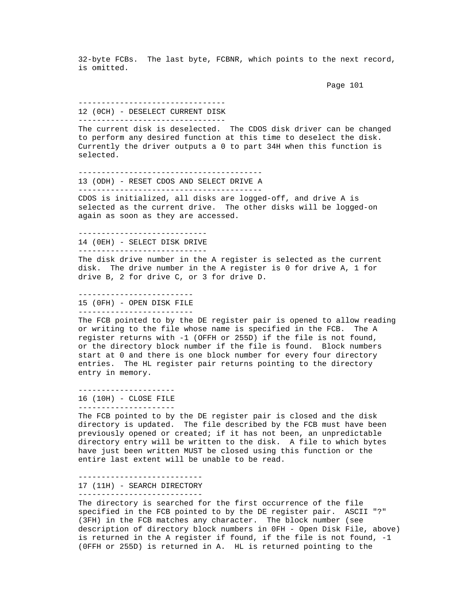32-byte FCBs. The last byte, FCBNR, which points to the next record, is omitted.

```
 Page 101
```
#### -------------------------------- 12 (0CH) - DESELECT CURRENT DISK --------------------------------

 The current disk is deselected. The CDOS disk driver can be changed to perform any desired function at this time to deselect the disk. Currently the driver outputs a 0 to part 34H when this function is selected.

----------------------------------------

 13 (ODH) - RESET CDOS AND SELECT DRIVE A ----------------------------------------

 CDOS is initialized, all disks are logged-off, and drive A is selected as the current drive. The other disks will be logged-on again as soon as they are accessed.

----------------------------

 14 (0EH) - SELECT DISK DRIVE ----------------------------

 The disk drive number in the A register is selected as the current disk. The drive number in the A register is 0 for drive A, 1 for drive B, 2 for drive C, or 3 for drive D.

 ------------------------- 15 (0FH) - OPEN DISK FILE -------------------------

 The FCB pointed to by the DE register pair is opened to allow reading or writing to the file whose name is specified in the FCB. The A register returns with -1 (OFFH or 255D) if the file is not found, or the directory block number if the file is found. Block numbers start at 0 and there is one block number for every four directory entries. The HL register pair returns pointing to the directory entry in memory.

 --------------------- 16 (10H) - CLOSE FILE

---------------------

 The FCB pointed to by the DE register pair is closed and the disk directory is updated. The file described by the FCB must have been previously opened or created; if it has not been, an unpredictable directory entry will be written to the disk. A file to which bytes have just been written MUST be closed using this function or the entire last extent will be unable to be read.

---------------------------

17 (11H) - SEARCH DIRECTORY

---------------------------

 The directory is searched for the first occurrence of the file specified in the FCB pointed to by the DE register pair. ASCII "?" (3FH) in the FCB matches any character. The block number (see description of directory block numbers in 0FH - Open Disk File, above) is returned in the A register if found, if the file is not found, -1 (0FFH or 255D) is returned in A. HL is returned pointing to the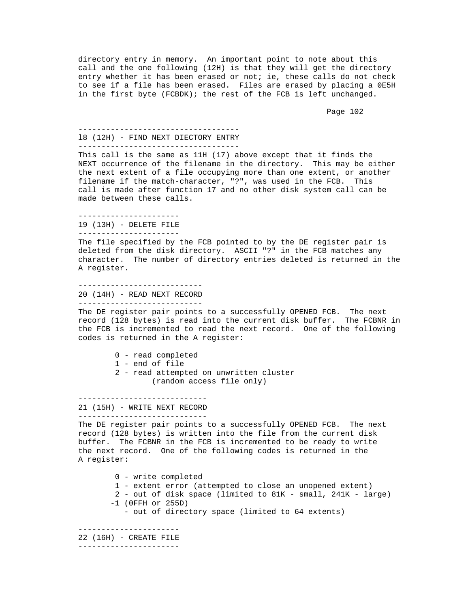directory entry in memory. An important point to note about this call and the one following (12H) is that they will get the directory entry whether it has been erased or not; ie, these calls do not check to see if a file has been erased. Files are erased by placing a 0E5H in the first byte (FCBDK); the rest of the FCB is left unchanged.

Page 102

 ---------------------------------- l8 (12H) - FIND NEXT DIECTORY ENTRY -----------------------------------

 This call is the same as 11H (17) above except that it finds the NEXT occurrence of the filename in the directory. This may be either the next extent of a file occupying more than one extent, or another filename if the match-character, "?", was used in the FCB. This call is made after function 17 and no other disk system call can be made between these calls.

 ---------------------- 19 (13H) - DELETE FILE ----------------------

 The file specified by the FCB pointed to by the DE register pair is deleted from the disk directory. ASCII "?" in the FCB matches any character. The number of directory entries deleted is returned in the A register.

 --------------------------- 20 (14H) - READ NEXT RECORD ---------------------------

 The DE register pair points to a successfully OPENED FCB. The next record (128 bytes) is read into the current disk buffer. The FCBNR in the FCB is incremented to read the next record. One of the following codes is returned in the A register:

- 0 read completed
- 1 end of file
- 2 read attempted on unwritten cluster (random access file only)

----------------------------

 21 (15H) - WRITE NEXT RECORD ----------------------------

 The DE register pair points to a successfully OPENED FCB. The next record (128 bytes) is written into the file from the current disk buffer. The FCBNR in the FCB is incremented to be ready to write the next record. One of the following codes is returned in the A register:

 0 - write completed 1 - extent error (attempted to close an unopened extent) 2 - out of disk space (limited to 81K - small, 241K - large) -1 (0FFH or 255D) - out of directory space (limited to 64 extents)

 ---------------------- 22 (16H) - CREATE FILE

----------------------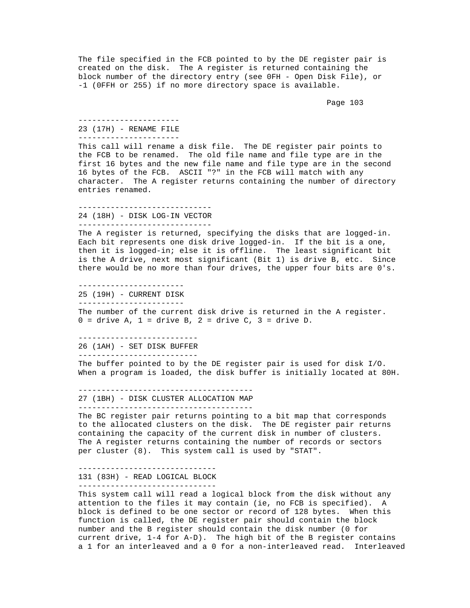The file specified in the FCB pointed to by the DE register pair is created on the disk. The A register is returned containing the block number of the directory entry (see 0FH - Open Disk File), or -1 (0FFH or 255) if no more directory space is available.

Page 103

## ---------------------- 23 (17H) - RENAME FILE

----------------------

 This call will rename a disk file. The DE register pair points to the FCB to be renamed. The old file name and file type are in the first 16 bytes and the new file name and file type are in the second 16 bytes of the FCB. ASCII "?" in the FCB will match with any character. The A register returns containing the number of directory entries renamed.

 ----------------------------- 24 (18H) - DISK LOG-IN VECTOR -----------------------------

 The A register is returned, specifying the disks that are logged-in. Each bit represents one disk drive logged-in. If the bit is a one, then it is logged-in; else it is offline. The least significant bit is the A drive, next most significant (Bit 1) is drive B, etc. Since there would be no more than four drives, the upper four bits are 0's.

 ----------------------- 25 (19H) - CURRENT DISK -----------------------

 The number of the current disk drive is returned in the A register.  $0 =$  drive A,  $1 =$  drive B,  $2 =$  drive C,  $3 =$  drive D.

--------------------------

26 (1AH) - SET DISK BUFFER

--------------------------

 The buffer pointed to by the DE register pair is used for disk I/O. When a program is loaded, the disk buffer is initially located at 80H.

--------------------------------------

27 (1BH) - DISK CLUSTER ALLOCATION MAP

--------------------------------------

 The BC register pair returns pointing to a bit map that corresponds to the allocated clusters on the disk. The DE register pair returns containing the capacity of the current disk in number of clusters. The A register returns containing the number of records or sectors per cluster (8). This system call is used by "STAT".

 ------------------------------ 131 (83H) - READ LOGICAL BLOCK ------------------------------

 This system call will read a logical block from the disk without any attention to the files it may contain (ie, no FCB is specified). A block is defined to be one sector or record of 128 bytes. When this function is called, the DE register pair should contain the block number and the B register should contain the disk number (0 for current drive, 1-4 for A-D). The high bit of the B register contains a 1 for an interleaved and a 0 for a non-interleaved read. Interleaved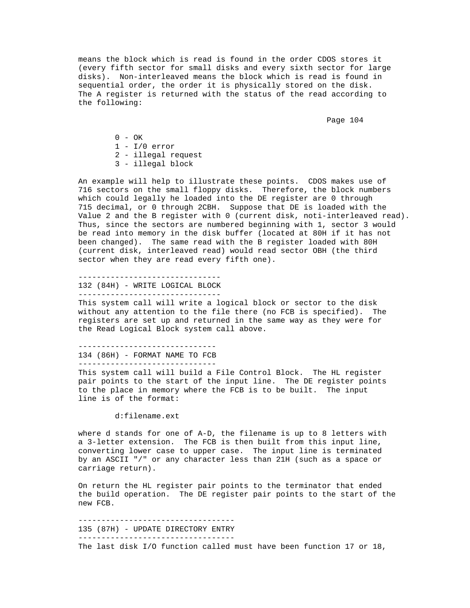means the block which is read is found in the order CDOS stores it (every fifth sector for small disks and every sixth sector for large disks). Non-interleaved means the block which is read is found in sequential order, the order it is physically stored on the disk. The A register is returned with the status of the read according to the following:

Page 104

 $0 - OK$  $1 - I/0$  error 2 - illegal request 3 - illegal block

 An example will help to illustrate these points. CDOS makes use of 716 sectors on the small floppy disks. Therefore, the block numbers which could legally he loaded into the DE register are 0 through 715 decimal, or 0 through 2CBH. Suppose that DE is loaded with the Value 2 and the B register with 0 (current disk, noti-interleaved read). Thus, since the sectors are numbered beginning with 1, sector 3 would be read into memory in the disk buffer (located at 80H if it has not been changed). The same read with the B register loaded with 80H (current disk, interleaved read) would read sector OBH (the third sector when they are read every fifth one).

 ------------------------------- 132 (84H) - WRITE LOGICAL BLOCK ------------------------------- This system call will write a logical block or sector to the disk without any attention to the file there (no FCB is specified). The registers are set up and returned in the same way as they were for the Read Logical Block system call above.

 ------------------------------ 134 (86H) - FORMAT NAME TO FCB ------------------------------

 This system call will build a File Control Block. The HL register pair points to the start of the input line. The DE register points to the place in memory where the FCB is to be built. The input line is of the format:

d:filename.ext

 where d stands for one of A-D, the filename is up to 8 letters with a 3-letter extension. The FCB is then built from this input line, converting lower case to upper case. The input line is terminated by an ASCII "/" or any character less than 21H (such as a space or carriage return).

 On return the HL register pair points to the terminator that ended the build operation. The DE register pair points to the start of the new FCB.

 ---------------------------------- 135 (87H) - UPDATE DIRECTORY ENTRY ----------------------------------

The last disk I/O function called must have been function 17 or 18,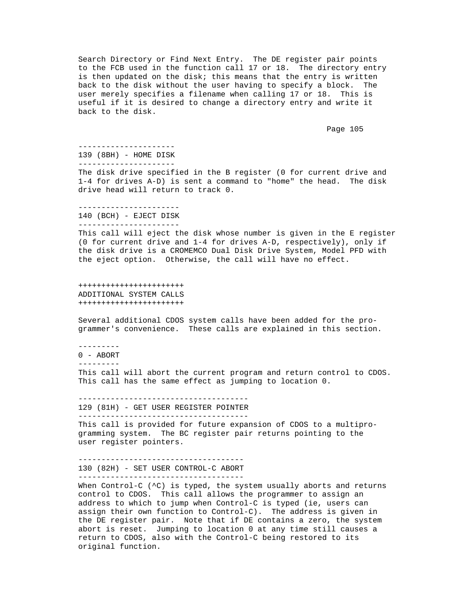Search Directory or Find Next Entry. The DE register pair points to the FCB used in the function call 17 or 18. The directory entry is then updated on the disk; this means that the entry is written back to the disk without the user having to specify a block. The user merely specifies a filename when calling 17 or 18. This is useful if it is desired to change a directory entry and write it back to the disk.

Page 105

 --------------------- 139 (8BH) - HOME DISK ---------------------

 The disk drive specified in the B register (0 for current drive and 1-4 for drives A-D) is sent a command to "home" the head. The disk drive head will return to track 0.

 ---------------------- 140 (BCH) - EJECT DISK ----------------------

 This call will eject the disk whose number is given in the E register (0 for current drive and 1-4 for drives A-D, respectively), only if the disk drive is a CROMEMCO Dual Disk Drive System, Model PFD with the eject option. Otherwise, the call will have no effect.

 +++++++++++++++++++++++ ADDITIONAL SYSTEM CALLS +++++++++++++++++++++++

 Several additional CDOS system calls have been added for the pro grammer's convenience. These calls are explained in this section.

---------

0 - ABORT

 --------- This call will abort the current program and return control to CDOS. This call has the same effect as jumping to location 0.

 ------------------------------------- 129 (81H) - GET USER REGISTER POINTER -------------------------------------

 This call is provided for future expansion of CDOS to a multipro gramming system. The BC register pair returns pointing to the user register pointers.

 ------------------------------------ 130 (82H) - SET USER CONTROL-C ABORT ------------------------------------

When Control-C (^C) is typed, the system usually aborts and returns control to CDOS. This call allows the programmer to assign an address to which to jump when Control-C is typed (ie, users can assign their own function to Control-C). The address is given in the DE register pair. Note that if DE contains a zero, the system abort is reset. Jumping to location 0 at any time still causes a return to CDOS, also with the Control-C being restored to its original function.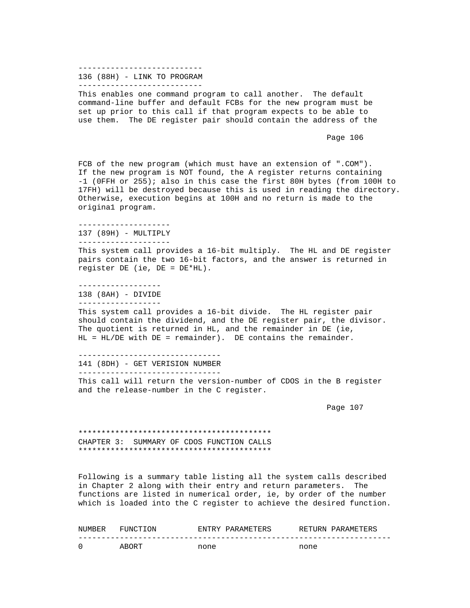#### --------------------------- 136 (88H) - LINK TO PROGRAM ---------------------------

 This enables one command program to call another. The default command-line buffer and default FCBs for the new program must be set up prior to this call if that program expects to be able to use them. The DE register pair should contain the address of the

Page 106

 FCB of the new program (which must have an extension of ".COM"). If the new program is NOT found, the A register returns containing -1 (0FFH or 255); also in this case the first 80H bytes (from 100H to 17FH) will be destroyed because this is used in reading the directory. Otherwise, execution begins at 100H and no return is made to the origina1 program.

--------------------

 137 (89H) - MULTIPLY --------------------

 This system call provides a 16-bit multiply. The HL and DE register pairs contain the two 16-bit factors, and the answer is returned in register DE (ie, DE = DE\*HL).

 ------------------ 138 (8AH) - DIVIDE ------------------

 This system call provides a 16-bit divide. The HL register pair should contain the dividend, and the DE register pair, the divisor. The quotient is returned in HL, and the remainder in DE (ie, HL = HL/DE with DE = remainder). DE contains the remainder.

 ------------------------------- 141 (8DH) - GET VERISION NUMBER -------------------------------

 This call will return the version-number of CDOS in the B register and the release-number in the C register.

Page 107

 \*\*\*\*\*\*\*\*\*\*\*\*\*\*\*\*\*\*\*\*\*\*\*\*\*\*\*\*\*\*\*\*\*\*\*\*\*\*\*\*\*\* CHAPTER 3: SUMMARY OF CDOS FUNCTION CALLS \*\*\*\*\*\*\*\*\*\*\*\*\*\*\*\*\*\*\*\*\*\*\*\*\*\*\*\*\*\*\*\*\*\*\*\*\*\*\*\*\*\*

 Following is a summary table listing all the system calls described in Chapter 2 along with their entry and return parameters. The functions are listed in numerical order, ie, by order of the number which is loaded into the C register to achieve the desired function.

| NUMBER | FUNCTION | F.NTRY | PARAMETERS |      | RETURN PARAMETERS |
|--------|----------|--------|------------|------|-------------------|
|        |          |        |            |      |                   |
|        | ABORT    | none   |            | none |                   |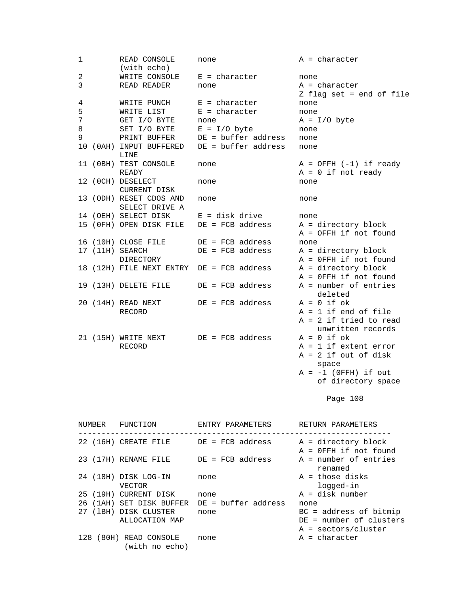| $\mathbf{1}$   | READ CONSOLE<br>(with echo)               | none                          | $A = character$                                   |
|----------------|-------------------------------------------|-------------------------------|---------------------------------------------------|
| $\overline{a}$ |                                           | WRITE CONSOLE $E =$ character | none                                              |
| 3              | READ READER                               | none                          | $A = character$<br>Z flag set = end of file       |
| 4              | WRITE PUNCH                               | $E =$ character               | none                                              |
| 5              | WRITE LIST                                | $E = character$               | none                                              |
| 7              | GET I/O BYTE                              | none                          | $A = I/O$ byte                                    |
| 8              | SET I/O BYTE                              | $E = I/O$ byte                | none                                              |
| 9              | PRINT BUFFER                              | $DE = buffer address$         | none                                              |
|                | 10 (OAH) INPUT BUFFERED<br>LINE           | DE = buffer address           | none                                              |
|                | 11 (OBH) TEST CONSOLE                     | none                          | $A = OFFH (-1) if ready$                          |
|                | READY                                     |                               | $A = 0$ if not ready                              |
|                | 12 (OCH) DESELECT<br><b>CURRENT DISK</b>  | none                          | none                                              |
|                | 13 (ODH) RESET CDOS AND<br>SELECT DRIVE A | none                          | none                                              |
|                | 14 (OEH) SELECT DISK                      | $E = disk drive$              | none                                              |
|                | 15 (OFH) OPEN DISK FILE                   | $DE = FCB address$            | $A = directory block$<br>$A = OFFH$ if not found  |
|                | 16 (10H) CLOSE FILE                       | $DE = FCB address$            | none                                              |
|                | 17 (11H) SEARCH<br>DIRECTORY              | $DE = FCB address$            | $A = directory block$<br>$A = 0$ FFH if not found |
|                | 18 (12H) FILE NEXT ENTRY                  | $DE = FCB address$            | $A = directory block$<br>A = OFFH if not found    |
|                | 19 (13H) DELETE FILE                      | $DE = FCB address$            | A = number of entries<br>deleted                  |
|                | 20 (14H) READ NEXT                        | $DE = FCB address$            | $A = 0$ if $ok$                                   |
|                | RECORD                                    |                               | $A = 1$ if end of file                            |
|                |                                           |                               | $A = 2$ if tried to read<br>unwritten records     |
|                | 21 (15H) WRITE NEXT                       | $DE = FCB address$            | $A = 0$ if ok                                     |
|                | RECORD                                    |                               | $A = 1$ if extent error                           |
|                |                                           |                               | $A = 2$ if out of disk<br>space                   |
|                |                                           |                               | $A = -1$ (OFFH) if out                            |
|                |                                           |                               |                                                   |

of directory space  $\circ$  of directory space

Page 108

| NUMBER | FUNCTION                              | ENTRY PARAMETERS    | RETURN PARAMETERS                                                            |
|--------|---------------------------------------|---------------------|------------------------------------------------------------------------------|
|        | 22 (16H) CREATE FILE                  | DE = FCB address    | A = directory block<br>$A = 0$ FFH if not found                              |
|        | 23 (17H) RENAME FILE                  | DE = FCB address    | A = number of entries<br>renamed                                             |
|        | 24 (18H) DISK LOG-IN<br><b>VECTOR</b> | none                | A = those disks<br>logged-in                                                 |
|        | 25 (19H) CURRENT DISK                 | none                | $A = disk number$                                                            |
|        | 26 (1AH) SET DISK BUFFER              | DE = buffer address | none                                                                         |
| 27     | (1BH) DISK CLUSTER<br>ALLOCATION MAP  | none                | $BC = address of bitmap$<br>DE = number of clusters<br>$A = sectors/cluster$ |
| 128    | (80H) READ CONSOLE<br>(with no echo)  | none                | $A = character$                                                              |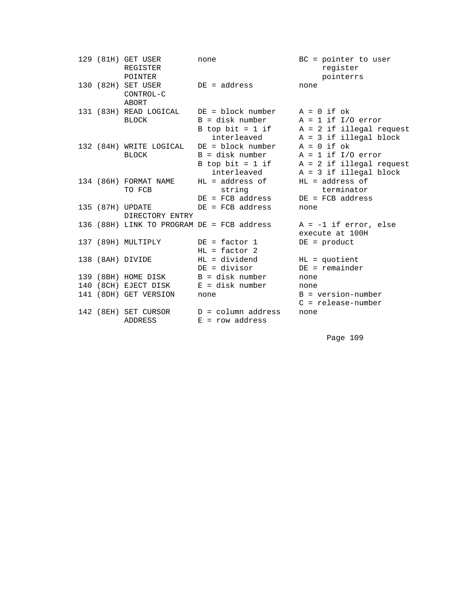|  | 129 (81H) GET USER<br>REGISTER<br>POINTER       | none                                                                                      | $BC = pointer to user$<br>register<br>pointerrs                                                   |
|--|-------------------------------------------------|-------------------------------------------------------------------------------------------|---------------------------------------------------------------------------------------------------|
|  | 130 (82H) SET USER<br>CONTROL-C<br><b>ABORT</b> | $DE = address$                                                                            | none                                                                                              |
|  | 131 (83H) READ LOGICAL<br><b>BLOCK</b>          | $DE = block number$ $A = 0$ if ok<br>B = disk number<br>B top bit = $1$ if<br>interleaved | $A = 1$ if $I/O$ error<br>$A = 2$ if illegal request<br>$A = 3$ if illegal block                  |
|  | 132 (84H) WRITE LOGICAL<br><b>BLOCK</b>         | DE = block number<br>B = disk number<br>B top bit = $1$ if<br>interleaved                 | $A = 0$ if ok<br>$A = 1$ if $I/O$ error<br>$A = 2$ if illegal request<br>$A = 3$ if illegal block |
|  | 134 (86H) FORMAT NAME<br>TO FCB                 | HL = address of<br>string<br>$DE = FCB$ address                                           | $HL = address of$<br>terminator<br>$DE = FCB address$                                             |
|  | 135 (87H) UPDATE<br>DIRECTORY ENTRY             | $DE = FCB address$                                                                        | none                                                                                              |
|  |                                                 | 136 (88H) LINK TO PROGRAM DE = FCB address                                                | $A = -1$ if error, else<br>execute at 100H                                                        |
|  | 137 (89H) MULTIPLY                              | $DE = factor 1$<br>$HL = factor 2$                                                        | $DE = product$                                                                                    |
|  | 138 (8AH) DIVIDE                                | $HL = \text{dividend}$<br>DE = divisor                                                    | $HL = quotient$<br>$DE = remainder$                                                               |
|  | 139 (8BH) HOME DISK                             | B = disk number                                                                           | none                                                                                              |
|  | 140 (8CH) EJECT DISK                            | $E = disk number$                                                                         | none                                                                                              |
|  | 141 (8DH) GET VERSION                           | none                                                                                      | $B = version-number$<br>$C =$ release-number                                                      |
|  | 142 (8EH) SET CURSOR<br>ADDRESS                 | $D = column address$<br>$E = row address$                                                 | none                                                                                              |

Page 109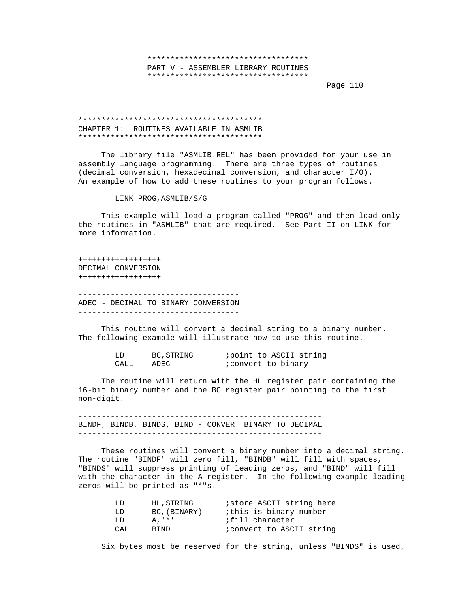# \*\*\*\*\*\*\*\*\*\*\*\*\*\*\*\*\*\*\*\*\*\*\*\*\*\*\*\*\*\*\*\*\*\*\* PART V - ASSEMBLER LIBRARY ROUTINES \*\*\*\*\*\*\*\*\*\*\*\*\*\*\*\*\*\*\*\*\*\*\*\*\*\*\*\*\*\*\*\*\*\*\*

en die staat van die 110ste jaar van die 12de eeu n.C. In 19de jaar van die 110ste jaar 120 maande, 120 maande

# \*\*\*\*\*\*\*\*\*\*\*\*\*\*\*\*\*\*\*\*\*\*\*\*\*\*\*\*\*\*\*\*\*\*\*\*\*\*\*\* CHAPTER 1: ROUTINES AVAILABLE IN ASMLIB \*\*\*\*\*\*\*\*\*\*\*\*\*\*\*\*\*\*\*\*\*\*\*\*\*\*\*\*\*\*\*\*\*\*\*\*\*\*\*\*

 The library file "ASMLIB.REL" has been provided for your use in assembly language programming. There are three types of routines (decimal conversion, hexadecimal conversion, and character I/O). An example of how to add these routines to your program follows.

LINK PROG,ASMLIB/S/G

 This example will load a program called "PROG" and then load only the routines in "ASMLIB" that are required. See Part II on LINK for more information.

 ++++++++++++++++++ DECIMAL CONVERSION ++++++++++++++++++

 ----------------------------------- ADEC - DECIMAL TO BINARY CONVERSION

 This routine will convert a decimal string to a binary number. The following example will illustrate how to use this routine.

|      | BC, STRING | point to ASCII string    |  |  |
|------|------------|--------------------------|--|--|
| CALL | ADEC       | <i>convert</i> to binary |  |  |

 The routine will return with the HL register pair containing the 16-bit binary number and the BC register pair pointing to the first non-digit.

 ----------------------------------------------------- BINDF, BINDB, BINDS, BIND - CONVERT BINARY TO DECIMAL -----------------------------------------------------

 These routines will convert a binary number into a decimal string. The routine "BINDF" will zero fill, "BINDB" will fill with spaces, "BINDS" will suppress printing of leading zeros, and "BIND" will fill with the character in the A register. In the following example leading zeros will be printed as "\*"s.

| T.D  | HL, STRING   | <i>istore ASCII string here</i>  |
|------|--------------|----------------------------------|
| T.D. | BC, (BINARY) | this is binary number            |
| T.D. | A. ' * '     | fill character;                  |
| CALL | BIND.        | <i>i</i> convert to ASCII string |

Six bytes most be reserved for the string, unless "BINDS" is used,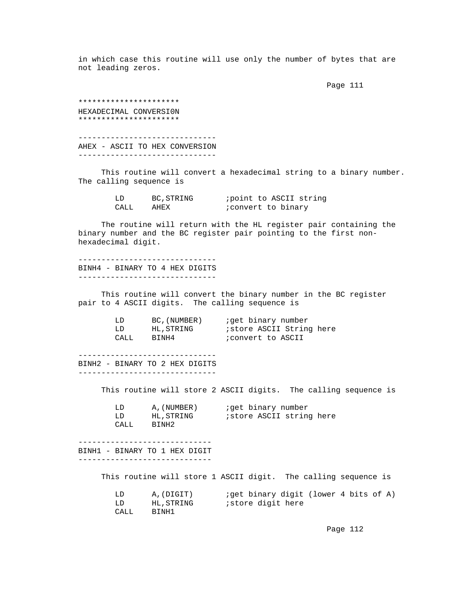in which case this routine will use only the number of bytes that are not leading zeros.

en die staat van die 19de eeu n.C. In die 19de eeu n.C. In die 19de eeu n.C. In die 19de eeu n.C. In die 19de

 \*\*\*\*\*\*\*\*\*\*\*\*\*\*\*\*\*\*\*\*\*\* HEXADECIMAL CONVERSI0N \*\*\*\*\*\*\*\*\*\*\*\*\*\*\*\*\*\*\*\*\*\* ------------------------------ AHEX - ASCII TO HEX CONVERSION ------------------------------

 This routine will convert a hexadecimal string to a binary number. The calling sequence is

> LD BC, STRING *i* point to ASCII string<br>CALL AHEX *i* convert to binary ; convert to binary

 The routine will return with the HL register pair containing the binary number and the BC register pair pointing to the first non hexadecimal digit.

 ------------------------------ BINH4 - BINARY TO 4 HEX DIGITS ------------------------------

 This routine will convert the binary number in the BC register pair to 4 ASCII digits. The calling sequence is

| LD   | BC, (NUMBER) | iget binary number       |
|------|--------------|--------------------------|
| LD   | HL, STRING   | istore ASCII String here |
| CALL | BTNH4        | convert to ASCII;        |

 ------------------------------ BINH2 - BINARY TO 2 HEX DIGITS ------------------------------

This routine will store 2 ASCII digits. The calling sequence is

|      | A. (NUMBER)       | jqet binary number |                          |  |
|------|-------------------|--------------------|--------------------------|--|
|      | HL.STRING         |                    | istore ASCII string here |  |
| CALL | BINH <sub>2</sub> |                    |                          |  |

 ----------------------------- BINH1 - BINARY TO 1 HEX DIGIT

-----------------------------

This routine will store 1 ASCII digit. The calling sequence is

|      | A.(DIGIT) | iget binary digit (lower 4 bits of A) |
|------|-----------|---------------------------------------|
|      | HL.STRING | store digit here;                     |
| CALL | BINH1     |                                       |

Page 112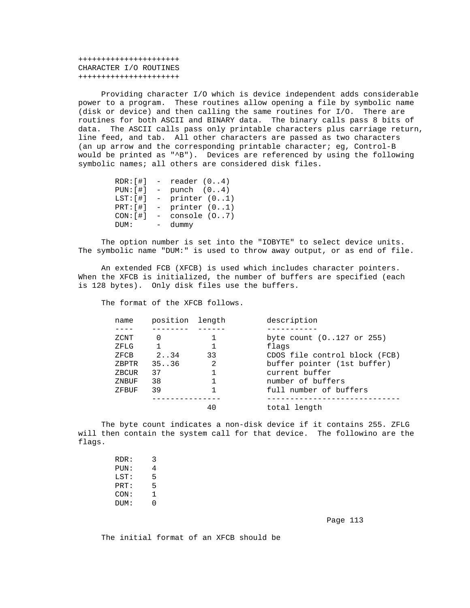++++++++++++++++++++++ CHARACTER I/O ROUTINES ++++++++++++++++++++++

 Providing character I/O which is device independent adds considerable power to a program. These routines allow opening a file by symbolic name (disk or device) and then calling the same routines for I/O. There are routines for both ASCII and BINARY data. The binary calls pass 8 bits of data. The ASCII calls pass only printable characters plus carriage return, line feed, and tab. All other characters are passed as two characters (an up arrow and the corresponding printable character; eg, Control-B would be printed as "^B"). Devices are referenced by using the following symbolic names; all others are considered disk files.

|            | $RDR:[\#]$ - reader $(04)$ |
|------------|----------------------------|
| PUN: [ #]  | $-$ punch $(04)$           |
| LST: [ #]  | - printer $(01)$           |
| PRT: [ # ] | $-$ printer $(01)$         |
| CON: [ #]  | $-$ console $(07)$         |
| DUM:       | - dummy                    |
|            |                            |

 The option number is set into the "IOBYTE" to select device units. The symbolic name "DUM:" is used to throw away output, or as end of file.

 An extended FCB (XFCB) is used which includes character pointers. When the XFCB is initialized, the number of buffers are specified (each is 128 bytes). Only disk files use the buffers.

The format of the XFCB follows.

| name  | position length |    | description                   |
|-------|-----------------|----|-------------------------------|
|       |                 |    |                               |
| ZCNT  | $\Omega$        |    | byte count (0127 or 255)      |
| ZFLG  |                 |    | flags                         |
| ZFCB  | 2.34            | 33 | CDOS file control block (FCB) |
| ZBPTR | 35.036          | 2  | buffer pointer (1st buffer)   |
| ZBCUR | 37              |    | current buffer                |
| ZNBUF | 38              |    | number of buffers             |
| ZFBUF | 39              |    | full number of buffers        |
|       |                 |    |                               |
|       |                 | 40 | total length                  |

 The byte count indicates a non-disk device if it contains 255. ZFLG will then contain the system call for that device. The followino are the flags.

| RDR: | 3 |
|------|---|
| PUN: | 4 |
| LST: | 5 |
| PRT: | 5 |
| CON: |   |
| DUM: | D |
|      |   |

en die 113de jaar van die 12de eeu n.C. Soos van die 12de eeu n.C. In 13de eeu n.C. 113de eeu n.C. 113de eeu n

The initial format of an XFCB should be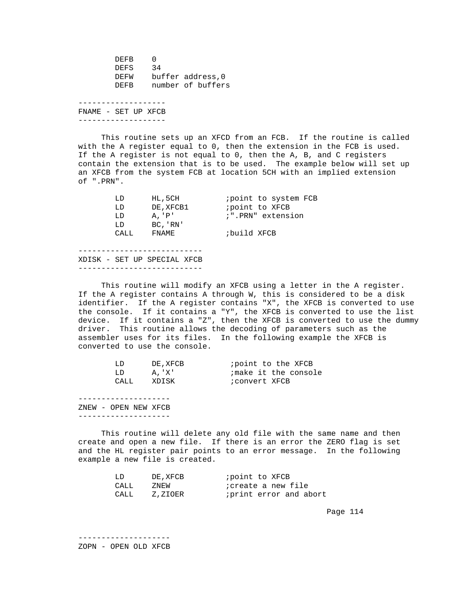DEFB 0<br>DEFS 34 DEFS<br>DEFW DEFW buffer address, 0<br>DEFB number of buffer number of buffers -------------------

 FNAME - SET UP XFCB -------------------

 This routine sets up an XFCD from an FCB. If the routine is called with the A register equal to 0, then the extension in the FCB is used. If the A register is not equal to 0, then the A, B, and C registers contain the extension that is to be used. The example below will set up an XFCB from the system FCB at location 5CH with an implied extension of ".PRN".

| LD    | HL, 5CH           | <i>i</i> point to system FCB |
|-------|-------------------|------------------------------|
| LD    | DE.XFCB1          | <i>i</i> point to XFCB       |
| LD    | $A \cdot 'P'$     | :".PRN" extension            |
| LD    | $BC \,$ , ' $RN'$ |                              |
| CALL. | FNAMF.            | build XFCB;                  |
|       |                   |                              |

 --------------------------- XDISK - SET UP SPECIAL XFCB ---------------------------

 This routine will modify an XFCB using a letter in the A register. If the A register contains A through W, this is considered to be a disk identifier. If the A register contains "X", the XFCB is converted to use the console. If it contains a "Y", the XFCB is converted to use the list device. If it contains a "Z", then the XFCB is converted to use the dummy driver. This routine allows the decoding of parameters such as the assembler uses for its files. In the following example the XFCB is converted to use the console.

| LD   | DE, XFCB |               | <i>i</i> point to the XFCB |
|------|----------|---------------|----------------------------|
| LD   | A. 'X'   |               | ;make it the console       |
| CALL | XDISK    | ;convert XFCB |                            |

 -------------------- ZNEW - OPEN NEW XFCB --------------------

 This routine will delete any old file with the same name and then create and open a new file. If there is an error the ZERO flag is set and the HL register pair points to an error message. In the following example a new file is created.

| LD   | DE . XFCB | point to XFCB;             |
|------|-----------|----------------------------|
| CALL | ZNEW      | <i>i</i> create a new file |
| CALL | Z,ZIOER   | print error and abort      |

Page 114

 -------------------- ZOPN - OPEN OLD XFCB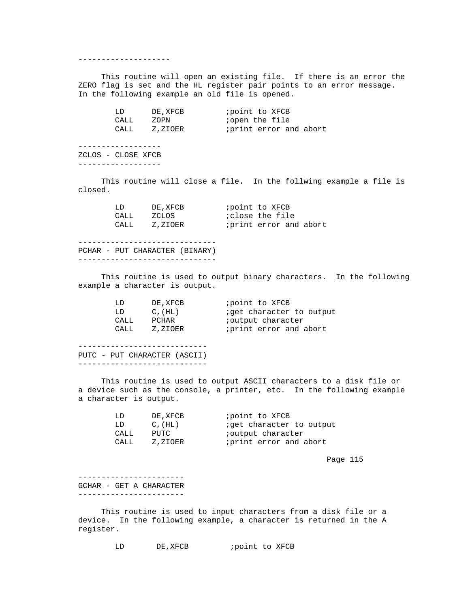--------------------

 This routine will open an existing file. If there is an error the ZERO flag is set and the HL register pair points to an error message. In the following example an old file is opened.

| LD    | DE, XFCB | point to XFCB;         |
|-------|----------|------------------------|
| CALL  | ZOPN     | <i>i</i> open the file |
| CALL. | Z,ZIOER  | print error and abort  |

 ------------------ ZCLOS - CLOSE XFCB ------------------

 This routine will close a file. In the follwing example a file is closed.

| LD   | DE . XFCB | point to XFCB;        |
|------|-----------|-----------------------|
| CALL | ZCLOS     | close the file;       |
| CALL | Z,ZIOER   | print error and abort |

 ------------------------------ PCHAR - PUT CHARACTER (BINARY) ------------------------------

 This routine is used to output binary characters. In the following example a character is output.

| LD   | DE, XFCB     | <i>i</i> point to XFCB           |
|------|--------------|----------------------------------|
| LD   | $C$ , $(HL)$ | <i>i</i> get character to output |
| CALL | PCHAR        | <i>i</i> output character        |
| CALL | Z,ZIOER      | print error and abort            |
|      |              |                                  |

 ---------------------------- PUTC - PUT CHARACTER (ASCII) ----------------------------

 This routine is used to output ASCII characters to a disk file or a device such as the console, a printer, etc. In the following example a character is output.

| LD   | DE, XFCB     | <i>i</i> point to XFCB          |
|------|--------------|---------------------------------|
| T.D. | $C$ , $(HL)$ | <i>iget</i> character to output |
| CALL | PUTC         | <i>i</i> output character       |
| CALL | Z,ZIOER      | iprint error and abort          |

en die 115 meter van die 115ste jaar van die 115ste jaar van die 115ste jaar van die 115ste jaar van die 115ste jaar 125

 ----------------------- GCHAR - GET A CHARACTER -----------------------

 This routine is used to input characters from a disk file or a device. In the following example, a character is returned in the A register.

LD DE, XFCB *;* point to XFCB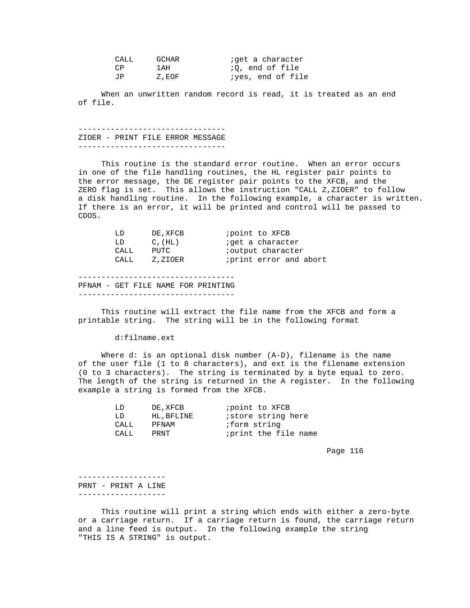| CALL | GCHAR | ;get a character        |
|------|-------|-------------------------|
| CΡ   | 1 AH  | <i>i</i> O, end of file |
| ΠTΡ. | Z.EOF | iyes, end of file       |

 When an unwritten random record is read, it is treated as an end of file.

 -------------------------------- ZIOER - PRINT FILE ERROR MESSAGE --------------------------------

 This routine is the standard error routine. When an error occurs in one of the file handling routines, the HL register pair points to the error message, the DE register pair points to the XFCB, and the ZERO flag is set. This allows the instruction "CALL Z,ZIOER" to follow a disk handling routine. In the following example, a character is written. If there is an error, it will be printed and control will be passed to CDOS.

| T.D  | DE, XFCB     | point to XFCB             |
|------|--------------|---------------------------|
| LD   | $C$ , $(HL)$ | <i>i</i> get a character  |
| CALL | PUTC         | <i>i</i> output character |
| CALL | Z,ZIOER      | iprint error and abort    |
|      |              |                           |

 ---------------------------------- PFNAM - GET FILE NAME FOR PRINTING ----------------------------------

 This routine will extract the file name from the XFCB and form a printable string. The string will be in the following format

d:filname.ext

 Where d: is an optional disk number (A-D), filename is the name of the user file (1 to 8 characters), and ext is the filename extension (0 to 3 characters). The string is terminated by a byte equal to zero. The length of the string is returned in the A register. In the following example a string is formed from the XFCB.

| LD    | DE, XFCB   | <i>i</i> point to XFCB    |
|-------|------------|---------------------------|
| T.D.  | HL, BFLINE | <i>istore</i> string here |
| CALL  | PFNAM      | <i>i</i> form string      |
| CALL. | PRNT       | iprint the file name      |
|       |            |                           |

en de la provincia de la provincia de la provincia de la provincia de la provincia de la provincia de la provi

 ------------------- PRNT - PRINT A LINE -------------------

 This routine will print a string which ends with either a zero-byte or a carriage return. If a carriage return is found, the carriage return and a line feed is output. In the following example the string "THIS IS A STRING" is output.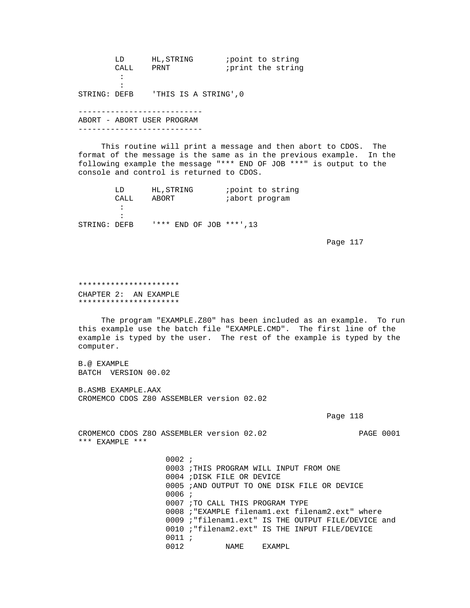|              | LD   | HL, STRING                 | <i>i</i> point to string |
|--------------|------|----------------------------|--------------------------|
|              | CALL | PRNT                       | iprint the string        |
|              |      |                            |                          |
|              |      |                            |                          |
| STRING: DEFB |      | 'THIS IS A STRING',0       |                          |
|              |      |                            |                          |
|              |      | ABORT - ABORT USER PROGRAM |                          |
|              |      |                            |                          |
|              |      |                            |                          |

 This routine will print a message and then abort to CDOS. The format of the message is the same as in the previous example. In the following example the message "\*\*\* END OF JOB \*\*\*" is output to the console and control is returned to CDOS.

|              | T.D  | HL, STRING |  |                         | point to string |
|--------------|------|------------|--|-------------------------|-----------------|
|              | CALL | ABORT      |  | <i>i</i> abort program  |                 |
|              |      |            |  |                         |                 |
|              |      |            |  |                         |                 |
| STRING: DEFB |      |            |  | '*** END OF JOB ***'.13 |                 |

Page 117

 \*\*\*\*\*\*\*\*\*\*\*\*\*\*\*\*\*\*\*\*\*\* CHAPTER 2: AN EXAMPLE \*\*\*\*\*\*\*\*\*\*\*\*\*\*\*\*\*\*\*\*\*\*

 The program "EXAMPLE.Z80" has been included as an example. To run this example use the batch file "EXAMPLE.CMD". The first line of the example is typed by the user. The rest of the example is typed by the computer.

 B.@ EXAMPLE BATCH VERSION 00.02

 B.ASMB EXAMPLE.AAX CROMEMCO CDOS Z80 ASSEMBLER version 02.02

Page 118

 CROMEMCO CDOS Z8O ASSEMBLER version 02.02 PAGE 0001 \*\*\* EXAMPLE \*\*\*

> 0002 ; 0003 ;THIS PROGRAM WILL INPUT FROM ONE 0004 ;DISK FILE OR DEVICE 0005 ;AND OUTPUT TO ONE DISK FILE OR DEVICE 0006 ; 0007 ;TO CALL THIS PROGRAM TYPE 0008 ;"EXAMPLE filenam1.ext filenam2.ext" where 0009 ;"filenam1.ext" IS THE OUTPUT FILE/DEVICE and 0010 ;"filenam2.ext" IS THE INPUT FILE/DEVICE  $0011 i$ <br> $0012$ NAME EXAMPL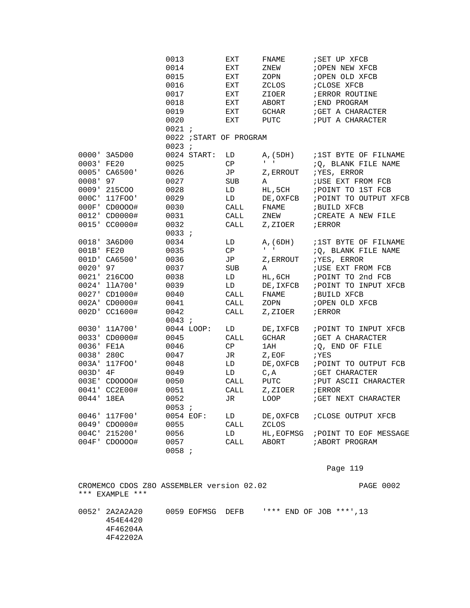|            |               | 0013       |             | EXT                     | FNAME                        | SET UP XFCB                 |
|------------|---------------|------------|-------------|-------------------------|------------------------------|-----------------------------|
|            |               | 0014       |             | EXT                     | ZNEW                         | ; OPEN NEW XFCB             |
|            |               | 0015       |             | EXT                     | ZOPN                         | ; OPEN OLD XFCB             |
|            |               | 0016       |             | EXT                     | ZCLOS                        | ; CLOSE XFCB                |
|            |               | 0017       |             | EXT                     | ZIOER                        | <b><i>ERROR ROUTINE</i></b> |
|            |               | 0018       |             | EXT                     | ABORT                        | ; END PROGRAM               |
|            |               | 0019       |             | EXT                     | GCHAR                        | ; GET A CHARACTER           |
|            |               | 0020       |             | EXT                     | PUTC                         | <b>; PUT A CHARACTER</b>    |
|            |               | 0021;      |             |                         |                              |                             |
|            |               |            |             | 0022 ; START OF PROGRAM |                              |                             |
|            |               | $0023$ ;   |             |                         |                              |                             |
|            | 0000' 3A5D00  |            | 0024 START: | LD                      | A, (5DH)                     | 1ST BYTE OF FILNAME         |
| 0003' FE20 |               | 0025       |             | CP                      | $\mathbf{I} = -\mathbf{I}$ . | :Q, BLANK FILE NAME         |
|            | 0005' CA6500' | 0026       |             | JP                      | Z, ERROUT                    | ; YES, ERROR                |
| 0008' 97   |               | 0027       |             | <b>SUB</b>              | Α                            | ; USE EXT FROM FCB          |
|            | 0009' 215COO  | 0028       |             | LD                      | HL, 5CH                      | POINT TO 1ST FCB            |
|            | 000C' 117FOO' | 0029       |             | LD                      | DE, OXFCB                    | ; POINT TO OUTPUT XFCB      |
|            | 000F' CD0000# | 0030       |             | CALL                    | FNAME                        | <b>BUILD XFCB</b>           |
|            | 0012' CD0000# | 0031       |             | CALL                    | ZNEW                         | ; CREATE A NEW FILE         |
|            | 0015' CC0000# | 0032       |             | CALL                    | Z,ZIOER                      | ; ERROR                     |
|            |               | 0033 :     |             |                         |                              |                             |
|            | 0018' 3A6D00  | 0034       |             | LD                      | A, (6DH)                     | ;1ST BYTE OF FILNAME        |
| 001B' FE20 |               | 0035       |             | СP                      | $\mathbf{I}=\mathbf{I}$      | :Q, BLANK FILE NAME         |
|            | 001D' CA6500' | 0036       |             | JP                      | Z, ERROUT                    | ; YES, ERROR                |
| 0020' 97   |               | 0037       |             | SUB                     | Α                            | <b>; USE EXT FROM FCB</b>   |
|            | 0021' 216COO  | 0038       |             | LD                      | HL,6CH                       | ; POINT TO 2nd FCB          |
|            | 0024' 11A700' | 0039       |             | LD                      | DE, IXFCB                    | ; POINT TO INPUT XFCB       |
|            | 0027' CD1000# | 0040       |             | CALL                    | FNAME                        | ; BUILD XFCB                |
|            | 002A' CD0000# | 0041       |             | CALL                    | ZOPN                         | ; OPEN OLD XFCB             |
|            | 002D' CC1600# | 0042       |             | CALL                    | Z,ZIOER                      | ; ERROR                     |
|            |               | 0043 :     |             |                         |                              |                             |
|            | 0030' 11A700' | 0044 LOOP: |             | LD                      | DE, IXFCB                    | POINT TO INPUT XFCB         |
|            | 0033' CD0000# | 0045       |             | CALL                    | <b>GCHAR</b>                 | ; GET A CHARACTER           |
|            | 0036' FE1A    | 0046       |             | CP                      | 1AH                          | :Q, END OF FILE             |
| 0038' 280C |               | 0047       |             | JR                      | Z, EOF                       | ; YES                       |
|            | 003A' 117FOO' | 0048       |             | LD                      | DE, OXFCB                    | POINT TO OUTPUT FCB         |
| 003D' 4F   |               | 0049       |             | LD                      | $C$ , $A$                    | <b>; GET CHARACTER</b>      |
|            | 003E' CDOOOO# | 0050       |             | CALL                    | PUTC                         | ; PUT ASCII CHARACTER       |
|            | 0041' CC2E00# | 0051       |             | CALL                    | Z,ZIOER                      | ; ERROR                     |
|            | 0044' 18EA    | 0052       |             | JR                      | LOOP                         | <b>; GET NEXT CHARACTER</b> |
|            |               | 0053;      |             |                         |                              |                             |
|            | 0046' 117F00' | 0054 EOF:  |             | LD                      | DE, OXFCB                    | ; CLOSE OUTPUT XFCB         |
|            | 0049' CDO000# | 0055       |             | CALL                    | ZCLOS                        |                             |
|            | 004C' 215200' | 0056       |             | LD                      | HL, EOFMSG                   | ; POINT TO EOF MESSAGE      |
|            | 004F' CDOOOO# | 0057       |             | CALL                    | ABORT                        | <b>; ABORT PROGRAM</b>      |
|            |               | 0058 i     |             |                         |                              |                             |

# Page 119

 CROMEMCO CDOS Z8O ASSEMBLER version 02.02 PAGE 0002 \*\*\* EXAMPLE \*\*\* 0052' 2A2A2A20 0059 EOFMSG DEFB '\*\*\* END OF JOB \*\*\*', 13 454E4420 4F46204A 4F42202A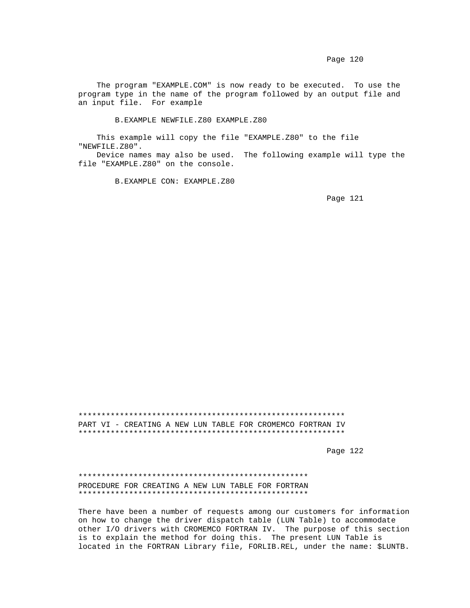The program "EXAMPLE.COM" is now ready to be executed. To use the program type in the name of the program followed by an output file and an input file. For example

B.EXAMPLE NEWFILE.Z80 EXAMPLE.Z80

 This example will copy the file "EXAMPLE.Z80" to the file "NEWFILE.Z80".

 Device names may also be used. The following example will type the file "EXAMPLE.Z80" on the console.

B.EXAMPLE CON: EXAMPLE.Z80

Page 121

 \*\*\*\*\*\*\*\*\*\*\*\*\*\*\*\*\*\*\*\*\*\*\*\*\*\*\*\*\*\*\*\*\*\*\*\*\*\*\*\*\*\*\*\*\*\*\*\*\*\*\*\*\*\*\*\*\*\* PART VI - CREATING A NEW LUN TABLE FOR CROMEMCO FORTRAN IV \*\*\*\*\*\*\*\*\*\*\*\*\*\*\*\*\*\*\*\*\*\*\*\*\*\*\*\*\*\*\*\*\*\*\*\*\*\*\*\*\*\*\*\*\*\*\*\*\*\*\*\*\*\*\*\*\*\*

Page 122 and the contract of the contract of the contract of the contract of the contract of the contract of the contract of the contract of the contract of the contract of the contract of the contract of the contract of t

 \*\*\*\*\*\*\*\*\*\*\*\*\*\*\*\*\*\*\*\*\*\*\*\*\*\*\*\*\*\*\*\*\*\*\*\*\*\*\*\*\*\*\*\*\*\*\*\*\*\* PROCEDURE FOR CREATING A NEW LUN TABLE FOR FORTRAN \*\*\*\*\*\*\*\*\*\*\*\*\*\*\*\*\*\*\*\*\*\*\*\*\*\*\*\*\*\*\*\*\*\*\*\*\*\*\*\*\*\*\*\*\*\*\*\*\*\*

 There have been a number of requests among our customers for information on how to change the driver dispatch table (LUN Table) to accommodate other I/O drivers with CROMEMCO FORTRAN IV. The purpose of this section is to explain the method for doing this. The present LUN Table is located in the FORTRAN Library file, FORLIB.REL, under the name: \$LUNTB.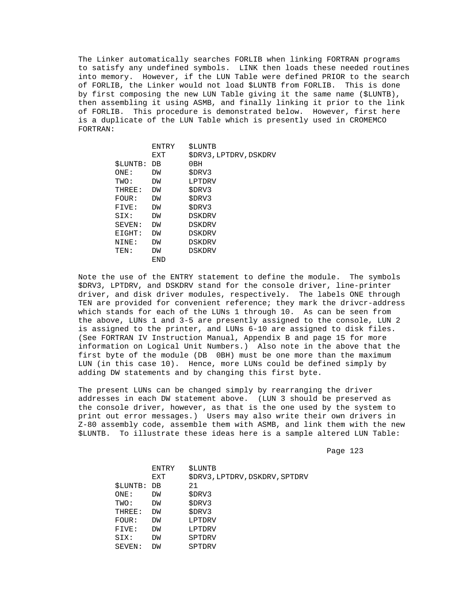The Linker automatically searches FORLIB when linking FORTRAN programs to satisfy any undefined symbols. LINK then loads these needed routines into memory. However, if the LUN Table were defined PRIOR to the search of FORLIB, the Linker would not load \$LUNTB from FORLIB. This is done by first composing the new LUN Table giving it the same name (\$LUNTB), then assembling it using ASMB, and finally linking it prior to the link of FORLIB. This procedure is demonstrated below. However, first here is a duplicate of the LUN Table which is presently used in CROMEMCO FORTRAN:

|                | ENTRY | <b><i>SLUNTB</i></b>   |
|----------------|-------|------------------------|
|                | EXT   | \$DRV3, LPTDRV, DSKDRV |
| <b>SLUNTB:</b> | DB    | 0B <sub>H</sub>        |
| ONE:           | DW    | \$DRV3                 |
| TWO:           | DW    | LPTDRV                 |
| THREE:         | DW    | \$DRV3                 |
| FOUR:          | DW    | \$DRV3                 |
| FIVE:          | DW    | \$DRV3                 |
| SIX:           | DW    | <b>DSKDRV</b>          |
| SEVEN:         | DM    | DSKDRV                 |
| EIGHT:         | DW    | <b>DSKDRV</b>          |
| NINE:          | DW    | <b>DSKDRV</b>          |
| TEN:           | DM    | <b>DSKDRV</b>          |
|                | END   |                        |
|                |       |                        |

 Note the use of the ENTRY statement to define the module. The symbols \$DRV3, LPTDRV, and DSKDRV stand for the console driver, line-printer driver, and disk driver modules, respectively. The labels ONE through TEN are provided for convenient reference; they mark the drivcr-address which stands for each of the LUNs 1 through 10. As can be seen from the above, LUNs 1 and 3-5 are presently assigned to the console, LUN 2 is assigned to the printer, and LUNs 6-10 are assigned to disk files. (See FORTRAN IV Instruction Manual, Appendix B and page 15 for more information on Logical Unit Numbers.) Also note in the above that the first byte of the module (DB 0BH) must be one more than the maximum LUN (in this case 10). Hence, more LUNs could be defined simply by adding DW statements and by changing this first byte.

 The present LUNs can be changed simply by rearranging the driver addresses in each DW statement above. (LUN 3 should be preserved as the console driver, however, as that is the one used by the system to print out error messages.) Users may also write their own drivers in Z-80 assembly code, assemble them with ASMB, and link them with the new \$LUNTB. To illustrate these ideas here is a sample altered LUN Table:

Page 123

|                    | ENTRY | SLUNTB                         |
|--------------------|-------|--------------------------------|
|                    | EXT   | \$DRV3, LPTDRV, DSKDRV, SPTDRV |
| <b>\$LUNTB: DB</b> |       | 21                             |
| ONE:               | DW    | \$DRV3                         |
| TWO:               | DW    | \$DRV3                         |
| THREE:             | DM    | \$DRV3                         |
| FOUR:              | DM    | LPTDRV                         |
| FIVE:              | DM    | LPTDRV                         |
| SIX:               | DM    | SPTDRV                         |
| SEVEN:             | DW    | SPTDRV                         |
|                    |       |                                |